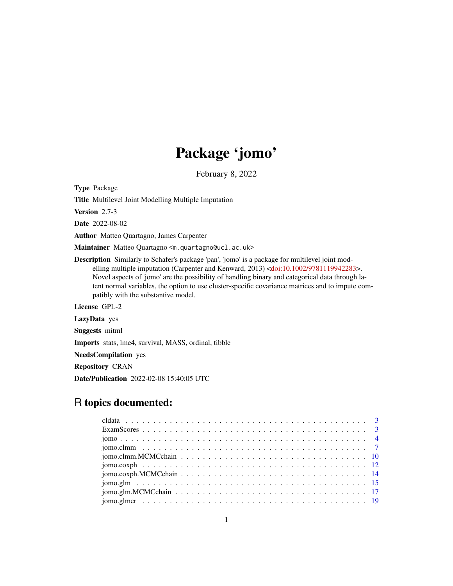# Package 'jomo'

February 8, 2022

Type Package

Title Multilevel Joint Modelling Multiple Imputation

Version 2.7-3

Date 2022-08-02

Author Matteo Quartagno, James Carpenter

Maintainer Matteo Quartagno <m. quartagno@ucl.ac.uk>

Description Similarly to Schafer's package 'pan', 'jomo' is a package for multilevel joint modelling multiple imputation (Carpenter and Kenward, 2013) [<doi:10.1002/9781119942283>](https://doi.org/10.1002/9781119942283). Novel aspects of 'jomo' are the possibility of handling binary and categorical data through latent normal variables, the option to use cluster-specific covariance matrices and to impute compatibly with the substantive model.

License GPL-2

LazyData yes

Suggests mitml

Imports stats, lme4, survival, MASS, ordinal, tibble

NeedsCompilation yes

Repository CRAN

Date/Publication 2022-02-08 15:40:05 UTC

# R topics documented: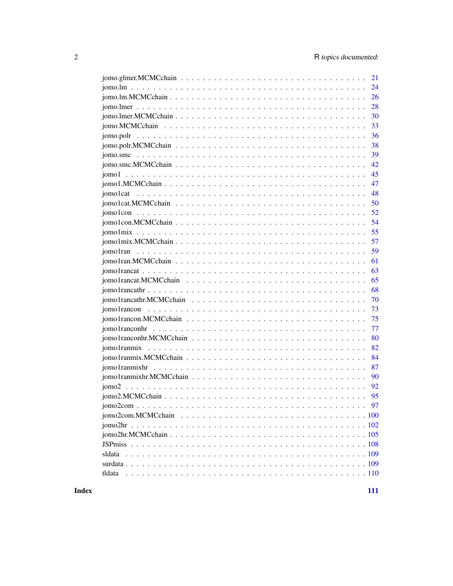| 21                                                                                                                   |
|----------------------------------------------------------------------------------------------------------------------|
| 24                                                                                                                   |
| 26                                                                                                                   |
| 28                                                                                                                   |
| 30                                                                                                                   |
| 33                                                                                                                   |
| 36                                                                                                                   |
| 38                                                                                                                   |
| 39                                                                                                                   |
| 42                                                                                                                   |
| 45                                                                                                                   |
| 47<br>$jomo1.MCMCchain \ldots \ldots \ldots \ldots \ldots \ldots \ldots \ldots \ldots \ldots \ldots \ldots \ldots$   |
| 48                                                                                                                   |
| 50                                                                                                                   |
| 52                                                                                                                   |
| 54                                                                                                                   |
| 55                                                                                                                   |
| $jomo1mix.MCMCchain \dots \dots \dots \dots \dots \dots \dots \dots \dots \dots \dots \dots \dots \dots \dots$<br>57 |
| 59                                                                                                                   |
| 61                                                                                                                   |
| 63                                                                                                                   |
| 65                                                                                                                   |
| 68                                                                                                                   |
| 70                                                                                                                   |
| 73                                                                                                                   |
| 75                                                                                                                   |
| 77                                                                                                                   |
| 80                                                                                                                   |
| 82                                                                                                                   |
| 84                                                                                                                   |
| 87                                                                                                                   |
| 90                                                                                                                   |
| 92                                                                                                                   |
|                                                                                                                      |
|                                                                                                                      |
|                                                                                                                      |
|                                                                                                                      |
|                                                                                                                      |
|                                                                                                                      |
|                                                                                                                      |
|                                                                                                                      |
| tldata                                                                                                               |

**Index**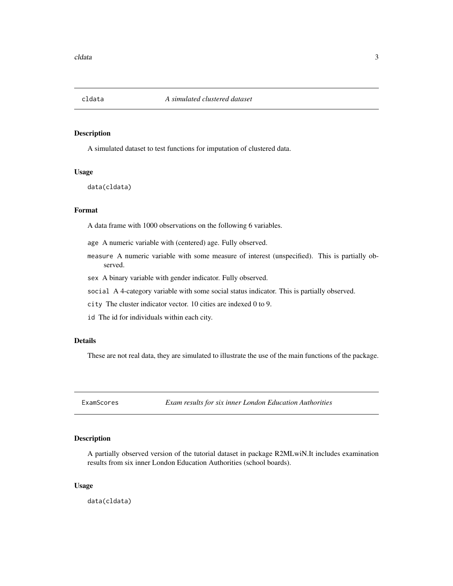<span id="page-2-0"></span>

### Description

A simulated dataset to test functions for imputation of clustered data.

#### Usage

data(cldata)

### Format

A data frame with 1000 observations on the following 6 variables.

- age A numeric variable with (centered) age. Fully observed.
- measure A numeric variable with some measure of interest (unspecified). This is partially observed.
- sex A binary variable with gender indicator. Fully observed.
- social A 4-category variable with some social status indicator. This is partially observed.
- city The cluster indicator vector. 10 cities are indexed 0 to 9.
- id The id for individuals within each city.

### Details

These are not real data, they are simulated to illustrate the use of the main functions of the package.

ExamScores *Exam results for six inner London Education Authorities*

### Description

A partially observed version of the tutorial dataset in package R2MLwiN.It includes examination results from six inner London Education Authorities (school boards).

#### Usage

data(cldata)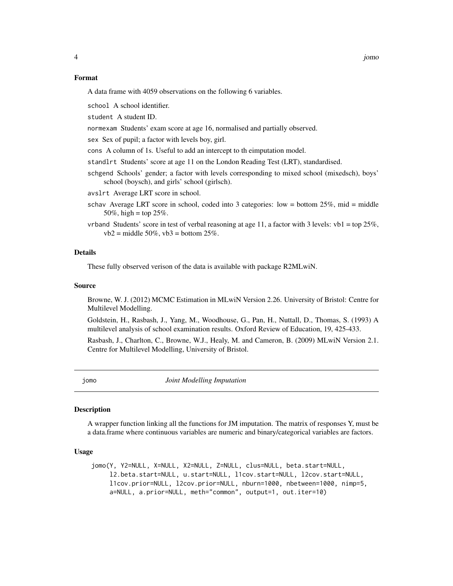#### <span id="page-3-0"></span>Format

A data frame with 4059 observations on the following 6 variables.

school A school identifier.

student A student ID.

normexam Students' exam score at age 16, normalised and partially observed.

sex Sex of pupil; a factor with levels boy, girl.

cons A column of 1s. Useful to add an intercept to th eimputation model.

standlrt Students' score at age 11 on the London Reading Test (LRT), standardised.

schgend Schools' gender; a factor with levels corresponding to mixed school (mixedsch), boys' school (boysch), and girls' school (girlsch).

avslrt Average LRT score in school.

- schav Average LRT score in school, coded into 3 categories: low = bottom  $25\%$ , mid = middle 50%, high = top  $25%$ .
- vrband Students' score in test of verbal reasoning at age 11, a factor with 3 levels:  $vbl = top 25\%$ ,  $vb2 = middle 50\%, vb3 = bottom 25\%.$

### Details

These fully observed verison of the data is available with package R2MLwiN.

#### Source

Browne, W. J. (2012) MCMC Estimation in MLwiN Version 2.26. University of Bristol: Centre for Multilevel Modelling.

Goldstein, H., Rasbash, J., Yang, M., Woodhouse, G., Pan, H., Nuttall, D., Thomas, S. (1993) A multilevel analysis of school examination results. Oxford Review of Education, 19, 425-433.

Rasbash, J., Charlton, C., Browne, W.J., Healy, M. and Cameron, B. (2009) MLwiN Version 2.1. Centre for Multilevel Modelling, University of Bristol.

jomo *Joint Modelling Imputation*

#### Description

A wrapper function linking all the functions for JM imputation. The matrix of responses Y, must be a data.frame where continuous variables are numeric and binary/categorical variables are factors.

#### Usage

```
jomo(Y, Y2=NULL, X=NULL, X2=NULL, Z=NULL, clus=NULL, beta.start=NULL,
    l2.beta.start=NULL, u.start=NULL, l1cov.start=NULL, l2cov.start=NULL,
    l1cov.prior=NULL, l2cov.prior=NULL, nburn=1000, nbetween=1000, nimp=5,
    a=NULL, a.prior=NULL, meth="common", output=1, out.iter=10)
```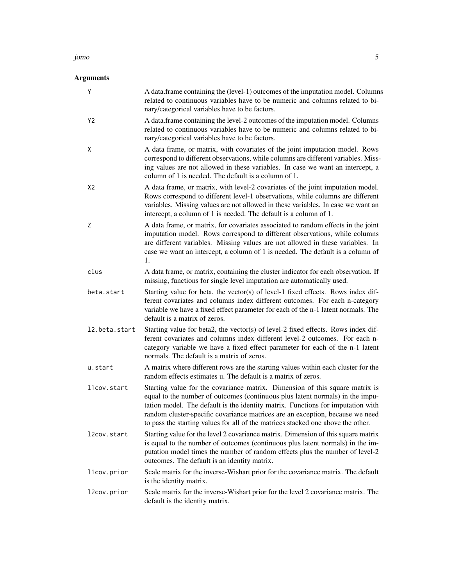#### jomo 5

| Y              | A data.frame containing the (level-1) outcomes of the imputation model. Columns<br>related to continuous variables have to be numeric and columns related to bi-<br>nary/categorical variables have to be factors.                                                                                                                                                                                                    |
|----------------|-----------------------------------------------------------------------------------------------------------------------------------------------------------------------------------------------------------------------------------------------------------------------------------------------------------------------------------------------------------------------------------------------------------------------|
| Y2             | A data.frame containing the level-2 outcomes of the imputation model. Columns<br>related to continuous variables have to be numeric and columns related to bi-<br>nary/categorical variables have to be factors.                                                                                                                                                                                                      |
| X              | A data frame, or matrix, with covariates of the joint imputation model. Rows<br>correspond to different observations, while columns are different variables. Miss-<br>ing values are not allowed in these variables. In case we want an intercept, a<br>column of 1 is needed. The default is a column of 1.                                                                                                          |
| X <sub>2</sub> | A data frame, or matrix, with level-2 covariates of the joint imputation model.<br>Rows correspond to different level-1 observations, while columns are different<br>variables. Missing values are not allowed in these variables. In case we want an<br>intercept, a column of 1 is needed. The default is a column of 1.                                                                                            |
| Ζ              | A data frame, or matrix, for covariates associated to random effects in the joint<br>imputation model. Rows correspond to different observations, while columns<br>are different variables. Missing values are not allowed in these variables. In<br>case we want an intercept, a column of 1 is needed. The default is a column of<br>1.                                                                             |
| clus           | A data frame, or matrix, containing the cluster indicator for each observation. If<br>missing, functions for single level imputation are automatically used.                                                                                                                                                                                                                                                          |
| beta.start     | Starting value for beta, the vector(s) of level-1 fixed effects. Rows index dif-<br>ferent covariates and columns index different outcomes. For each n-category<br>variable we have a fixed effect parameter for each of the n-1 latent normals. The<br>default is a matrix of zeros.                                                                                                                                 |
| 12.beta.start  | Starting value for beta2, the vector(s) of level-2 fixed effects. Rows index dif-<br>ferent covariates and columns index different level-2 outcomes. For each n-<br>category variable we have a fixed effect parameter for each of the n-1 latent<br>normals. The default is a matrix of zeros.                                                                                                                       |
| u.start        | A matrix where different rows are the starting values within each cluster for the<br>random effects estimates u. The default is a matrix of zeros.                                                                                                                                                                                                                                                                    |
| l1cov.start    | Starting value for the covariance matrix. Dimension of this square matrix is<br>equal to the number of outcomes (continuous plus latent normals) in the impu-<br>tation model. The default is the identity matrix. Functions for imputation with<br>random cluster-specific covariance matrices are an exception, because we need<br>to pass the starting values for all of the matrices stacked one above the other. |
| l2cov.start    | Starting value for the level 2 covariance matrix. Dimension of this square matrix<br>is equal to the number of outcomes (continuous plus latent normals) in the im-<br>putation model times the number of random effects plus the number of level-2<br>outcomes. The default is an identity matrix.                                                                                                                   |
| l1cov.prior    | Scale matrix for the inverse-Wishart prior for the covariance matrix. The default<br>is the identity matrix.                                                                                                                                                                                                                                                                                                          |
| l2cov.prior    | Scale matrix for the inverse-Wishart prior for the level 2 covariance matrix. The<br>default is the identity matrix.                                                                                                                                                                                                                                                                                                  |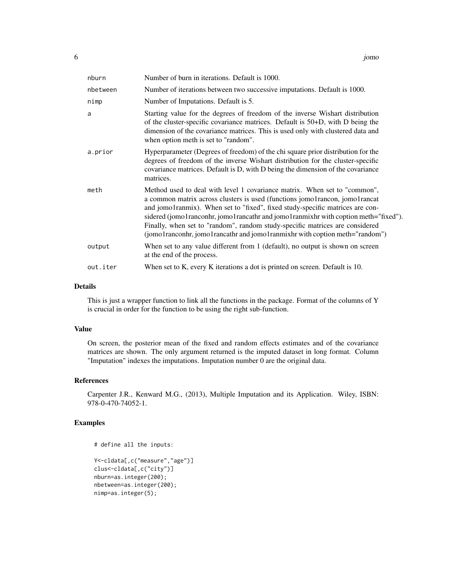| nburn    | Number of burn in iterations. Default is 1000.                                                                                                                                                                                                                                                                                                                                                                                                                                                  |
|----------|-------------------------------------------------------------------------------------------------------------------------------------------------------------------------------------------------------------------------------------------------------------------------------------------------------------------------------------------------------------------------------------------------------------------------------------------------------------------------------------------------|
| nbetween | Number of iterations between two successive imputations. Default is 1000.                                                                                                                                                                                                                                                                                                                                                                                                                       |
| nimp     | Number of Imputations. Default is 5.                                                                                                                                                                                                                                                                                                                                                                                                                                                            |
| a        | Starting value for the degrees of freedom of the inverse Wishart distribution<br>of the cluster-specific covariance matrices. Default is 50+D, with D being the<br>dimension of the covariance matrices. This is used only with clustered data and<br>when option meth is set to "random".                                                                                                                                                                                                      |
| a.prior  | Hyperparameter (Degrees of freedom) of the chi square prior distribution for the<br>degrees of freedom of the inverse Wishart distribution for the cluster-specific<br>covariance matrices. Default is D, with D being the dimension of the covariance<br>matrices.                                                                                                                                                                                                                             |
| meth     | Method used to deal with level 1 covariance matrix. When set to "common",<br>a common matrix across clusters is used (functions jomo1rancon, jomo1rancat<br>and jomo1ranmix). When set to "fixed", fixed study-specific matrices are con-<br>sidered (jomo1ranconhr, jomo1rancathr and jomo1ranmixhr with coption meth="fixed").<br>Finally, when set to "random", random study-specific matrices are considered<br>(jomo1ranconhr, jomo1rancathr and jomo1ranmixhr with coption meth="random") |
| output   | When set to any value different from 1 (default), no output is shown on screen<br>at the end of the process.                                                                                                                                                                                                                                                                                                                                                                                    |
| out.iter | When set to K, every K iterations a dot is printed on screen. Default is 10.                                                                                                                                                                                                                                                                                                                                                                                                                    |

### Details

This is just a wrapper function to link all the functions in the package. Format of the columns of Y is crucial in order for the function to be using the right sub-function.

### Value

On screen, the posterior mean of the fixed and random effects estimates and of the covariance matrices are shown. The only argument returned is the imputed dataset in long format. Column "Imputation" indexes the imputations. Imputation number 0 are the original data.

#### References

Carpenter J.R., Kenward M.G., (2013), Multiple Imputation and its Application. Wiley, ISBN: 978-0-470-74052-1.

### Examples

```
# define all the inputs:
```

```
Y<-cldata[,c("measure","age")]
clus<-cldata[,c("city")]
nburn=as.integer(200);
nbetween=as.integer(200);
nimp=as.integer(5);
```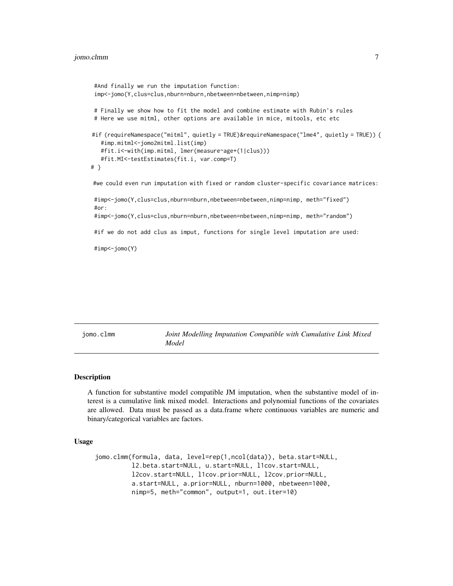```
#And finally we run the imputation function:
imp<-jomo(Y,clus=clus,nburn=nburn,nbetween=nbetween,nimp=nimp)
# Finally we show how to fit the model and combine estimate with Rubin's rules
# Here we use mitml, other options are available in mice, mitools, etc etc
#if (requireNamespace("mitml", quietly = TRUE)&requireNamespace("lme4", quietly = TRUE)) {
   #imp.mitml<-jomo2mitml.list(imp)
   #fit.i<-with(imp.mitml, lmer(measure~age+(1|clus)))
   #fit.MI<-testEstimates(fit.i, var.comp=T)
# }
#we could even run imputation with fixed or random cluster-specific covariance matrices:
#imp<-jomo(Y,clus=clus,nburn=nburn,nbetween=nbetween,nimp=nimp, meth="fixed")
#or:
#imp<-jomo(Y,clus=clus,nburn=nburn,nbetween=nbetween,nimp=nimp, meth="random")
#if we do not add clus as imput, functions for single level imputation are used:
```
#imp<-jomo(Y)

jomo.clmm *Joint Modelling Imputation Compatible with Cumulative Link Mixed Model*

### **Description**

A function for substantive model compatible JM imputation, when the substantive model of interest is a cumulative link mixed model. Interactions and polynomial functions of the covariates are allowed. Data must be passed as a data.frame where continuous variables are numeric and binary/categorical variables are factors.

#### Usage

```
jomo.clmm(formula, data, level=rep(1,ncol(data)), beta.start=NULL,
         l2.beta.start=NULL, u.start=NULL, l1cov.start=NULL,
         l2cov.start=NULL, l1cov.prior=NULL, l2cov.prior=NULL,
         a.start=NULL, a.prior=NULL, nburn=1000, nbetween=1000,
         nimp=5, meth="common", output=1, out.iter=10)
```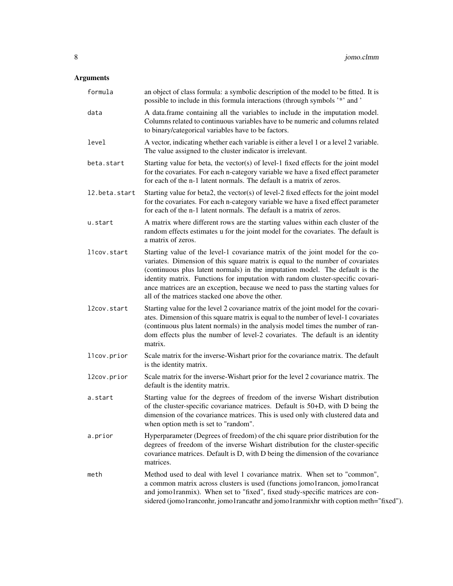| formula       | an object of class formula: a symbolic description of the model to be fitted. It is<br>possible to include in this formula interactions (through symbols '*' and '                                                                                                                                                                                                                                                                                                        |
|---------------|---------------------------------------------------------------------------------------------------------------------------------------------------------------------------------------------------------------------------------------------------------------------------------------------------------------------------------------------------------------------------------------------------------------------------------------------------------------------------|
| data          | A data.frame containing all the variables to include in the imputation model.<br>Columns related to continuous variables have to be numeric and columns related<br>to binary/categorical variables have to be factors.                                                                                                                                                                                                                                                    |
| level         | A vector, indicating whether each variable is either a level 1 or a level 2 variable.<br>The value assigned to the cluster indicator is irrelevant.                                                                                                                                                                                                                                                                                                                       |
| beta.start    | Starting value for beta, the vector(s) of level-1 fixed effects for the joint model<br>for the covariates. For each n-category variable we have a fixed effect parameter<br>for each of the n-1 latent normals. The default is a matrix of zeros.                                                                                                                                                                                                                         |
| 12.beta.start | Starting value for beta2, the vector(s) of level-2 fixed effects for the joint model<br>for the covariates. For each n-category variable we have a fixed effect parameter<br>for each of the n-1 latent normals. The default is a matrix of zeros.                                                                                                                                                                                                                        |
| u.start       | A matrix where different rows are the starting values within each cluster of the<br>random effects estimates u for the joint model for the covariates. The default is<br>a matrix of zeros.                                                                                                                                                                                                                                                                               |
| l1cov.start   | Starting value of the level-1 covariance matrix of the joint model for the co-<br>variates. Dimension of this square matrix is equal to the number of covariates<br>(continuous plus latent normals) in the imputation model. The default is the<br>identity matrix. Functions for imputation with random cluster-specific covari-<br>ance matrices are an exception, because we need to pass the starting values for<br>all of the matrices stacked one above the other. |
| l2cov.start   | Starting value for the level 2 covariance matrix of the joint model for the covari-<br>ates. Dimension of this square matrix is equal to the number of level-1 covariates<br>(continuous plus latent normals) in the analysis model times the number of ran-<br>dom effects plus the number of level-2 covariates. The default is an identity<br>matrix.                                                                                                                  |
| l1cov.prior   | Scale matrix for the inverse-Wishart prior for the covariance matrix. The default<br>is the identity matrix.                                                                                                                                                                                                                                                                                                                                                              |
| l2cov.prior   | Scale matrix for the inverse-Wishart prior for the level 2 covariance matrix. The<br>default is the identity matrix.                                                                                                                                                                                                                                                                                                                                                      |
| a.start       | Starting value for the degrees of freedom of the inverse Wishart distribution<br>of the cluster-specific covariance matrices. Default is 50+D, with D being the<br>dimension of the covariance matrices. This is used only with clustered data and<br>when option meth is set to "random".                                                                                                                                                                                |
| a.prior       | Hyperparameter (Degrees of freedom) of the chi square prior distribution for the<br>degrees of freedom of the inverse Wishart distribution for the cluster-specific<br>covariance matrices. Default is D, with D being the dimension of the covariance<br>matrices.                                                                                                                                                                                                       |
| meth          | Method used to deal with level 1 covariance matrix. When set to "common",<br>a common matrix across clusters is used (functions jomo1rancon, jomo1rancat<br>and jomo1ranmix). When set to "fixed", fixed study-specific matrices are con-<br>sidered (jomo1ranconhr, jomo1rancathr and jomo1ranmixhr with coption meth="fixed").                                                                                                                                          |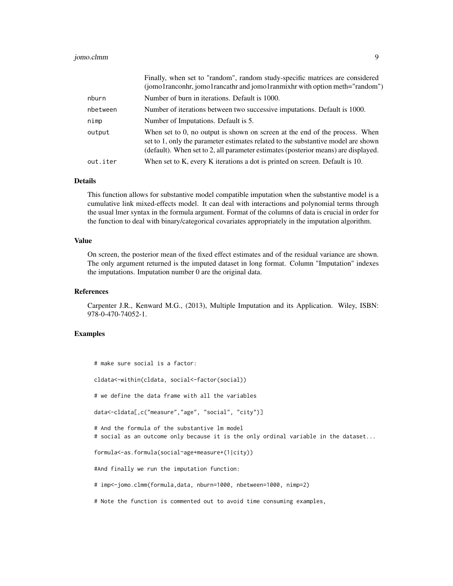### jomo.clmm 9

|          | Finally, when set to fandom, fandom study-specific matrices are considered<br>(jomo1ranconhr, jomo1rancathr and jomo1ranmixhr with option meth="random")                                                                                                  |
|----------|-----------------------------------------------------------------------------------------------------------------------------------------------------------------------------------------------------------------------------------------------------------|
| nburn    | Number of burn in iterations. Default is 1000.                                                                                                                                                                                                            |
| nbetween | Number of iterations between two successive imputations. Default is 1000.                                                                                                                                                                                 |
| nimp     | Number of Imputations. Default is 5.                                                                                                                                                                                                                      |
| output   | When set to $0$ , no output is shown on screen at the end of the process. When<br>set to 1, only the parameter estimates related to the substantive model are shown<br>(default). When set to 2, all parameter estimates (posterior means) are displayed. |
| out.iter | When set to K, every K iterations a dot is printed on screen. Default is 10.                                                                                                                                                                              |

Finally, when set to "random", random study-specific matrices are considered

### Details

This function allows for substantive model compatible imputation when the substantive model is a cumulative link mixed-effects model. It can deal with interactions and polynomial terms through the usual lmer syntax in the formula argument. Format of the columns of data is crucial in order for the function to deal with binary/categorical covariates appropriately in the imputation algorithm.

### Value

On screen, the posterior mean of the fixed effect estimates and of the residual variance are shown. The only argument returned is the imputed dataset in long format. Column "Imputation" indexes the imputations. Imputation number 0 are the original data.

#### References

Carpenter J.R., Kenward M.G., (2013), Multiple Imputation and its Application. Wiley, ISBN: 978-0-470-74052-1.

### Examples

# make sure social is a factor: cldata<-within(cldata, social<-factor(social)) # we define the data frame with all the variables data<-cldata[,c("measure","age", "social", "city")] # And the formula of the substantive lm model # social as an outcome only because it is the only ordinal variable in the dataset... formula<-as.formula(social~age+measure+(1|city)) #And finally we run the imputation function: # imp<-jomo.clmm(formula,data, nburn=1000, nbetween=1000, nimp=2) # Note the function is commented out to avoid time consuming examples,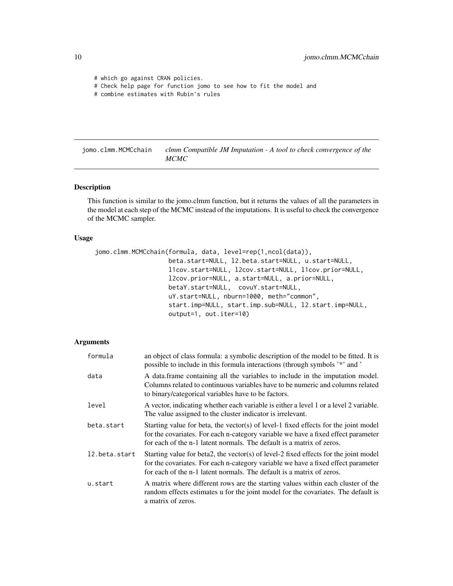```
# which go against CRAN policies.
# Check help page for function jomo to see how to fit the model and
# combine estimates with Rubin's rules
```
jomo.clmm.MCMCchain *clmm Compatible JM Imputation - A tool to check convergence of the MCMC*

### Description

This function is similar to the jomo.clmm function, but it returns the values of all the parameters in the model at each step of the MCMC instead of the imputations. It is useful to check the convergence of the MCMC sampler.

#### Usage

```
jomo.clmm.MCMCchain(formula, data, level=rep(1,ncol(data)),
                   beta.start=NULL, l2.beta.start=NULL, u.start=NULL,
                   l1cov.start=NULL, l2cov.start=NULL, l1cov.prior=NULL,
                   l2cov.prior=NULL, a.start=NULL, a.prior=NULL,
                   betaY.start=NULL, covuY.start=NULL,
                   uY.start=NULL, nburn=1000, meth="common",
                   start.imp=NULL, start.imp.sub=NULL, l2.start.imp=NULL,
                   output=1, out.iter=10)
```

| formula       | an object of class formula: a symbolic description of the model to be fitted. It is<br>possible to include in this formula interactions (through symbols '*' and '                                                                                 |
|---------------|----------------------------------------------------------------------------------------------------------------------------------------------------------------------------------------------------------------------------------------------------|
| data          | A data.frame containing all the variables to include in the imputation model.<br>Columns related to continuous variables have to be numeric and columns related<br>to binary/categorical variables have to be factors.                             |
| level         | A vector, indicating whether each variable is either a level 1 or a level 2 variable.<br>The value assigned to the cluster indicator is irrelevant.                                                                                                |
| beta.start    | Starting value for beta, the vector(s) of level-1 fixed effects for the joint model<br>for the covariates. For each n-category variable we have a fixed effect parameter<br>for each of the n-1 latent normals. The default is a matrix of zeros.  |
| 12.beta.start | Starting value for beta2, the vector(s) of level-2 fixed effects for the joint model<br>for the covariates. For each n-category variable we have a fixed effect parameter<br>for each of the n-1 latent normals. The default is a matrix of zeros. |
| u.start       | A matrix where different rows are the starting values within each cluster of the<br>random effects estimates u for the joint model for the covariates. The default is<br>a matrix of zeros.                                                        |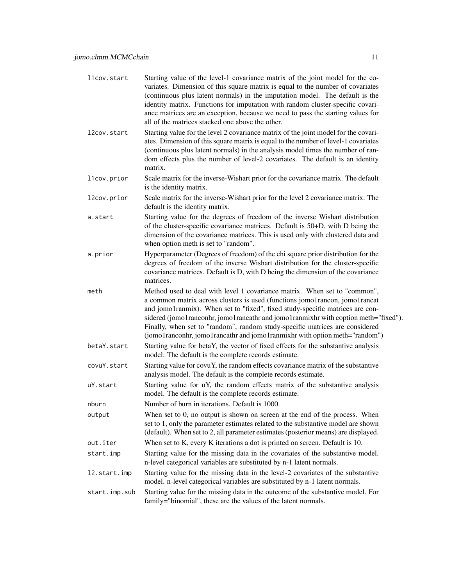| llcov.start   | Starting value of the level-1 covariance matrix of the joint model for the co-<br>variates. Dimension of this square matrix is equal to the number of covariates<br>(continuous plus latent normals) in the imputation model. The default is the<br>identity matrix. Functions for imputation with random cluster-specific covari-<br>ance matrices are an exception, because we need to pass the starting values for<br>all of the matrices stacked one above the other.                      |
|---------------|------------------------------------------------------------------------------------------------------------------------------------------------------------------------------------------------------------------------------------------------------------------------------------------------------------------------------------------------------------------------------------------------------------------------------------------------------------------------------------------------|
| l2cov.start   | Starting value for the level 2 covariance matrix of the joint model for the covari-<br>ates. Dimension of this square matrix is equal to the number of level-1 covariates<br>(continuous plus latent normals) in the analysis model times the number of ran-<br>dom effects plus the number of level-2 covariates. The default is an identity<br>matrix.                                                                                                                                       |
| llcov.prior   | Scale matrix for the inverse-Wishart prior for the covariance matrix. The default<br>is the identity matrix.                                                                                                                                                                                                                                                                                                                                                                                   |
| l2cov.prior   | Scale matrix for the inverse-Wishart prior for the level 2 covariance matrix. The<br>default is the identity matrix.                                                                                                                                                                                                                                                                                                                                                                           |
| a.start       | Starting value for the degrees of freedom of the inverse Wishart distribution<br>of the cluster-specific covariance matrices. Default is 50+D, with D being the<br>dimension of the covariance matrices. This is used only with clustered data and<br>when option meth is set to "random".                                                                                                                                                                                                     |
| a.prior       | Hyperparameter (Degrees of freedom) of the chi square prior distribution for the<br>degrees of freedom of the inverse Wishart distribution for the cluster-specific<br>covariance matrices. Default is D, with D being the dimension of the covariance<br>matrices.                                                                                                                                                                                                                            |
| meth          | Method used to deal with level 1 covariance matrix. When set to "common",<br>a common matrix across clusters is used (functions jomo1rancon, jomo1rancat<br>and jomo1ranmix). When set to "fixed", fixed study-specific matrices are con-<br>sidered (jomo1ranconhr, jomo1rancathr and jomo1ranmixhr with coption meth="fixed").<br>Finally, when set to "random", random study-specific matrices are considered<br>(jomo1ranconhr, jomo1rancathr and jomo1ranmixhr with option meth="random") |
| betaY.start   | Starting value for betaY, the vector of fixed effects for the substantive analysis<br>model. The default is the complete records estimate.                                                                                                                                                                                                                                                                                                                                                     |
| covuY.start   | Starting value for covuY, the random effects covariance matrix of the substantive<br>analysis model. The default is the complete records estimate.                                                                                                                                                                                                                                                                                                                                             |
| uY.start      | Starting value for uY, the random effects matrix of the substantive analysis<br>model. The default is the complete records estimate.                                                                                                                                                                                                                                                                                                                                                           |
| nburn         | Number of burn in iterations. Default is 1000.                                                                                                                                                                                                                                                                                                                                                                                                                                                 |
| output        | When set to $0$ , no output is shown on screen at the end of the process. When<br>set to 1, only the parameter estimates related to the substantive model are shown<br>(default). When set to 2, all parameter estimates (posterior means) are displayed.                                                                                                                                                                                                                                      |
| out.iter      | When set to K, every K iterations a dot is printed on screen. Default is 10.                                                                                                                                                                                                                                                                                                                                                                                                                   |
| start.imp     | Starting value for the missing data in the covariates of the substantive model.<br>n-level categorical variables are substituted by n-1 latent normals.                                                                                                                                                                                                                                                                                                                                        |
| 12.start.imp  | Starting value for the missing data in the level-2 covariates of the substantive<br>model. n-level categorical variables are substituted by n-1 latent normals.                                                                                                                                                                                                                                                                                                                                |
| start.imp.sub | Starting value for the missing data in the outcome of the substantive model. For<br>family="binomial", these are the values of the latent normals.                                                                                                                                                                                                                                                                                                                                             |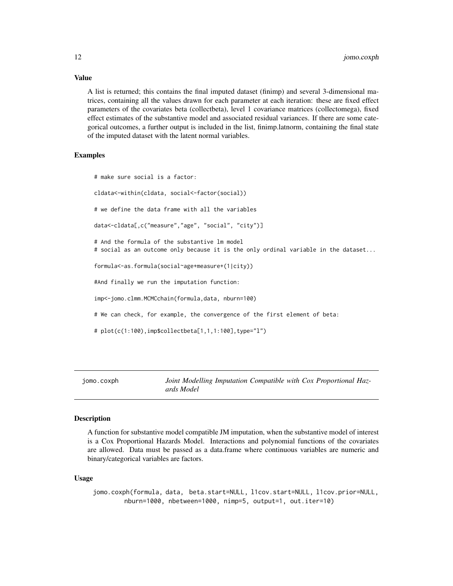A list is returned; this contains the final imputed dataset (finimp) and several 3-dimensional matrices, containing all the values drawn for each parameter at each iteration: these are fixed effect parameters of the covariates beta (collectbeta), level 1 covariance matrices (collectomega), fixed effect estimates of the substantive model and associated residual variances. If there are some categorical outcomes, a further output is included in the list, finimp.latnorm, containing the final state of the imputed dataset with the latent normal variables.

#### Examples

```
# make sure social is a factor:
cldata<-within(cldata, social<-factor(social))
# we define the data frame with all the variables
data<-cldata[,c("measure","age", "social", "city")]
# And the formula of the substantive lm model
# social as an outcome only because it is the only ordinal variable in the dataset...
formula<-as.formula(social~age+measure+(1|city))
#And finally we run the imputation function:
imp<-jomo.clmm.MCMCchain(formula,data, nburn=100)
# We can check, for example, the convergence of the first element of beta:
# plot(c(1:100),imp$collectbeta[1,1,1:100],type="l")
```
jomo.coxph *Joint Modelling Imputation Compatible with Cox Proportional Hazards Model*

### **Description**

A function for substantive model compatible JM imputation, when the substantive model of interest is a Cox Proportional Hazards Model. Interactions and polynomial functions of the covariates are allowed. Data must be passed as a data.frame where continuous variables are numeric and binary/categorical variables are factors.

#### Usage

```
jomo.coxph(formula, data, beta.start=NULL, l1cov.start=NULL, l1cov.prior=NULL,
        nburn=1000, nbetween=1000, nimp=5, output=1, out.iter=10)
```
<span id="page-11-0"></span>

## Value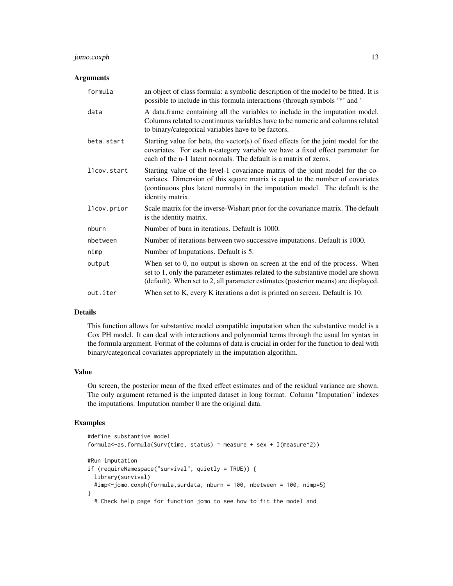### jomo.coxph 13

#### Arguments

| formula     | an object of class formula: a symbolic description of the model to be fitted. It is<br>possible to include in this formula interactions (through symbols '*' and '                                                                                                   |
|-------------|----------------------------------------------------------------------------------------------------------------------------------------------------------------------------------------------------------------------------------------------------------------------|
| data        | A data.frame containing all the variables to include in the imputation model.<br>Columns related to continuous variables have to be numeric and columns related<br>to binary/categorical variables have to be factors.                                               |
| beta.start  | Starting value for beta, the vector(s) of fixed effects for the joint model for the<br>covariates. For each n-category variable we have a fixed effect parameter for<br>each of the n-1 latent normals. The default is a matrix of zeros.                            |
| llcov.start | Starting value of the level-1 covariance matrix of the joint model for the co-<br>variates. Dimension of this square matrix is equal to the number of covariates<br>(continuous plus latent normals) in the imputation model. The default is the<br>identity matrix. |
| llcov.prior | Scale matrix for the inverse-Wishart prior for the covariance matrix. The default<br>is the identity matrix.                                                                                                                                                         |
| nburn       | Number of burn in iterations. Default is 1000.                                                                                                                                                                                                                       |
| nbetween    | Number of iterations between two successive imputations. Default is 1000.                                                                                                                                                                                            |
| nimp        | Number of Imputations. Default is 5.                                                                                                                                                                                                                                 |
| output      | When set to $0$ , no output is shown on screen at the end of the process. When<br>set to 1, only the parameter estimates related to the substantive model are shown<br>(default). When set to 2, all parameter estimates (posterior means) are displayed.            |
| out.iter    | When set to K, every K iterations a dot is printed on screen. Default is 10.                                                                                                                                                                                         |

#### Details

This function allows for substantive model compatible imputation when the substantive model is a Cox PH model. It can deal with interactions and polynomial terms through the usual lm syntax in the formula argument. Format of the columns of data is crucial in order for the function to deal with binary/categorical covariates appropriately in the imputation algorithm.

#### Value

On screen, the posterior mean of the fixed effect estimates and of the residual variance are shown. The only argument returned is the imputed dataset in long format. Column "Imputation" indexes the imputations. Imputation number 0 are the original data.

### Examples

```
#define substantive model
formula<-as.formula(Surv(time, status) ~ measure + sex + I(measure^2))
#Run imputation
if (requireNamespace("survival", quietly = TRUE)) {
 library(survival)
 #imp<-jomo.coxph(formula,surdata, nburn = 100, nbetween = 100, nimp=5)
}
 # Check help page for function jomo to see how to fit the model and
```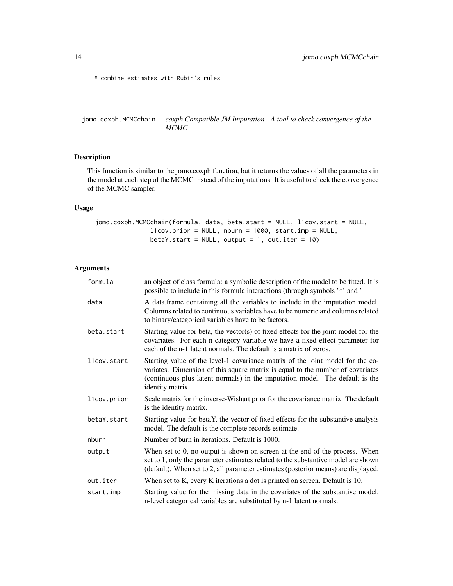<span id="page-13-0"></span># combine estimates with Rubin's rules

jomo.coxph.MCMCchain *coxph Compatible JM Imputation - A tool to check convergence of the MCMC*

### Description

This function is similar to the jomo.coxph function, but it returns the values of all the parameters in the model at each step of the MCMC instead of the imputations. It is useful to check the convergence of the MCMC sampler.

### Usage

```
jomo.coxph.MCMCchain(formula, data, beta.start = NULL, l1cov.start = NULL,
              l1cov.prior = NULL, nburn = 1000, start.imp = NULL,
              betaY.start = NULL, output = 1, out.iter = 10)
```

| formula     | an object of class formula: a symbolic description of the model to be fitted. It is<br>possible to include in this formula interactions (through symbols '*' and '                                                                                                   |
|-------------|----------------------------------------------------------------------------------------------------------------------------------------------------------------------------------------------------------------------------------------------------------------------|
| data        | A data.frame containing all the variables to include in the imputation model.<br>Columns related to continuous variables have to be numeric and columns related<br>to binary/categorical variables have to be factors.                                               |
| beta.start  | Starting value for beta, the vector(s) of fixed effects for the joint model for the<br>covariates. For each n-category variable we have a fixed effect parameter for<br>each of the n-1 latent normals. The default is a matrix of zeros.                            |
| llcov.start | Starting value of the level-1 covariance matrix of the joint model for the co-<br>variates. Dimension of this square matrix is equal to the number of covariates<br>(continuous plus latent normals) in the imputation model. The default is the<br>identity matrix. |
| llcov.prior | Scale matrix for the inverse-Wishart prior for the covariance matrix. The default<br>is the identity matrix.                                                                                                                                                         |
| betaY.start | Starting value for betaY, the vector of fixed effects for the substantive analysis<br>model. The default is the complete records estimate.                                                                                                                           |
| nburn       | Number of burn in iterations. Default is 1000.                                                                                                                                                                                                                       |
| output      | When set to $0$ , no output is shown on screen at the end of the process. When<br>set to 1, only the parameter estimates related to the substantive model are shown<br>(default). When set to 2, all parameter estimates (posterior means) are displayed.            |
| out.iter    | When set to K, every K iterations a dot is printed on screen. Default is 10.                                                                                                                                                                                         |
| start.imp   | Starting value for the missing data in the covariates of the substantive model.<br>n-level categorical variables are substituted by n-1 latent normals.                                                                                                              |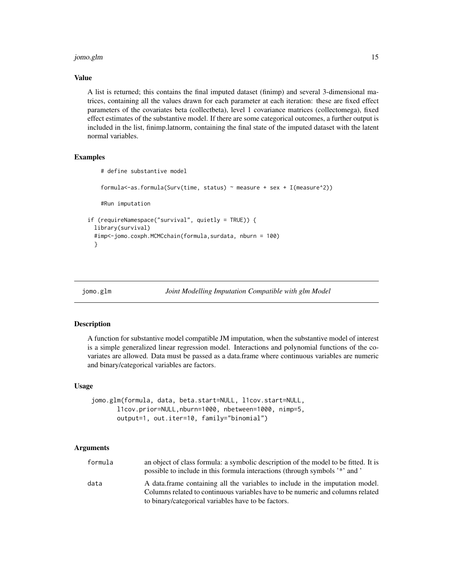#### <span id="page-14-0"></span>jomo.glm 15

### Value

A list is returned; this contains the final imputed dataset (finimp) and several 3-dimensional matrices, containing all the values drawn for each parameter at each iteration: these are fixed effect parameters of the covariates beta (collectbeta), level 1 covariance matrices (collectomega), fixed effect estimates of the substantive model. If there are some categorical outcomes, a further output is included in the list, finimp.latnorm, containing the final state of the imputed dataset with the latent normal variables.

#### Examples

```
# define substantive model
   formula<-as.formula(Surv(time, status) ~ measure + sex + I(measure^2))
   #Run imputation
if (requireNamespace("survival", quietly = TRUE)) {
 library(survival)
 #imp<-jomo.coxph.MCMCchain(formula,surdata, nburn = 100)
 }
```

```
jomo.glm Joint Modelling Imputation Compatible with glm Model
```
#### **Description**

A function for substantive model compatible JM imputation, when the substantive model of interest is a simple generalized linear regression model. Interactions and polynomial functions of the covariates are allowed. Data must be passed as a data.frame where continuous variables are numeric and binary/categorical variables are factors.

#### Usage

```
jomo.glm(formula, data, beta.start=NULL, l1cov.start=NULL,
      l1cov.prior=NULL,nburn=1000, nbetween=1000, nimp=5,
      output=1, out.iter=10, family="binomial")
```

| formula | an object of class formula: a symbolic description of the model to be fitted. It is<br>possible to include in this formula interactions (through symbols '*' and ' |
|---------|--------------------------------------------------------------------------------------------------------------------------------------------------------------------|
| data    | A data frame containing all the variables to include in the imputation model.<br>Columns related to continuous variables have to be numeric and columns related    |
|         | to binary/categorical variables have to be factors.                                                                                                                |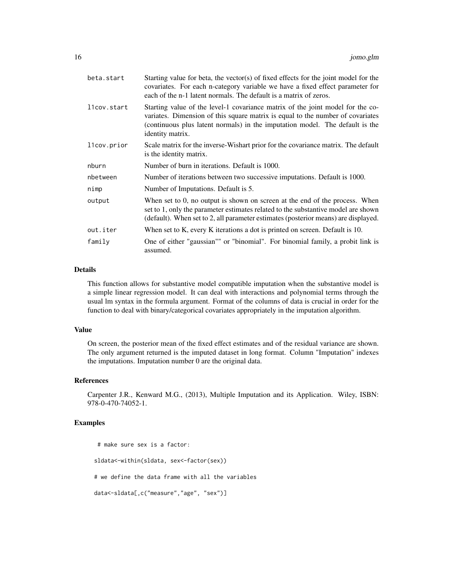| beta.start  | Starting value for beta, the vector(s) of fixed effects for the joint model for the<br>covariates. For each n-category variable we have a fixed effect parameter for<br>each of the n-1 latent normals. The default is a matrix of zeros.                            |
|-------------|----------------------------------------------------------------------------------------------------------------------------------------------------------------------------------------------------------------------------------------------------------------------|
| l1cov.start | Starting value of the level-1 covariance matrix of the joint model for the co-<br>variates. Dimension of this square matrix is equal to the number of covariates<br>(continuous plus latent normals) in the imputation model. The default is the<br>identity matrix. |
| llcov.prior | Scale matrix for the inverse-Wishart prior for the covariance matrix. The default<br>is the identity matrix.                                                                                                                                                         |
| nburn       | Number of burn in iterations. Default is 1000.                                                                                                                                                                                                                       |
| nbetween    | Number of iterations between two successive imputations. Default is 1000.                                                                                                                                                                                            |
| nimp        | Number of Imputations. Default is 5.                                                                                                                                                                                                                                 |
| output      | When set to 0, no output is shown on screen at the end of the process. When<br>set to 1, only the parameter estimates related to the substantive model are shown<br>(default). When set to 2, all parameter estimates (posterior means) are displayed.               |
| out.iter    | When set to K, every K iterations a dot is printed on screen. Default is 10.                                                                                                                                                                                         |
| family      | One of either "gaussian"" or "binomial". For binomial family, a probit link is<br>assumed.                                                                                                                                                                           |

### Details

This function allows for substantive model compatible imputation when the substantive model is a simple linear regression model. It can deal with interactions and polynomial terms through the usual lm syntax in the formula argument. Format of the columns of data is crucial in order for the function to deal with binary/categorical covariates appropriately in the imputation algorithm.

#### Value

On screen, the posterior mean of the fixed effect estimates and of the residual variance are shown. The only argument returned is the imputed dataset in long format. Column "Imputation" indexes the imputations. Imputation number 0 are the original data.

#### References

Carpenter J.R., Kenward M.G., (2013), Multiple Imputation and its Application. Wiley, ISBN: 978-0-470-74052-1.

#### Examples

```
# make sure sex is a factor:
sldata<-within(sldata, sex<-factor(sex))
# we define the data frame with all the variables
data<-sldata[,c("measure","age", "sex")]
```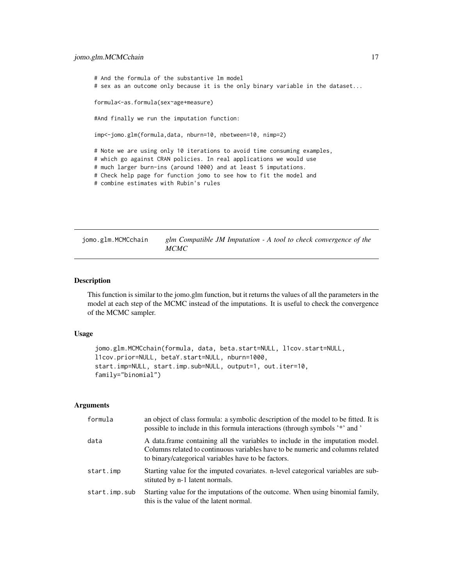### <span id="page-16-0"></span>jomo.glm.MCMCchain 17

# And the formula of the substantive lm model # sex as an outcome only because it is the only binary variable in the dataset... formula<-as.formula(sex~age+measure)

#And finally we run the imputation function:

imp<-jomo.glm(formula,data, nburn=10, nbetween=10, nimp=2)

# Note we are using only 10 iterations to avoid time consuming examples,

# which go against CRAN policies. In real applications we would use

# much larger burn-ins (around 1000) and at least 5 imputations.

# Check help page for function jomo to see how to fit the model and

# combine estimates with Rubin's rules

jomo.glm.MCMCchain *glm Compatible JM Imputation - A tool to check convergence of the MCMC*

#### Description

This function is similar to the jomo.glm function, but it returns the values of all the parameters in the model at each step of the MCMC instead of the imputations. It is useful to check the convergence of the MCMC sampler.

#### Usage

```
jomo.glm.MCMCchain(formula, data, beta.start=NULL, l1cov.start=NULL,
l1cov.prior=NULL, betaY.start=NULL, nburn=1000,
start.imp=NULL, start.imp.sub=NULL, output=1, out.iter=10,
family="binomial")
```

| formula       | an object of class formula: a symbolic description of the model to be fitted. It is<br>possible to include in this formula interactions (through symbols '*' and '                                                     |
|---------------|------------------------------------------------------------------------------------------------------------------------------------------------------------------------------------------------------------------------|
| data          | A data frame containing all the variables to include in the imputation model.<br>Columns related to continuous variables have to be numeric and columns related<br>to binary/categorical variables have to be factors. |
| start.imp     | Starting value for the imputed covariates. n-level categorical variables are sub-<br>stituted by n-1 latent normals.                                                                                                   |
| start.imp.sub | Starting value for the imputations of the outcome. When using binomial family,<br>this is the value of the latent normal.                                                                                              |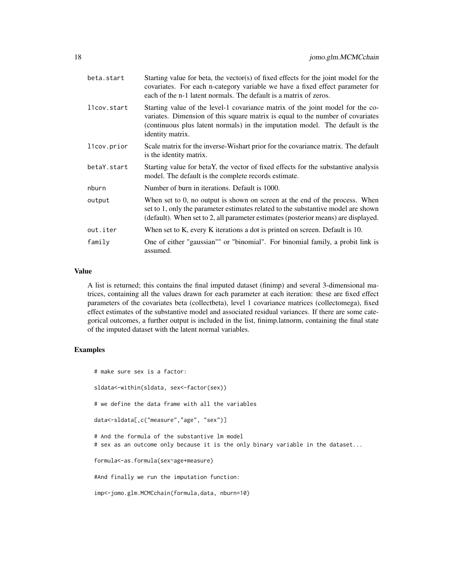| beta.start  | Starting value for beta, the vector(s) of fixed effects for the joint model for the<br>covariates. For each n-category variable we have a fixed effect parameter for<br>each of the n-1 latent normals. The default is a matrix of zeros.                            |
|-------------|----------------------------------------------------------------------------------------------------------------------------------------------------------------------------------------------------------------------------------------------------------------------|
| l1cov.start | Starting value of the level-1 covariance matrix of the joint model for the co-<br>variates. Dimension of this square matrix is equal to the number of covariates<br>(continuous plus latent normals) in the imputation model. The default is the<br>identity matrix. |
| llcov.prior | Scale matrix for the inverse-Wishart prior for the covariance matrix. The default<br>is the identity matrix.                                                                                                                                                         |
| betaY.start | Starting value for betaY, the vector of fixed effects for the substantive analysis<br>model. The default is the complete records estimate.                                                                                                                           |
| nburn       | Number of burn in iterations. Default is 1000.                                                                                                                                                                                                                       |
| output      | When set to $0$ , no output is shown on screen at the end of the process. When<br>set to 1, only the parameter estimates related to the substantive model are shown<br>(default). When set to 2, all parameter estimates (posterior means) are displayed.            |
| out.iter    | When set to K, every K iterations a dot is printed on screen. Default is 10.                                                                                                                                                                                         |
| family      | One of either "gaussian"" or "binomial". For binomial family, a probit link is<br>assumed.                                                                                                                                                                           |

#### Value

A list is returned; this contains the final imputed dataset (finimp) and several 3-dimensional matrices, containing all the values drawn for each parameter at each iteration: these are fixed effect parameters of the covariates beta (collectbeta), level 1 covariance matrices (collectomega), fixed effect estimates of the substantive model and associated residual variances. If there are some categorical outcomes, a further output is included in the list, finimp.latnorm, containing the final state of the imputed dataset with the latent normal variables.

### Examples

```
# make sure sex is a factor:
sldata<-within(sldata, sex<-factor(sex))
# we define the data frame with all the variables
data<-sldata[,c("measure","age", "sex")]
# And the formula of the substantive lm model
# sex as an outcome only because it is the only binary variable in the dataset...
formula<-as.formula(sex~age+measure)
#And finally we run the imputation function:
imp<-jomo.glm.MCMCchain(formula,data, nburn=10)
```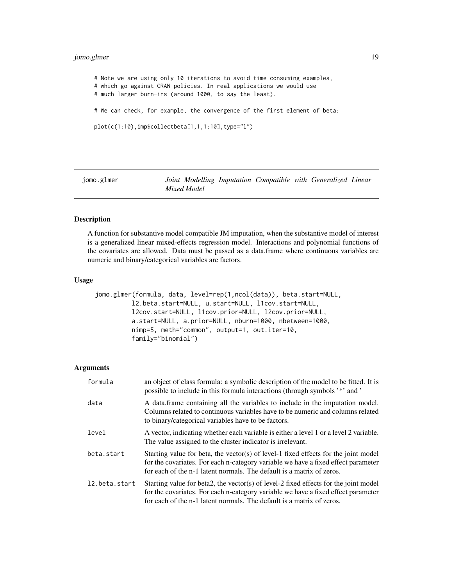### <span id="page-18-0"></span>jomo.glmer 19

# Note we are using only 10 iterations to avoid time consuming examples, # which go against CRAN policies. In real applications we would use # much larger burn-ins (around 1000, to say the least). # We can check, for example, the convergence of the first element of beta: plot(c(1:10),imp\$collectbeta[1,1,1:10],type="l")

jomo.glmer *Joint Modelling Imputation Compatible with Generalized Linear Mixed Model*

### Description

A function for substantive model compatible JM imputation, when the substantive model of interest is a generalized linear mixed-effects regression model. Interactions and polynomial functions of the covariates are allowed. Data must be passed as a data.frame where continuous variables are numeric and binary/categorical variables are factors.

### Usage

```
jomo.glmer(formula, data, level=rep(1,ncol(data)), beta.start=NULL,
         l2.beta.start=NULL, u.start=NULL, l1cov.start=NULL,
         l2cov.start=NULL, l1cov.prior=NULL, l2cov.prior=NULL,
         a.start=NULL, a.prior=NULL, nburn=1000, nbetween=1000,
         nimp=5, meth="common", output=1, out.iter=10,
         family="binomial")
```

| formula       | an object of class formula: a symbolic description of the model to be fitted. It is<br>possible to include in this formula interactions (through symbols '*' and '                                                                                 |
|---------------|----------------------------------------------------------------------------------------------------------------------------------------------------------------------------------------------------------------------------------------------------|
| data          | A data frame containing all the variables to include in the imputation model.<br>Columns related to continuous variables have to be numeric and columns related<br>to binary/categorical variables have to be factors.                             |
| level         | A vector, indicating whether each variable is either a level 1 or a level 2 variable.<br>The value assigned to the cluster indicator is irrelevant.                                                                                                |
| beta.start    | Starting value for beta, the vector(s) of level-1 fixed effects for the joint model<br>for the covariates. For each n-category variable we have a fixed effect parameter<br>for each of the n-1 latent normals. The default is a matrix of zeros.  |
| 12.beta.start | Starting value for beta2, the vector(s) of level-2 fixed effects for the joint model<br>for the covariates. For each n-category variable we have a fixed effect parameter<br>for each of the n-1 latent normals. The default is a matrix of zeros. |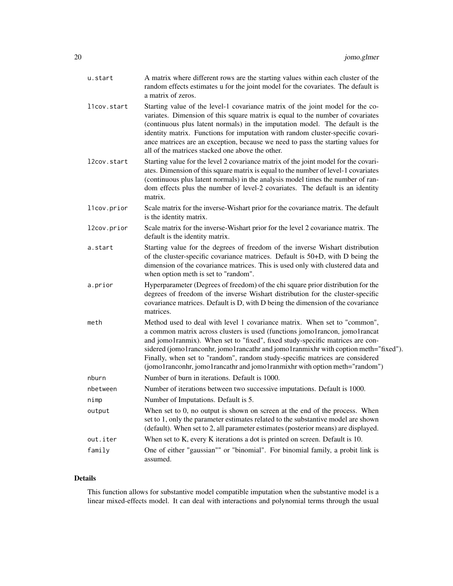| u.start     | A matrix where different rows are the starting values within each cluster of the<br>random effects estimates u for the joint model for the covariates. The default is<br>a matrix of zeros.                                                                                                                                                                                                                                                                                                    |
|-------------|------------------------------------------------------------------------------------------------------------------------------------------------------------------------------------------------------------------------------------------------------------------------------------------------------------------------------------------------------------------------------------------------------------------------------------------------------------------------------------------------|
| llcov.start | Starting value of the level-1 covariance matrix of the joint model for the co-<br>variates. Dimension of this square matrix is equal to the number of covariates<br>(continuous plus latent normals) in the imputation model. The default is the<br>identity matrix. Functions for imputation with random cluster-specific covari-<br>ance matrices are an exception, because we need to pass the starting values for<br>all of the matrices stacked one above the other.                      |
| l2cov.start | Starting value for the level 2 covariance matrix of the joint model for the covari-<br>ates. Dimension of this square matrix is equal to the number of level-1 covariates<br>(continuous plus latent normals) in the analysis model times the number of ran-<br>dom effects plus the number of level-2 covariates. The default is an identity<br>matrix.                                                                                                                                       |
| l1cov.prior | Scale matrix for the inverse-Wishart prior for the covariance matrix. The default<br>is the identity matrix.                                                                                                                                                                                                                                                                                                                                                                                   |
| l2cov.prior | Scale matrix for the inverse-Wishart prior for the level 2 covariance matrix. The<br>default is the identity matrix.                                                                                                                                                                                                                                                                                                                                                                           |
| a.start     | Starting value for the degrees of freedom of the inverse Wishart distribution<br>of the cluster-specific covariance matrices. Default is 50+D, with D being the<br>dimension of the covariance matrices. This is used only with clustered data and<br>when option meth is set to "random".                                                                                                                                                                                                     |
| a.prior     | Hyperparameter (Degrees of freedom) of the chi square prior distribution for the<br>degrees of freedom of the inverse Wishart distribution for the cluster-specific<br>covariance matrices. Default is D, with D being the dimension of the covariance<br>matrices.                                                                                                                                                                                                                            |
| meth        | Method used to deal with level 1 covariance matrix. When set to "common",<br>a common matrix across clusters is used (functions jomo1rancon, jomo1rancat<br>and jomo1ranmix). When set to "fixed", fixed study-specific matrices are con-<br>sidered (jomo1ranconhr, jomo1rancathr and jomo1ranmixhr with coption meth="fixed").<br>Finally, when set to "random", random study-specific matrices are considered<br>(jomo1ranconhr, jomo1rancathr and jomo1ranmixhr with option meth="random") |
| nburn       | Number of burn in iterations. Default is 1000.                                                                                                                                                                                                                                                                                                                                                                                                                                                 |
| nbetween    | Number of iterations between two successive imputations. Default is 1000.                                                                                                                                                                                                                                                                                                                                                                                                                      |
| nimp        | Number of Imputations. Default is 5.                                                                                                                                                                                                                                                                                                                                                                                                                                                           |
| output      | When set to $0$ , no output is shown on screen at the end of the process. When<br>set to 1, only the parameter estimates related to the substantive model are shown<br>(default). When set to 2, all parameter estimates (posterior means) are displayed.                                                                                                                                                                                                                                      |
| out.iter    | When set to K, every K iterations a dot is printed on screen. Default is 10.                                                                                                                                                                                                                                                                                                                                                                                                                   |
| family      | One of either "gaussian"" or "binomial". For binomial family, a probit link is<br>assumed.                                                                                                                                                                                                                                                                                                                                                                                                     |

### Details

This function allows for substantive model compatible imputation when the substantive model is a linear mixed-effects model. It can deal with interactions and polynomial terms through the usual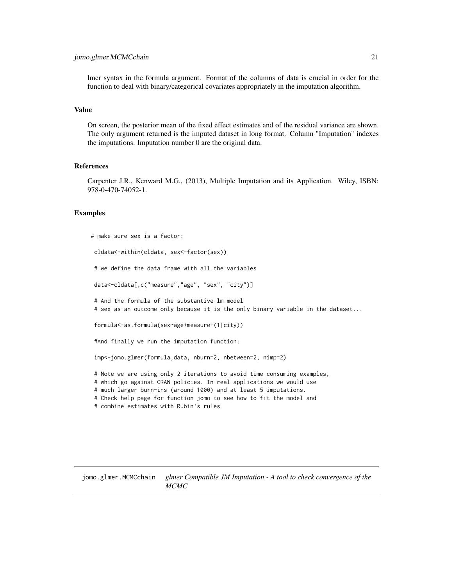#### <span id="page-20-0"></span>jomo.glmer.MCMCchain 21

lmer syntax in the formula argument. Format of the columns of data is crucial in order for the function to deal with binary/categorical covariates appropriately in the imputation algorithm.

#### Value

On screen, the posterior mean of the fixed effect estimates and of the residual variance are shown. The only argument returned is the imputed dataset in long format. Column "Imputation" indexes the imputations. Imputation number 0 are the original data.

#### References

Carpenter J.R., Kenward M.G., (2013), Multiple Imputation and its Application. Wiley, ISBN: 978-0-470-74052-1.

#### Examples

```
# make sure sex is a factor:
cldata<-within(cldata, sex<-factor(sex))
# we define the data frame with all the variables
data<-cldata[,c("measure","age", "sex", "city")]
# And the formula of the substantive lm model
# sex as an outcome only because it is the only binary variable in the dataset...
formula<-as.formula(sex~age+measure+(1|city))
#And finally we run the imputation function:
 imp<-jomo.glmer(formula,data, nburn=2, nbetween=2, nimp=2)
# Note we are using only 2 iterations to avoid time consuming examples,
# which go against CRAN policies. In real applications we would use
# much larger burn-ins (around 1000) and at least 5 imputations.
# Check help page for function jomo to see how to fit the model and
# combine estimates with Rubin's rules
```
jomo.glmer.MCMCchain *glmer Compatible JM Imputation - A tool to check convergence of the MCMC*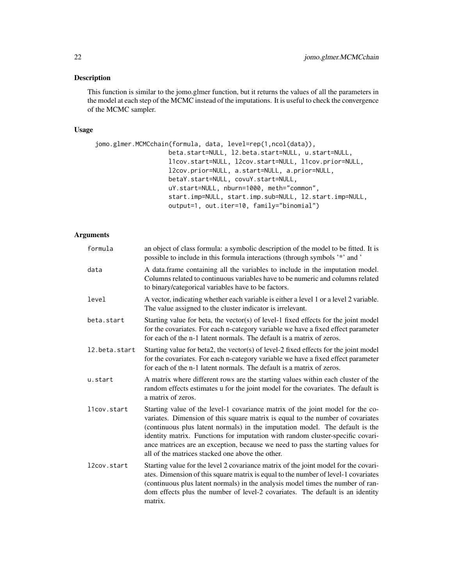### Description

This function is similar to the jomo.glmer function, but it returns the values of all the parameters in the model at each step of the MCMC instead of the imputations. It is useful to check the convergence of the MCMC sampler.

### Usage

```
jomo.glmer.MCMCchain(formula, data, level=rep(1,ncol(data)),
                    beta.start=NULL, l2.beta.start=NULL, u.start=NULL,
                    l1cov.start=NULL, l2cov.start=NULL, l1cov.prior=NULL,
                    l2cov.prior=NULL, a.start=NULL, a.prior=NULL,
                    betaY.start=NULL, covuY.start=NULL,
                    uY.start=NULL, nburn=1000, meth="common",
                    start.imp=NULL, start.imp.sub=NULL, l2.start.imp=NULL,
                    output=1, out.iter=10, family="binomial")
```

| formula       | an object of class formula: a symbolic description of the model to be fitted. It is<br>possible to include in this formula interactions (through symbols '*' and '                                                                                                                                                                                                                                                                                                        |
|---------------|---------------------------------------------------------------------------------------------------------------------------------------------------------------------------------------------------------------------------------------------------------------------------------------------------------------------------------------------------------------------------------------------------------------------------------------------------------------------------|
| data          | A data.frame containing all the variables to include in the imputation model.<br>Columns related to continuous variables have to be numeric and columns related<br>to binary/categorical variables have to be factors.                                                                                                                                                                                                                                                    |
| level         | A vector, indicating whether each variable is either a level 1 or a level 2 variable.<br>The value assigned to the cluster indicator is irrelevant.                                                                                                                                                                                                                                                                                                                       |
| beta.start    | Starting value for beta, the vector(s) of level-1 fixed effects for the joint model<br>for the covariates. For each n-category variable we have a fixed effect parameter<br>for each of the n-1 latent normals. The default is a matrix of zeros.                                                                                                                                                                                                                         |
| 12.beta.start | Starting value for beta2, the vector(s) of level-2 fixed effects for the joint model<br>for the covariates. For each n-category variable we have a fixed effect parameter<br>for each of the n-1 latent normals. The default is a matrix of zeros.                                                                                                                                                                                                                        |
| u.start       | A matrix where different rows are the starting values within each cluster of the<br>random effects estimates u for the joint model for the covariates. The default is<br>a matrix of zeros.                                                                                                                                                                                                                                                                               |
| llcov.start   | Starting value of the level-1 covariance matrix of the joint model for the co-<br>variates. Dimension of this square matrix is equal to the number of covariates<br>(continuous plus latent normals) in the imputation model. The default is the<br>identity matrix. Functions for imputation with random cluster-specific covari-<br>ance matrices are an exception, because we need to pass the starting values for<br>all of the matrices stacked one above the other. |
| l2cov.start   | Starting value for the level 2 covariance matrix of the joint model for the covari-<br>ates. Dimension of this square matrix is equal to the number of level-1 covariates<br>(continuous plus latent normals) in the analysis model times the number of ran-<br>dom effects plus the number of level-2 covariates. The default is an identity<br>matrix.                                                                                                                  |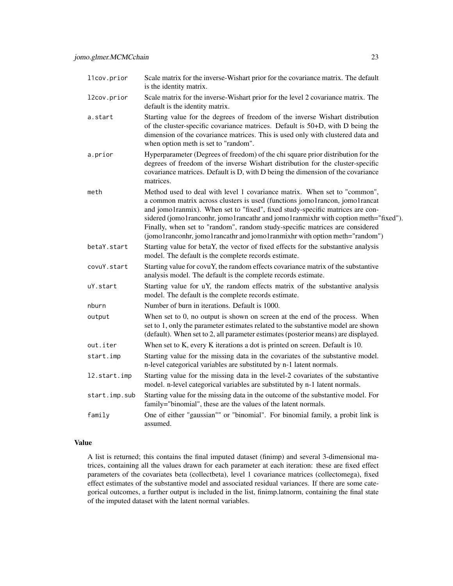| l1cov.prior   | Scale matrix for the inverse-Wishart prior for the covariance matrix. The default<br>is the identity matrix.                                                                                                                                                                                                                                                                                                                                                                                   |
|---------------|------------------------------------------------------------------------------------------------------------------------------------------------------------------------------------------------------------------------------------------------------------------------------------------------------------------------------------------------------------------------------------------------------------------------------------------------------------------------------------------------|
| l2cov.prior   | Scale matrix for the inverse-Wishart prior for the level 2 covariance matrix. The<br>default is the identity matrix.                                                                                                                                                                                                                                                                                                                                                                           |
| a.start       | Starting value for the degrees of freedom of the inverse Wishart distribution<br>of the cluster-specific covariance matrices. Default is 50+D, with D being the<br>dimension of the covariance matrices. This is used only with clustered data and<br>when option meth is set to "random".                                                                                                                                                                                                     |
| a.prior       | Hyperparameter (Degrees of freedom) of the chi square prior distribution for the<br>degrees of freedom of the inverse Wishart distribution for the cluster-specific<br>covariance matrices. Default is D, with D being the dimension of the covariance<br>matrices.                                                                                                                                                                                                                            |
| meth          | Method used to deal with level 1 covariance matrix. When set to "common",<br>a common matrix across clusters is used (functions jomo1rancon, jomo1rancat<br>and jomo1ranmix). When set to "fixed", fixed study-specific matrices are con-<br>sidered (jomo1ranconhr, jomo1rancathr and jomo1ranmixhr with coption meth="fixed").<br>Finally, when set to "random", random study-specific matrices are considered<br>(jomo1ranconhr, jomo1rancathr and jomo1ranmixhr with option meth="random") |
| betaY.start   | Starting value for betaY, the vector of fixed effects for the substantive analysis<br>model. The default is the complete records estimate.                                                                                                                                                                                                                                                                                                                                                     |
| covuY.start   | Starting value for covuY, the random effects covariance matrix of the substantive<br>analysis model. The default is the complete records estimate.                                                                                                                                                                                                                                                                                                                                             |
| uY.start      | Starting value for uY, the random effects matrix of the substantive analysis<br>model. The default is the complete records estimate.                                                                                                                                                                                                                                                                                                                                                           |
| nburn         | Number of burn in iterations. Default is 1000.                                                                                                                                                                                                                                                                                                                                                                                                                                                 |
| output        | When set to $0$ , no output is shown on screen at the end of the process. When<br>set to 1, only the parameter estimates related to the substantive model are shown<br>(default). When set to 2, all parameter estimates (posterior means) are displayed.                                                                                                                                                                                                                                      |
| out.iter      | When set to K, every K iterations a dot is printed on screen. Default is 10.                                                                                                                                                                                                                                                                                                                                                                                                                   |
| start.imp     | Starting value for the missing data in the covariates of the substantive model.<br>n-level categorical variables are substituted by n-1 latent normals.                                                                                                                                                                                                                                                                                                                                        |
| 12.start.imp  | Starting value for the missing data in the level-2 covariates of the substantive<br>model. n-level categorical variables are substituted by n-1 latent normals.                                                                                                                                                                                                                                                                                                                                |
| start.imp.sub | Starting value for the missing data in the outcome of the substantive model. For<br>family="binomial", these are the values of the latent normals.                                                                                                                                                                                                                                                                                                                                             |
| family        | One of either "gaussian"" or "binomial". For binomial family, a probit link is<br>assumed.                                                                                                                                                                                                                                                                                                                                                                                                     |

### Value

A list is returned; this contains the final imputed dataset (finimp) and several 3-dimensional matrices, containing all the values drawn for each parameter at each iteration: these are fixed effect parameters of the covariates beta (collectbeta), level 1 covariance matrices (collectomega), fixed effect estimates of the substantive model and associated residual variances. If there are some categorical outcomes, a further output is included in the list, finimp.latnorm, containing the final state of the imputed dataset with the latent normal variables.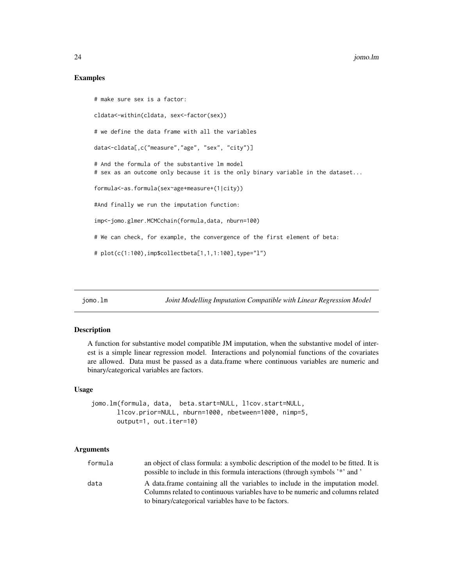### Examples

```
# make sure sex is a factor:
cldata<-within(cldata, sex<-factor(sex))
# we define the data frame with all the variables
data<-cldata[,c("measure","age", "sex", "city")]
# And the formula of the substantive lm model
# sex as an outcome only because it is the only binary variable in the dataset...
formula<-as.formula(sex~age+measure+(1|city))
#And finally we run the imputation function:
imp<-jomo.glmer.MCMCchain(formula,data, nburn=100)
# We can check, for example, the convergence of the first element of beta:
# plot(c(1:100),imp$collectbeta[1,1,1:100],type="l")
```
jomo.lm *Joint Modelling Imputation Compatible with Linear Regression Model*

### Description

A function for substantive model compatible JM imputation, when the substantive model of interest is a simple linear regression model. Interactions and polynomial functions of the covariates are allowed. Data must be passed as a data.frame where continuous variables are numeric and binary/categorical variables are factors.

#### Usage

```
jomo.lm(formula, data, beta.start=NULL, l1cov.start=NULL,
      l1cov.prior=NULL, nburn=1000, nbetween=1000, nimp=5,
      output=1, out.iter=10)
```

| formula | an object of class formula: a symbolic description of the model to be fitted. It is |
|---------|-------------------------------------------------------------------------------------|
|         | possible to include in this formula interactions (through symbols '*' and '         |
| data    | A data frame containing all the variables to include in the imputation model.       |
|         | Columns related to continuous variables have to be numeric and columns related      |
|         | to binary/categorical variables have to be factors.                                 |

<span id="page-23-0"></span>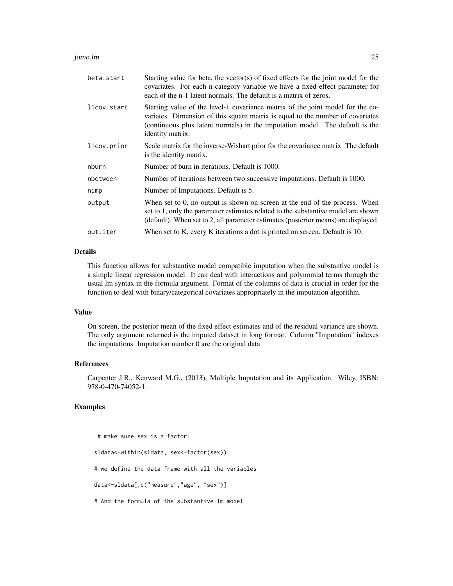jomo.lm 25

| beta.start  | Starting value for beta, the vector(s) of fixed effects for the joint model for the<br>covariates. For each n-category variable we have a fixed effect parameter for<br>each of the n-1 latent normals. The default is a matrix of zeros.                            |
|-------------|----------------------------------------------------------------------------------------------------------------------------------------------------------------------------------------------------------------------------------------------------------------------|
| llcov.start | Starting value of the level-1 covariance matrix of the joint model for the co-<br>variates. Dimension of this square matrix is equal to the number of covariates<br>(continuous plus latent normals) in the imputation model. The default is the<br>identity matrix. |
| llcov.prior | Scale matrix for the inverse-Wishart prior for the covariance matrix. The default<br>is the identity matrix.                                                                                                                                                         |
| nburn       | Number of burn in iterations. Default is 1000.                                                                                                                                                                                                                       |
| nbetween    | Number of iterations between two successive imputations. Default is 1000.                                                                                                                                                                                            |
| nimp        | Number of Imputations. Default is 5.                                                                                                                                                                                                                                 |
| output      | When set to 0, no output is shown on screen at the end of the process. When<br>set to 1, only the parameter estimates related to the substantive model are shown<br>(default). When set to 2, all parameter estimates (posterior means) are displayed.               |
| out.iter    | When set to K, every K iterations a dot is printed on screen. Default is 10.                                                                                                                                                                                         |

### Details

This function allows for substantive model compatible imputation when the substantive model is a simple linear regression model. It can deal with interactions and polynomial terms through the usual lm syntax in the formula argument. Format of the columns of data is crucial in order for the function to deal with binary/categorical covariates appropriately in the imputation algorithm.

#### Value

On screen, the posterior mean of the fixed effect estimates and of the residual variance are shown. The only argument returned is the imputed dataset in long format. Column "Imputation" indexes the imputations. Imputation number 0 are the original data.

### References

Carpenter J.R., Kenward M.G., (2013), Multiple Imputation and its Application. Wiley, ISBN: 978-0-470-74052-1.

### Examples

# make sure sex is a factor: sldata<-within(sldata, sex<-factor(sex)) # we define the data frame with all the variables data<-sldata[,c("measure","age", "sex")]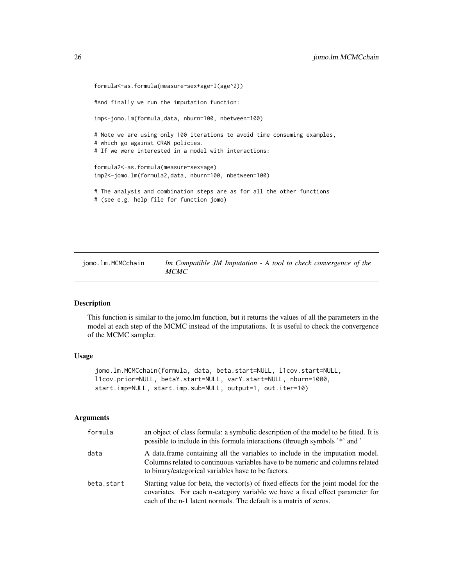```
formula<-as.formula(measure~sex+age+I(age^2))
#And finally we run the imputation function:
imp<-jomo.lm(formula,data, nburn=100, nbetween=100)
# Note we are using only 100 iterations to avoid time consuming examples,
# which go against CRAN policies.
# If we were interested in a model with interactions:
formula2<-as.formula(measure~sex*age)
imp2<-jomo.lm(formula2,data, nburn=100, nbetween=100)
# The analysis and combination steps are as for all the other functions
# (see e.g. help file for function jomo)
```
jomo.lm.MCMCchain *lm Compatible JM Imputation - A tool to check convergence of the MCMC*

### Description

This function is similar to the jomo.lm function, but it returns the values of all the parameters in the model at each step of the MCMC instead of the imputations. It is useful to check the convergence of the MCMC sampler.

#### Usage

```
jomo.lm.MCMCchain(formula, data, beta.start=NULL, l1cov.start=NULL,
l1cov.prior=NULL, betaY.start=NULL, varY.start=NULL, nburn=1000,
start.imp=NULL, start.imp.sub=NULL, output=1, out.iter=10)
```

| formula    | an object of class formula: a symbolic description of the model to be fitted. It is<br>possible to include in this formula interactions (through symbols '*' and '                                                                        |
|------------|-------------------------------------------------------------------------------------------------------------------------------------------------------------------------------------------------------------------------------------------|
| data       | A data frame containing all the variables to include in the imputation model.<br>Columns related to continuous variables have to be numeric and columns related<br>to binary/categorical variables have to be factors.                    |
| beta.start | Starting value for beta, the vector(s) of fixed effects for the joint model for the<br>covariates. For each n-category variable we have a fixed effect parameter for<br>each of the n-1 latent normals. The default is a matrix of zeros. |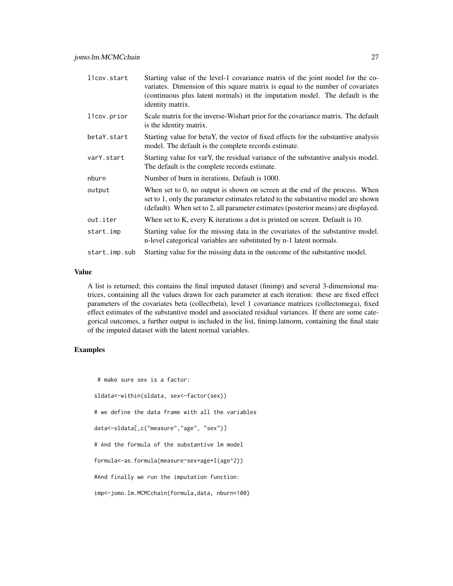| l1cov.start   | Starting value of the level-1 covariance matrix of the joint model for the co-<br>variates. Dimension of this square matrix is equal to the number of covariates<br>(continuous plus latent normals) in the imputation model. The default is the<br>identity matrix. |
|---------------|----------------------------------------------------------------------------------------------------------------------------------------------------------------------------------------------------------------------------------------------------------------------|
| llcov.prior   | Scale matrix for the inverse-Wishart prior for the covariance matrix. The default<br>is the identity matrix.                                                                                                                                                         |
| betaY.start   | Starting value for betaY, the vector of fixed effects for the substantive analysis<br>model. The default is the complete records estimate.                                                                                                                           |
| varY.start    | Starting value for varY, the residual variance of the substantive analysis model.<br>The default is the complete records estimate.                                                                                                                                   |
| nburn         | Number of burn in iterations. Default is 1000.                                                                                                                                                                                                                       |
| output        | When set to 0, no output is shown on screen at the end of the process. When<br>set to 1, only the parameter estimates related to the substantive model are shown<br>(default). When set to 2, all parameter estimates (posterior means) are displayed.               |
| out.iter      | When set to K, every K iterations a dot is printed on screen. Default is 10.                                                                                                                                                                                         |
| start.imp     | Starting value for the missing data in the covariates of the substantive model.<br>n-level categorical variables are substituted by n-1 latent normals.                                                                                                              |
| start.imp.sub | Starting value for the missing data in the outcome of the substantive model.                                                                                                                                                                                         |

### Value

A list is returned; this contains the final imputed dataset (finimp) and several 3-dimensional matrices, containing all the values drawn for each parameter at each iteration: these are fixed effect parameters of the covariates beta (collectbeta), level 1 covariance matrices (collectomega), fixed effect estimates of the substantive model and associated residual variances. If there are some categorical outcomes, a further output is included in the list, finimp.latnorm, containing the final state of the imputed dataset with the latent normal variables.

### Examples

```
# make sure sex is a factor:
sldata<-within(sldata, sex<-factor(sex))
# we define the data frame with all the variables
data<-sldata[,c("measure","age", "sex")]
# And the formula of the substantive lm model
formula<-as.formula(measure~sex+age+I(age^2))
#And finally we run the imputation function:
imp<-jomo.lm.MCMCchain(formula,data, nburn=100)
```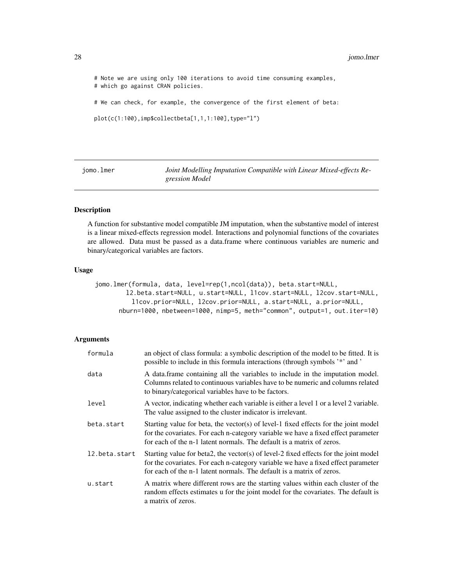<span id="page-27-0"></span># Note we are using only 100 iterations to avoid time consuming examples, # which go against CRAN policies.

# We can check, for example, the convergence of the first element of beta:

```
plot(c(1:100),imp$collectbeta[1,1,1:100],type="l")
```
jomo.lmer *Joint Modelling Imputation Compatible with Linear Mixed-effects Regression Model*

### Description

A function for substantive model compatible JM imputation, when the substantive model of interest is a linear mixed-effects regression model. Interactions and polynomial functions of the covariates are allowed. Data must be passed as a data.frame where continuous variables are numeric and binary/categorical variables are factors.

### Usage

```
jomo.lmer(formula, data, level=rep(1,ncol(data)), beta.start=NULL,
        l2.beta.start=NULL, u.start=NULL, l1cov.start=NULL, l2cov.start=NULL,
         l1cov.prior=NULL, l2cov.prior=NULL, a.start=NULL, a.prior=NULL,
      nburn=1000, nbetween=1000, nimp=5, meth="common", output=1, out.iter=10)
```

| formula       | an object of class formula: a symbolic description of the model to be fitted. It is<br>possible to include in this formula interactions (through symbols '*' and '                                                                                 |
|---------------|----------------------------------------------------------------------------------------------------------------------------------------------------------------------------------------------------------------------------------------------------|
| data          | A data frame containing all the variables to include in the imputation model.<br>Columns related to continuous variables have to be numeric and columns related<br>to binary/categorical variables have to be factors.                             |
| level         | A vector, indicating whether each variable is either a level 1 or a level 2 variable.<br>The value assigned to the cluster indicator is irrelevant.                                                                                                |
| beta.start    | Starting value for beta, the vector(s) of level-1 fixed effects for the joint model<br>for the covariates. For each n-category variable we have a fixed effect parameter<br>for each of the n-1 latent normals. The default is a matrix of zeros.  |
| l2.beta.start | Starting value for beta2, the vector(s) of level-2 fixed effects for the joint model<br>for the covariates. For each n-category variable we have a fixed effect parameter<br>for each of the n-1 latent normals. The default is a matrix of zeros. |
| u.start       | A matrix where different rows are the starting values within each cluster of the<br>random effects estimates u for the joint model for the covariates. The default is<br>a matrix of zeros.                                                        |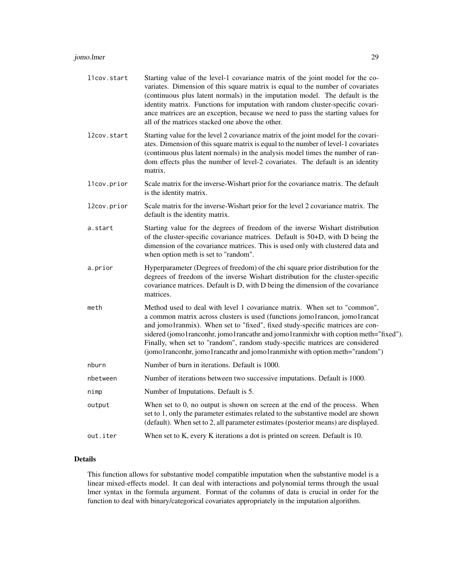### jomo.lmer 29

| l1cov.start | Starting value of the level-1 covariance matrix of the joint model for the co-<br>variates. Dimension of this square matrix is equal to the number of covariates<br>(continuous plus latent normals) in the imputation model. The default is the<br>identity matrix. Functions for imputation with random cluster-specific covari-<br>ance matrices are an exception, because we need to pass the starting values for<br>all of the matrices stacked one above the other.                      |
|-------------|------------------------------------------------------------------------------------------------------------------------------------------------------------------------------------------------------------------------------------------------------------------------------------------------------------------------------------------------------------------------------------------------------------------------------------------------------------------------------------------------|
| l2cov.start | Starting value for the level 2 covariance matrix of the joint model for the covari-<br>ates. Dimension of this square matrix is equal to the number of level-1 covariates<br>(continuous plus latent normals) in the analysis model times the number of ran-<br>dom effects plus the number of level-2 covariates. The default is an identity<br>matrix.                                                                                                                                       |
| l1cov.prior | Scale matrix for the inverse-Wishart prior for the covariance matrix. The default<br>is the identity matrix.                                                                                                                                                                                                                                                                                                                                                                                   |
| l2cov.prior | Scale matrix for the inverse-Wishart prior for the level 2 covariance matrix. The<br>default is the identity matrix.                                                                                                                                                                                                                                                                                                                                                                           |
| a.start     | Starting value for the degrees of freedom of the inverse Wishart distribution<br>of the cluster-specific covariance matrices. Default is 50+D, with D being the<br>dimension of the covariance matrices. This is used only with clustered data and<br>when option meth is set to "random".                                                                                                                                                                                                     |
| a.prior     | Hyperparameter (Degrees of freedom) of the chi square prior distribution for the<br>degrees of freedom of the inverse Wishart distribution for the cluster-specific<br>covariance matrices. Default is D, with D being the dimension of the covariance<br>matrices.                                                                                                                                                                                                                            |
| meth        | Method used to deal with level 1 covariance matrix. When set to "common",<br>a common matrix across clusters is used (functions jomo1rancon, jomo1rancat<br>and jomo1ranmix). When set to "fixed", fixed study-specific matrices are con-<br>sidered (jomo1ranconhr, jomo1rancathr and jomo1ranmixhr with coption meth="fixed").<br>Finally, when set to "random", random study-specific matrices are considered<br>(jomo1ranconhr, jomo1rancathr and jomo1ranmixhr with option meth="random") |
| nburn       | Number of burn in iterations. Default is 1000.                                                                                                                                                                                                                                                                                                                                                                                                                                                 |
| nbetween    | Number of iterations between two successive imputations. Default is 1000.                                                                                                                                                                                                                                                                                                                                                                                                                      |
| nimp        | Number of Imputations. Default is 5.                                                                                                                                                                                                                                                                                                                                                                                                                                                           |
| output      | When set to 0, no output is shown on screen at the end of the process. When<br>set to 1, only the parameter estimates related to the substantive model are shown<br>(default). When set to 2, all parameter estimates (posterior means) are displayed.                                                                                                                                                                                                                                         |
| out.iter    | When set to K, every K iterations a dot is printed on screen. Default is 10.                                                                                                                                                                                                                                                                                                                                                                                                                   |
|             |                                                                                                                                                                                                                                                                                                                                                                                                                                                                                                |

### Details

This function allows for substantive model compatible imputation when the substantive model is a linear mixed-effects model. It can deal with interactions and polynomial terms through the usual lmer syntax in the formula argument. Format of the columns of data is crucial in order for the function to deal with binary/categorical covariates appropriately in the imputation algorithm.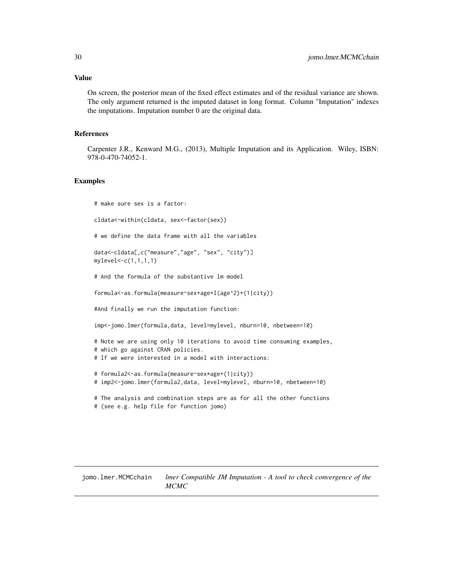<span id="page-29-0"></span>On screen, the posterior mean of the fixed effect estimates and of the residual variance are shown. The only argument returned is the imputed dataset in long format. Column "Imputation" indexes the imputations. Imputation number 0 are the original data.

### References

Carpenter J.R., Kenward M.G., (2013), Multiple Imputation and its Application. Wiley, ISBN: 978-0-470-74052-1.

#### Examples

# make sure sex is a factor: cldata<-within(cldata, sex<-factor(sex)) # we define the data frame with all the variables data<-cldata[,c("measure","age", "sex", "city")] mylevel<-c(1,1,1,1) # And the formula of the substantive lm model formula<-as.formula(measure~sex+age+I(age^2)+(1|city)) #And finally we run the imputation function: imp<-jomo.lmer(formula,data, level=mylevel, nburn=10, nbetween=10) # Note we are using only 10 iterations to avoid time consuming examples, # which go against CRAN policies. # If we were interested in a model with interactions: # formula2<-as.formula(measure~sex\*age+(1|city)) # imp2<-jomo.lmer(formula2,data, level=mylevel, nburn=10, nbetween=10) # The analysis and combination steps are as for all the other functions # (see e.g. help file for function jomo)

jomo.lmer.MCMCchain *lmer Compatible JM Imputation - A tool to check convergence of the MCMC*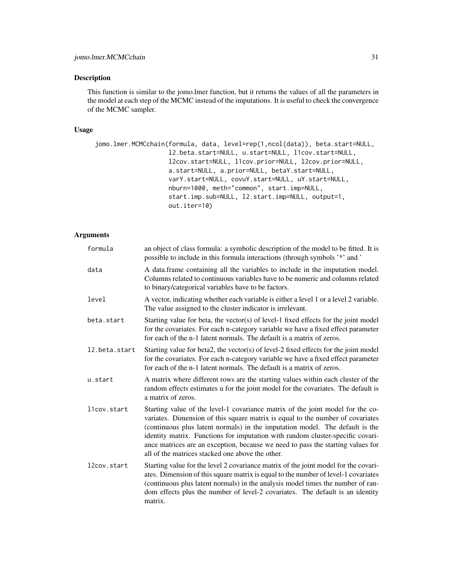### Description

This function is similar to the jomo.lmer function, but it returns the values of all the parameters in the model at each step of the MCMC instead of the imputations. It is useful to check the convergence of the MCMC sampler.

### Usage

```
jomo.lmer.MCMCchain(formula, data, level=rep(1,ncol(data)), beta.start=NULL,
                    l2.beta.start=NULL, u.start=NULL, l1cov.start=NULL,
                    l2cov.start=NULL, l1cov.prior=NULL, l2cov.prior=NULL,
                    a.start=NULL, a.prior=NULL, betaY.start=NULL,
                    varY.start=NULL, covuY.start=NULL, uY.start=NULL,
                    nburn=1000, meth="common", start.imp=NULL,
                    start.imp.sub=NULL, l2.start.imp=NULL, output=1,
                    out.iter=10)
```

| formula       | an object of class formula: a symbolic description of the model to be fitted. It is<br>possible to include in this formula interactions (through symbols '*' and '                                                                                                                                                                                                                                                                                                        |
|---------------|---------------------------------------------------------------------------------------------------------------------------------------------------------------------------------------------------------------------------------------------------------------------------------------------------------------------------------------------------------------------------------------------------------------------------------------------------------------------------|
| data          | A data.frame containing all the variables to include in the imputation model.<br>Columns related to continuous variables have to be numeric and columns related<br>to binary/categorical variables have to be factors.                                                                                                                                                                                                                                                    |
| level         | A vector, indicating whether each variable is either a level 1 or a level 2 variable.<br>The value assigned to the cluster indicator is irrelevant.                                                                                                                                                                                                                                                                                                                       |
| beta.start    | Starting value for beta, the vector(s) of level-1 fixed effects for the joint model<br>for the covariates. For each n-category variable we have a fixed effect parameter<br>for each of the n-1 latent normals. The default is a matrix of zeros.                                                                                                                                                                                                                         |
| 12.beta.start | Starting value for beta2, the vector(s) of level-2 fixed effects for the joint model<br>for the covariates. For each n-category variable we have a fixed effect parameter<br>for each of the n-1 latent normals. The default is a matrix of zeros.                                                                                                                                                                                                                        |
| u.start       | A matrix where different rows are the starting values within each cluster of the<br>random effects estimates u for the joint model for the covariates. The default is<br>a matrix of zeros.                                                                                                                                                                                                                                                                               |
| llcov.start   | Starting value of the level-1 covariance matrix of the joint model for the co-<br>variates. Dimension of this square matrix is equal to the number of covariates<br>(continuous plus latent normals) in the imputation model. The default is the<br>identity matrix. Functions for imputation with random cluster-specific covari-<br>ance matrices are an exception, because we need to pass the starting values for<br>all of the matrices stacked one above the other. |
| l2cov.start   | Starting value for the level 2 covariance matrix of the joint model for the covari-<br>ates. Dimension of this square matrix is equal to the number of level-1 covariates<br>(continuous plus latent normals) in the analysis model times the number of ran-<br>dom effects plus the number of level-2 covariates. The default is an identity<br>matrix.                                                                                                                  |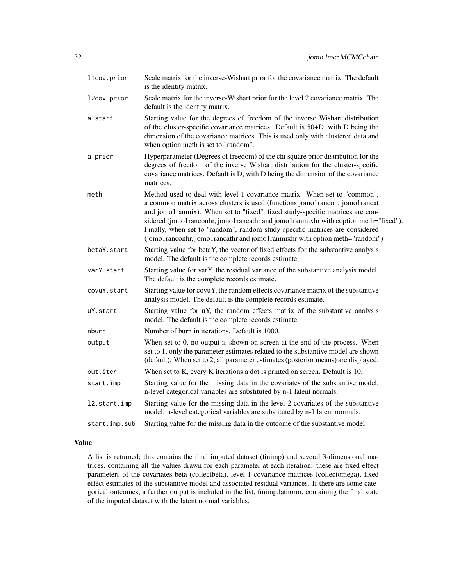| l1cov.prior   | Scale matrix for the inverse-Wishart prior for the covariance matrix. The default<br>is the identity matrix.                                                                                                                                                                                                                                                                                                                                                                                   |
|---------------|------------------------------------------------------------------------------------------------------------------------------------------------------------------------------------------------------------------------------------------------------------------------------------------------------------------------------------------------------------------------------------------------------------------------------------------------------------------------------------------------|
| l2cov.prior   | Scale matrix for the inverse-Wishart prior for the level 2 covariance matrix. The<br>default is the identity matrix.                                                                                                                                                                                                                                                                                                                                                                           |
| a.start       | Starting value for the degrees of freedom of the inverse Wishart distribution<br>of the cluster-specific covariance matrices. Default is 50+D, with D being the<br>dimension of the covariance matrices. This is used only with clustered data and<br>when option meth is set to "random".                                                                                                                                                                                                     |
| a.prior       | Hyperparameter (Degrees of freedom) of the chi square prior distribution for the<br>degrees of freedom of the inverse Wishart distribution for the cluster-specific<br>covariance matrices. Default is D, with D being the dimension of the covariance<br>matrices.                                                                                                                                                                                                                            |
| meth          | Method used to deal with level 1 covariance matrix. When set to "common",<br>a common matrix across clusters is used (functions jomo1rancon, jomo1rancat<br>and jomo1ranmix). When set to "fixed", fixed study-specific matrices are con-<br>sidered (jomo1ranconhr, jomo1rancathr and jomo1ranmixhr with coption meth="fixed").<br>Finally, when set to "random", random study-specific matrices are considered<br>(jomo1ranconhr, jomo1rancathr and jomo1ranmixhr with option meth="random") |
| betaY.start   | Starting value for betaY, the vector of fixed effects for the substantive analysis<br>model. The default is the complete records estimate.                                                                                                                                                                                                                                                                                                                                                     |
| varY.start    | Starting value for varY, the residual variance of the substantive analysis model.<br>The default is the complete records estimate.                                                                                                                                                                                                                                                                                                                                                             |
| covuY.start   | Starting value for covuY, the random effects covariance matrix of the substantive<br>analysis model. The default is the complete records estimate.                                                                                                                                                                                                                                                                                                                                             |
| uY.start      | Starting value for uY, the random effects matrix of the substantive analysis<br>model. The default is the complete records estimate.                                                                                                                                                                                                                                                                                                                                                           |
| nburn         | Number of burn in iterations. Default is 1000.                                                                                                                                                                                                                                                                                                                                                                                                                                                 |
| output        | When set to $0$ , no output is shown on screen at the end of the process. When<br>set to 1, only the parameter estimates related to the substantive model are shown<br>(default). When set to 2, all parameter estimates (posterior means) are displayed.                                                                                                                                                                                                                                      |
| out.iter      | When set to K, every K iterations a dot is printed on screen. Default is 10.                                                                                                                                                                                                                                                                                                                                                                                                                   |
| start.imp     | Starting value for the missing data in the covariates of the substantive model.<br>n-level categorical variables are substituted by n-1 latent normals.                                                                                                                                                                                                                                                                                                                                        |
| 12.start.imp  | Starting value for the missing data in the level-2 covariates of the substantive<br>model. n-level categorical variables are substituted by n-1 latent normals.                                                                                                                                                                                                                                                                                                                                |
| start.imp.sub | Starting value for the missing data in the outcome of the substantive model.                                                                                                                                                                                                                                                                                                                                                                                                                   |

### Value

A list is returned; this contains the final imputed dataset (finimp) and several 3-dimensional matrices, containing all the values drawn for each parameter at each iteration: these are fixed effect parameters of the covariates beta (collectbeta), level 1 covariance matrices (collectomega), fixed effect estimates of the substantive model and associated residual variances. If there are some categorical outcomes, a further output is included in the list, finimp.latnorm, containing the final state of the imputed dataset with the latent normal variables.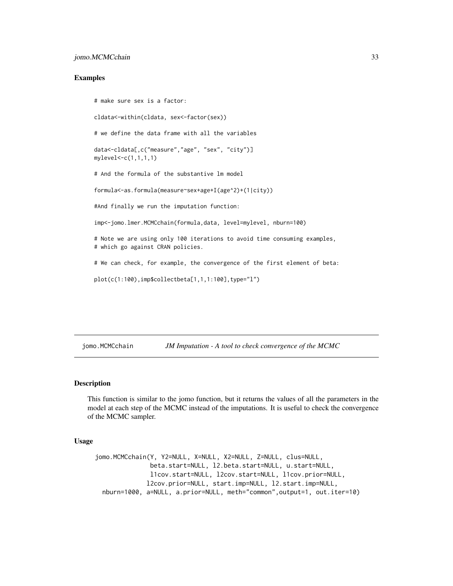### <span id="page-32-0"></span>jomo.MCMCchain 33

#### Examples

```
# make sure sex is a factor:
cldata<-within(cldata, sex<-factor(sex))
# we define the data frame with all the variables
data<-cldata[,c("measure","age", "sex", "city")]
mylevel<-c(1,1,1,1)
# And the formula of the substantive lm model
formula<-as.formula(measure~sex+age+I(age^2)+(1|city))
#And finally we run the imputation function:
imp<-jomo.lmer.MCMCchain(formula,data, level=mylevel, nburn=100)
# Note we are using only 100 iterations to avoid time consuming examples,
# which go against CRAN policies.
# We can check, for example, the convergence of the first element of beta:
plot(c(1:100),imp$collectbeta[1,1,1:100],type="l")
```
jomo.MCMCchain *JM Imputation - A tool to check convergence of the MCMC*

### Description

This function is similar to the jomo function, but it returns the values of all the parameters in the model at each step of the MCMC instead of the imputations. It is useful to check the convergence of the MCMC sampler.

#### Usage

```
jomo.MCMCchain(Y, Y2=NULL, X=NULL, X2=NULL, Z=NULL, clus=NULL,
              beta.start=NULL, l2.beta.start=NULL, u.start=NULL,
              l1cov.start=NULL, l2cov.start=NULL, l1cov.prior=NULL,
             l2cov.prior=NULL, start.imp=NULL, l2.start.imp=NULL,
 nburn=1000, a=NULL, a.prior=NULL, meth="common",output=1, out.iter=10)
```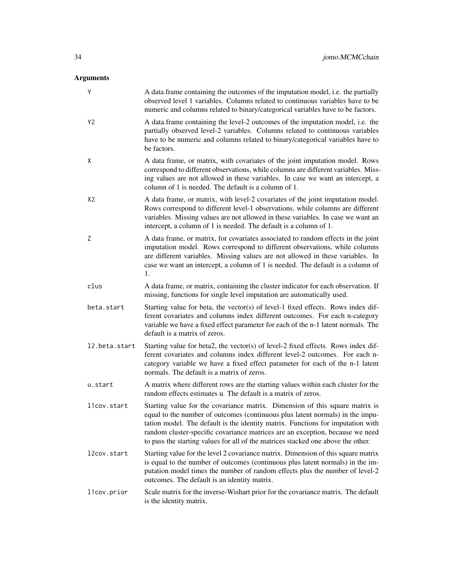| Y              | A data frame containing the outcomes of the imputation model, i.e. the partially<br>observed level 1 variables. Columns related to continuous variables have to be<br>numeric and columns related to binary/categorical variables have to be factors.                                                                                                                                                                 |
|----------------|-----------------------------------------------------------------------------------------------------------------------------------------------------------------------------------------------------------------------------------------------------------------------------------------------------------------------------------------------------------------------------------------------------------------------|
| Y2             | A data. frame containing the level-2 outcomes of the imputation model, i.e. the<br>partially observed level-2 variables. Columns related to continuous variables<br>have to be numeric and columns related to binary/categorical variables have to<br>be factors.                                                                                                                                                     |
| X              | A data frame, or matrix, with covariates of the joint imputation model. Rows<br>correspond to different observations, while columns are different variables. Miss-<br>ing values are not allowed in these variables. In case we want an intercept, a<br>column of 1 is needed. The default is a column of 1.                                                                                                          |
| X <sub>2</sub> | A data frame, or matrix, with level-2 covariates of the joint imputation model.<br>Rows correspond to different level-1 observations, while columns are different<br>variables. Missing values are not allowed in these variables. In case we want an<br>intercept, a column of 1 is needed. The default is a column of 1.                                                                                            |
| Ζ              | A data frame, or matrix, for covariates associated to random effects in the joint<br>imputation model. Rows correspond to different observations, while columns<br>are different variables. Missing values are not allowed in these variables. In<br>case we want an intercept, a column of 1 is needed. The default is a column of<br>1.                                                                             |
| clus           | A data frame, or matrix, containing the cluster indicator for each observation. If<br>missing, functions for single level imputation are automatically used.                                                                                                                                                                                                                                                          |
| beta.start     | Starting value for beta, the vector(s) of level-1 fixed effects. Rows index dif-<br>ferent covariates and columns index different outcomes. For each n-category<br>variable we have a fixed effect parameter for each of the n-1 latent normals. The<br>default is a matrix of zeros.                                                                                                                                 |
| 12.beta.start  | Starting value for beta2, the vector(s) of level-2 fixed effects. Rows index dif-<br>ferent covariates and columns index different level-2 outcomes. For each n-<br>category variable we have a fixed effect parameter for each of the n-1 latent<br>normals. The default is a matrix of zeros.                                                                                                                       |
| u.start        | A matrix where different rows are the starting values within each cluster for the<br>random effects estimates u. The default is a matrix of zeros.                                                                                                                                                                                                                                                                    |
| llcov.start    | Starting value for the covariance matrix. Dimension of this square matrix is<br>equal to the number of outcomes (continuous plus latent normals) in the impu-<br>tation model. The default is the identity matrix. Functions for imputation with<br>random cluster-specific covariance matrices are an exception, because we need<br>to pass the starting values for all of the matrices stacked one above the other. |
| l2cov.start    | Starting value for the level 2 covariance matrix. Dimension of this square matrix<br>is equal to the number of outcomes (continuous plus latent normals) in the im-<br>putation model times the number of random effects plus the number of level-2<br>outcomes. The default is an identity matrix.                                                                                                                   |
| l1cov.prior    | Scale matrix for the inverse-Wishart prior for the covariance matrix. The default<br>is the identity matrix.                                                                                                                                                                                                                                                                                                          |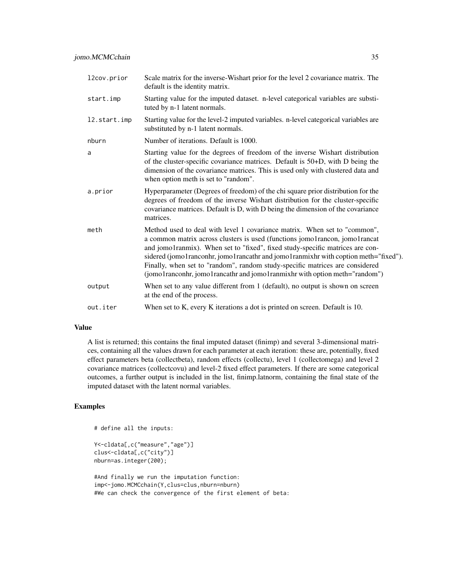| l2cov.prior  | Scale matrix for the inverse-Wishart prior for the level 2 covariance matrix. The<br>default is the identity matrix.                                                                                                                                                                                                                                                                                                                                                                           |
|--------------|------------------------------------------------------------------------------------------------------------------------------------------------------------------------------------------------------------------------------------------------------------------------------------------------------------------------------------------------------------------------------------------------------------------------------------------------------------------------------------------------|
| start.imp    | Starting value for the imputed dataset. n-level categorical variables are substi-<br>tuted by n-1 latent normals.                                                                                                                                                                                                                                                                                                                                                                              |
| 12.start.imp | Starting value for the level-2 imputed variables. n-level categorical variables are<br>substituted by n-1 latent normals.                                                                                                                                                                                                                                                                                                                                                                      |
| nburn        | Number of iterations. Default is 1000.                                                                                                                                                                                                                                                                                                                                                                                                                                                         |
| a            | Starting value for the degrees of freedom of the inverse Wishart distribution<br>of the cluster-specific covariance matrices. Default is 50+D, with D being the<br>dimension of the covariance matrices. This is used only with clustered data and<br>when option meth is set to "random".                                                                                                                                                                                                     |
| a.prior      | Hyperparameter (Degrees of freedom) of the chi square prior distribution for the<br>degrees of freedom of the inverse Wishart distribution for the cluster-specific<br>covariance matrices. Default is D, with D being the dimension of the covariance<br>matrices.                                                                                                                                                                                                                            |
| meth         | Method used to deal with level 1 covariance matrix. When set to "common",<br>a common matrix across clusters is used (functions jomo1rancon, jomo1rancat<br>and jomo1ranmix). When set to "fixed", fixed study-specific matrices are con-<br>sidered (jomo1ranconhr, jomo1rancathr and jomo1ranmixhr with coption meth="fixed").<br>Finally, when set to "random", random study-specific matrices are considered<br>(jomo1ranconhr, jomo1rancathr and jomo1ranmixhr with option meth="random") |
| output       | When set to any value different from 1 (default), no output is shown on screen<br>at the end of the process.                                                                                                                                                                                                                                                                                                                                                                                   |
| out.iter     | When set to K, every K iterations a dot is printed on screen. Default is 10.                                                                                                                                                                                                                                                                                                                                                                                                                   |

#### Value

A list is returned; this contains the final imputed dataset (finimp) and several 3-dimensional matrices, containing all the values drawn for each parameter at each iteration: these are, potentially, fixed effect parameters beta (collectbeta), random effects (collectu), level 1 (collectomega) and level 2 covariance matrices (collectcovu) and level-2 fixed effect parameters. If there are some categorical outcomes, a further output is included in the list, finimp.latnorm, containing the final state of the imputed dataset with the latent normal variables.

### Examples

```
# define all the inputs:
```

```
Y<-cldata[,c("measure","age")]
clus<-cldata[,c("city")]
nburn=as.integer(200);
```
#And finally we run the imputation function: imp<-jomo.MCMCchain(Y,clus=clus,nburn=nburn) #We can check the convergence of the first element of beta: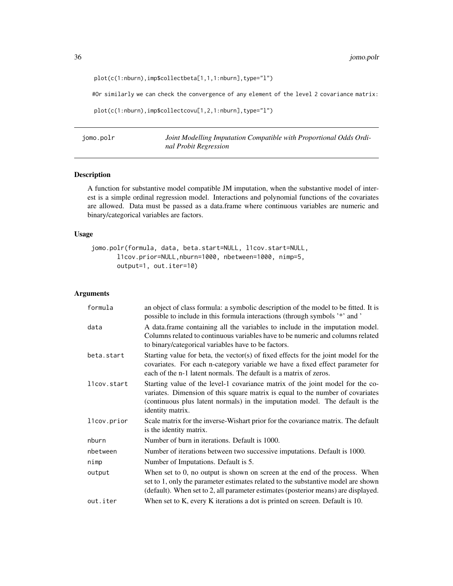```
plot(c(1:nburn),imp$collectbeta[1,1,1:nburn],type="l")
```
#Or similarly we can check the convergence of any element of the level 2 covariance matrix:

```
plot(c(1:nburn),imp$collectcovu[1,2,1:nburn],type="l")
```
jomo.polr *Joint Modelling Imputation Compatible with Proportional Odds Ordinal Probit Regression*

### Description

A function for substantive model compatible JM imputation, when the substantive model of interest is a simple ordinal regression model. Interactions and polynomial functions of the covariates are allowed. Data must be passed as a data.frame where continuous variables are numeric and binary/categorical variables are factors.

#### Usage

```
jomo.polr(formula, data, beta.start=NULL, l1cov.start=NULL,
       l1cov.prior=NULL,nburn=1000, nbetween=1000, nimp=5,
       output=1, out.iter=10)
```

| formula     | an object of class formula: a symbolic description of the model to be fitted. It is<br>possible to include in this formula interactions (through symbols '*' and '                                                                                                   |
|-------------|----------------------------------------------------------------------------------------------------------------------------------------------------------------------------------------------------------------------------------------------------------------------|
| data        | A data.frame containing all the variables to include in the imputation model.<br>Columns related to continuous variables have to be numeric and columns related<br>to binary/categorical variables have to be factors.                                               |
| beta.start  | Starting value for beta, the vector(s) of fixed effects for the joint model for the<br>covariates. For each n-category variable we have a fixed effect parameter for<br>each of the n-1 latent normals. The default is a matrix of zeros.                            |
| llcov.start | Starting value of the level-1 covariance matrix of the joint model for the co-<br>variates. Dimension of this square matrix is equal to the number of covariates<br>(continuous plus latent normals) in the imputation model. The default is the<br>identity matrix. |
| llcov.prior | Scale matrix for the inverse-Wishart prior for the covariance matrix. The default<br>is the identity matrix.                                                                                                                                                         |
| nburn       | Number of burn in iterations. Default is 1000.                                                                                                                                                                                                                       |
| nbetween    | Number of iterations between two successive imputations. Default is 1000.                                                                                                                                                                                            |
| nimp        | Number of Imputations. Default is 5.                                                                                                                                                                                                                                 |
| output      | When set to 0, no output is shown on screen at the end of the process. When<br>set to 1, only the parameter estimates related to the substantive model are shown<br>(default). When set to 2, all parameter estimates (posterior means) are displayed.               |
| out.iter    | When set to K, every K iterations a dot is printed on screen. Default is 10.                                                                                                                                                                                         |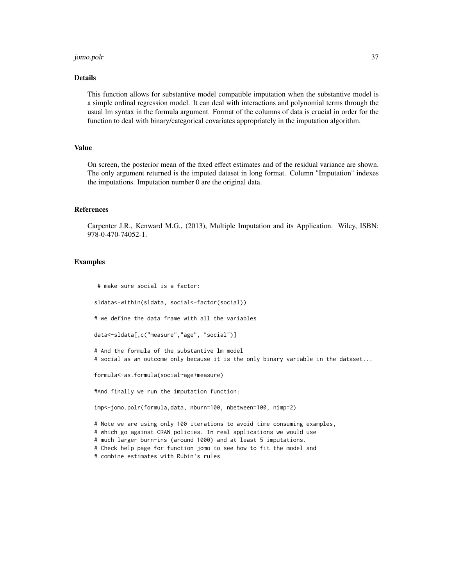#### jomo.polr 37

### Details

This function allows for substantive model compatible imputation when the substantive model is a simple ordinal regression model. It can deal with interactions and polynomial terms through the usual lm syntax in the formula argument. Format of the columns of data is crucial in order for the function to deal with binary/categorical covariates appropriately in the imputation algorithm.

#### Value

On screen, the posterior mean of the fixed effect estimates and of the residual variance are shown. The only argument returned is the imputed dataset in long format. Column "Imputation" indexes the imputations. Imputation number 0 are the original data.

### References

Carpenter J.R., Kenward M.G., (2013), Multiple Imputation and its Application. Wiley, ISBN: 978-0-470-74052-1.

#### Examples

# make sure social is a factor:

sldata<-within(sldata, social<-factor(social))

# we define the data frame with all the variables

data<-sldata[,c("measure","age", "social")]

# And the formula of the substantive lm model # social as an outcome only because it is the only binary variable in the dataset...

formula<-as.formula(social~age+measure)

#And finally we run the imputation function:

imp<-jomo.polr(formula,data, nburn=100, nbetween=100, nimp=2)

# Note we are using only 100 iterations to avoid time consuming examples, # which go against CRAN policies. In real applications we would use # much larger burn-ins (around 1000) and at least 5 imputations. # Check help page for function jomo to see how to fit the model and # combine estimates with Rubin's rules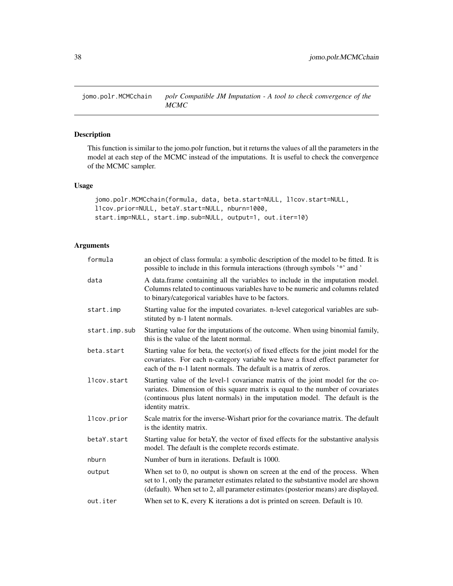jomo.polr.MCMCchain *polr Compatible JM Imputation - A tool to check convergence of the MCMC*

## Description

This function is similar to the jomo.polr function, but it returns the values of all the parameters in the model at each step of the MCMC instead of the imputations. It is useful to check the convergence of the MCMC sampler.

### Usage

```
jomo.polr.MCMCchain(formula, data, beta.start=NULL, l1cov.start=NULL,
l1cov.prior=NULL, betaY.start=NULL, nburn=1000,
start.imp=NULL, start.imp.sub=NULL, output=1, out.iter=10)
```

| formula       | an object of class formula: a symbolic description of the model to be fitted. It is<br>possible to include in this formula interactions (through symbols '*' and '                                                                                                   |
|---------------|----------------------------------------------------------------------------------------------------------------------------------------------------------------------------------------------------------------------------------------------------------------------|
| data          | A data.frame containing all the variables to include in the imputation model.<br>Columns related to continuous variables have to be numeric and columns related<br>to binary/categorical variables have to be factors.                                               |
| start.imp     | Starting value for the imputed covariates. n-level categorical variables are sub-<br>stituted by n-1 latent normals.                                                                                                                                                 |
| start.imp.sub | Starting value for the imputations of the outcome. When using binomial family,<br>this is the value of the latent normal.                                                                                                                                            |
| beta.start    | Starting value for beta, the vector(s) of fixed effects for the joint model for the<br>covariates. For each n-category variable we have a fixed effect parameter for<br>each of the n-1 latent normals. The default is a matrix of zeros.                            |
| llcov.start   | Starting value of the level-1 covariance matrix of the joint model for the co-<br>variates. Dimension of this square matrix is equal to the number of covariates<br>(continuous plus latent normals) in the imputation model. The default is the<br>identity matrix. |
| llcov.prior   | Scale matrix for the inverse-Wishart prior for the covariance matrix. The default<br>is the identity matrix.                                                                                                                                                         |
| betaY.start   | Starting value for betaY, the vector of fixed effects for the substantive analysis<br>model. The default is the complete records estimate.                                                                                                                           |
| nburn         | Number of burn in iterations. Default is 1000.                                                                                                                                                                                                                       |
| output        | When set to 0, no output is shown on screen at the end of the process. When<br>set to 1, only the parameter estimates related to the substantive model are shown<br>(default). When set to 2, all parameter estimates (posterior means) are displayed.               |
| out.iter      | When set to K, every K iterations a dot is printed on screen. Default is 10.                                                                                                                                                                                         |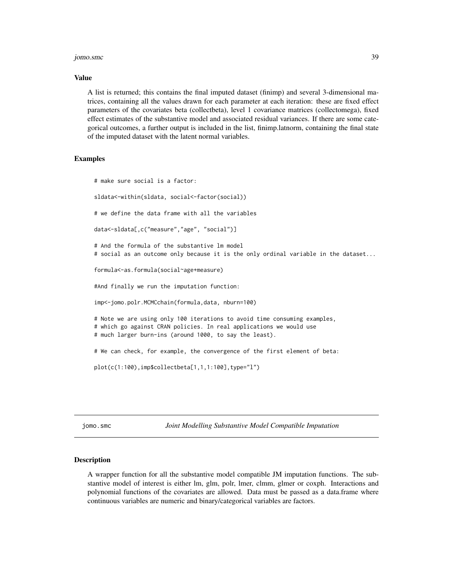#### jomo.smc 39

#### Value

A list is returned; this contains the final imputed dataset (finimp) and several 3-dimensional matrices, containing all the values drawn for each parameter at each iteration: these are fixed effect parameters of the covariates beta (collectbeta), level 1 covariance matrices (collectomega), fixed effect estimates of the substantive model and associated residual variances. If there are some categorical outcomes, a further output is included in the list, finimp.latnorm, containing the final state of the imputed dataset with the latent normal variables.

### Examples

```
# make sure social is a factor:
sldata<-within(sldata, social<-factor(social))
# we define the data frame with all the variables
data<-sldata[,c("measure","age", "social")]
# And the formula of the substantive lm model
# social as an outcome only because it is the only ordinal variable in the dataset...
formula<-as.formula(social~age+measure)
#And finally we run the imputation function:
imp<-jomo.polr.MCMCchain(formula,data, nburn=100)
# Note we are using only 100 iterations to avoid time consuming examples,
# which go against CRAN policies. In real applications we would use
# much larger burn-ins (around 1000, to say the least).
# We can check, for example, the convergence of the first element of beta:
plot(c(1:100),imp$collectbeta[1,1,1:100],type="l")
```
jomo.smc *Joint Modelling Substantive Model Compatible Imputation*

### Description

A wrapper function for all the substantive model compatible JM imputation functions. The substantive model of interest is either lm, glm, polr, lmer, clmm, glmer or coxph. Interactions and polynomial functions of the covariates are allowed. Data must be passed as a data.frame where continuous variables are numeric and binary/categorical variables are factors.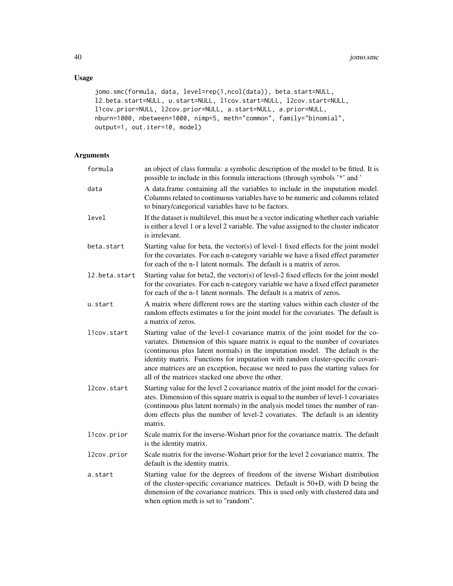# Usage

```
jomo.smc(formula, data, level=rep(1,ncol(data)), beta.start=NULL,
l2.beta.start=NULL, u.start=NULL, l1cov.start=NULL, l2cov.start=NULL,
l1cov.prior=NULL, l2cov.prior=NULL, a.start=NULL, a.prior=NULL,
nburn=1000, nbetween=1000, nimp=5, meth="common", family="binomial",
output=1, out.iter=10, model)
```

| formula       | an object of class formula: a symbolic description of the model to be fitted. It is<br>possible to include in this formula interactions (through symbols '*' and '                                                                                                                                                                                                                                                                                                        |
|---------------|---------------------------------------------------------------------------------------------------------------------------------------------------------------------------------------------------------------------------------------------------------------------------------------------------------------------------------------------------------------------------------------------------------------------------------------------------------------------------|
| data          | A data.frame containing all the variables to include in the imputation model.<br>Columns related to continuous variables have to be numeric and columns related<br>to binary/categorical variables have to be factors.                                                                                                                                                                                                                                                    |
| level         | If the dataset is multilevel, this must be a vector indicating whether each variable<br>is either a level 1 or a level 2 variable. The value assigned to the cluster indicator<br>is irrelevant.                                                                                                                                                                                                                                                                          |
| beta.start    | Starting value for beta, the vector(s) of level-1 fixed effects for the joint model<br>for the covariates. For each n-category variable we have a fixed effect parameter<br>for each of the n-1 latent normals. The default is a matrix of zeros.                                                                                                                                                                                                                         |
| l2.beta.start | Starting value for beta2, the vector(s) of level-2 fixed effects for the joint model<br>for the covariates. For each n-category variable we have a fixed effect parameter<br>for each of the n-1 latent normals. The default is a matrix of zeros.                                                                                                                                                                                                                        |
| u.start       | A matrix where different rows are the starting values within each cluster of the<br>random effects estimates u for the joint model for the covariates. The default is<br>a matrix of zeros.                                                                                                                                                                                                                                                                               |
| l1cov.start   | Starting value of the level-1 covariance matrix of the joint model for the co-<br>variates. Dimension of this square matrix is equal to the number of covariates<br>(continuous plus latent normals) in the imputation model. The default is the<br>identity matrix. Functions for imputation with random cluster-specific covari-<br>ance matrices are an exception, because we need to pass the starting values for<br>all of the matrices stacked one above the other. |
| l2cov.start   | Starting value for the level 2 covariance matrix of the joint model for the covari-<br>ates. Dimension of this square matrix is equal to the number of level-1 covariates<br>(continuous plus latent normals) in the analysis model times the number of ran-<br>dom effects plus the number of level-2 covariates. The default is an identity<br>matrix.                                                                                                                  |
| l1cov.prior   | Scale matrix for the inverse-Wishart prior for the covariance matrix. The default<br>is the identity matrix.                                                                                                                                                                                                                                                                                                                                                              |
| l2cov.prior   | Scale matrix for the inverse-Wishart prior for the level 2 covariance matrix. The<br>default is the identity matrix.                                                                                                                                                                                                                                                                                                                                                      |
| a.start       | Starting value for the degrees of freedom of the inverse Wishart distribution<br>of the cluster-specific covariance matrices. Default is 50+D, with D being the<br>dimension of the covariance matrices. This is used only with clustered data and<br>when option meth is set to "random".                                                                                                                                                                                |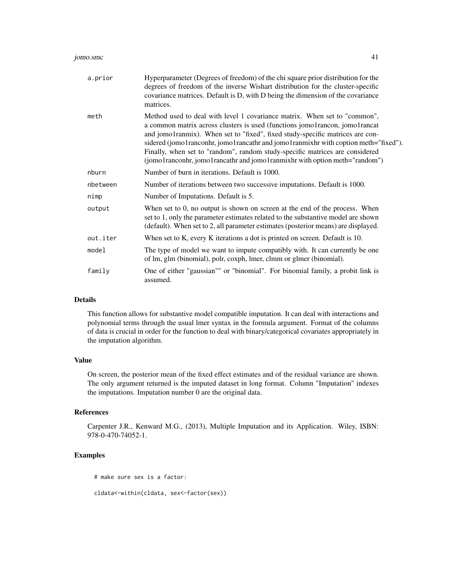#### jomo.smc 41

| a.prior  | Hyperparameter (Degrees of freedom) of the chi square prior distribution for the<br>degrees of freedom of the inverse Wishart distribution for the cluster-specific<br>covariance matrices. Default is D, with D being the dimension of the covariance<br>matrices.                                                                                                                                                                                                                            |
|----------|------------------------------------------------------------------------------------------------------------------------------------------------------------------------------------------------------------------------------------------------------------------------------------------------------------------------------------------------------------------------------------------------------------------------------------------------------------------------------------------------|
| meth     | Method used to deal with level 1 covariance matrix. When set to "common",<br>a common matrix across clusters is used (functions jomo1rancon, jomo1rancat<br>and jomo1ranmix). When set to "fixed", fixed study-specific matrices are con-<br>sidered (jomo1ranconhr, jomo1rancathr and jomo1ranmixhr with coption meth="fixed").<br>Finally, when set to "random", random study-specific matrices are considered<br>(jomo1ranconhr, jomo1rancathr and jomo1ranmixhr with option meth="random") |
| nburn    | Number of burn in iterations. Default is 1000.                                                                                                                                                                                                                                                                                                                                                                                                                                                 |
| nbetween | Number of iterations between two successive imputations. Default is 1000.                                                                                                                                                                                                                                                                                                                                                                                                                      |
| nimp     | Number of Imputations. Default is 5.                                                                                                                                                                                                                                                                                                                                                                                                                                                           |
| output   | When set to $0$ , no output is shown on screen at the end of the process. When<br>set to 1, only the parameter estimates related to the substantive model are shown<br>(default). When set to 2, all parameter estimates (posterior means) are displayed.                                                                                                                                                                                                                                      |
| out.iter | When set to K, every K iterations a dot is printed on screen. Default is 10.                                                                                                                                                                                                                                                                                                                                                                                                                   |
| model    | The type of model we want to impute compatibly with. It can currently be one<br>of lm, glm (binomial), polr, coxph, lmer, clmm or glmer (binomial).                                                                                                                                                                                                                                                                                                                                            |
| family   | One of either "gaussian"" or "binomial". For binomial family, a probit link is<br>assumed.                                                                                                                                                                                                                                                                                                                                                                                                     |

## Details

This function allows for substantive model compatible imputation. It can deal with interactions and polynomial terms through the usual lmer syntax in the formula argument. Format of the columns of data is crucial in order for the function to deal with binary/categorical covariates appropriately in the imputation algorithm.

## Value

On screen, the posterior mean of the fixed effect estimates and of the residual variance are shown. The only argument returned is the imputed dataset in long format. Column "Imputation" indexes the imputations. Imputation number 0 are the original data.

### References

Carpenter J.R., Kenward M.G., (2013), Multiple Imputation and its Application. Wiley, ISBN: 978-0-470-74052-1.

## Examples

```
# make sure sex is a factor:
```

```
cldata<-within(cldata, sex<-factor(sex))
```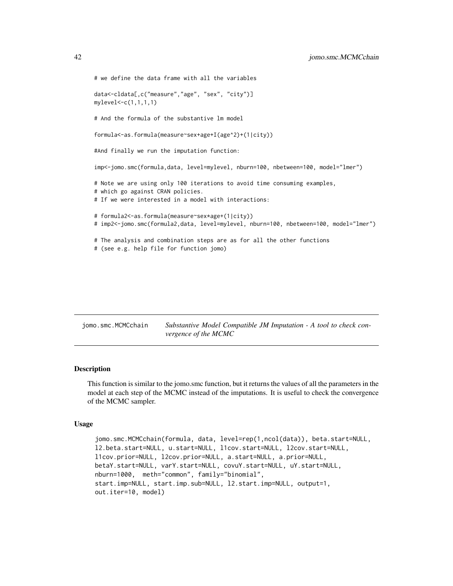```
# we define the data frame with all the variables
data<-cldata[,c("measure","age", "sex", "city")]
mylevel<-c(1,1,1,1)
# And the formula of the substantive lm model
formula<-as.formula(measure~sex+age+I(age^2)+(1|city))
#And finally we run the imputation function:
imp<-jomo.smc(formula,data, level=mylevel, nburn=100, nbetween=100, model="lmer")
# Note we are using only 100 iterations to avoid time consuming examples,
# which go against CRAN policies.
# If we were interested in a model with interactions:
# formula2<-as.formula(measure~sex*age+(1|city))
# imp2<-jomo.smc(formula2,data, level=mylevel, nburn=100, nbetween=100, model="lmer")
# The analysis and combination steps are as for all the other functions
# (see e.g. help file for function jomo)
```
jomo.smc.MCMCchain *Substantive Model Compatible JM Imputation - A tool to check convergence of the MCMC*

#### Description

This function is similar to the jomo.smc function, but it returns the values of all the parameters in the model at each step of the MCMC instead of the imputations. It is useful to check the convergence of the MCMC sampler.

#### Usage

```
jomo.smc.MCMCchain(formula, data, level=rep(1,ncol(data)), beta.start=NULL,
l2.beta.start=NULL, u.start=NULL, l1cov.start=NULL, l2cov.start=NULL,
l1cov.prior=NULL, l2cov.prior=NULL, a.start=NULL, a.prior=NULL,
betaY.start=NULL, varY.start=NULL, covuY.start=NULL, uY.start=NULL,
nburn=1000, meth="common", family="binomial",
start.imp=NULL, start.imp.sub=NULL, l2.start.imp=NULL, output=1,
out.iter=10, model)
```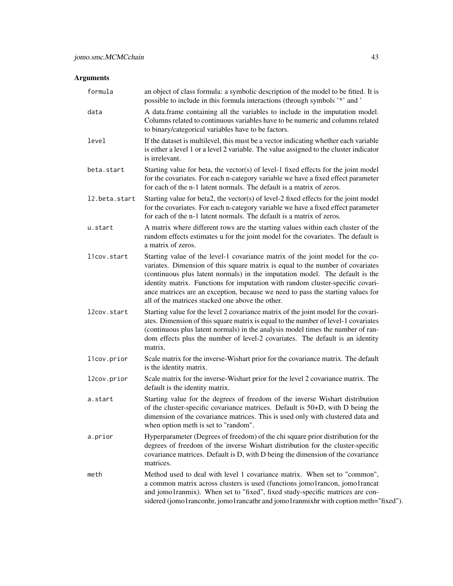| formula       | an object of class formula: a symbolic description of the model to be fitted. It is<br>possible to include in this formula interactions (through symbols '*' and '                                                                                                                                                                                                                                                                                                        |
|---------------|---------------------------------------------------------------------------------------------------------------------------------------------------------------------------------------------------------------------------------------------------------------------------------------------------------------------------------------------------------------------------------------------------------------------------------------------------------------------------|
| data          | A data.frame containing all the variables to include in the imputation model.<br>Columns related to continuous variables have to be numeric and columns related<br>to binary/categorical variables have to be factors.                                                                                                                                                                                                                                                    |
| level         | If the dataset is multilevel, this must be a vector indicating whether each variable<br>is either a level 1 or a level 2 variable. The value assigned to the cluster indicator<br>is irrelevant.                                                                                                                                                                                                                                                                          |
| beta.start    | Starting value for beta, the vector(s) of level-1 fixed effects for the joint model<br>for the covariates. For each n-category variable we have a fixed effect parameter<br>for each of the n-1 latent normals. The default is a matrix of zeros.                                                                                                                                                                                                                         |
| 12.beta.start | Starting value for beta2, the vector(s) of level-2 fixed effects for the joint model<br>for the covariates. For each n-category variable we have a fixed effect parameter<br>for each of the n-1 latent normals. The default is a matrix of zeros.                                                                                                                                                                                                                        |
| u.start       | A matrix where different rows are the starting values within each cluster of the<br>random effects estimates u for the joint model for the covariates. The default is<br>a matrix of zeros.                                                                                                                                                                                                                                                                               |
| l1cov.start   | Starting value of the level-1 covariance matrix of the joint model for the co-<br>variates. Dimension of this square matrix is equal to the number of covariates<br>(continuous plus latent normals) in the imputation model. The default is the<br>identity matrix. Functions for imputation with random cluster-specific covari-<br>ance matrices are an exception, because we need to pass the starting values for<br>all of the matrices stacked one above the other. |
| l2cov.start   | Starting value for the level 2 covariance matrix of the joint model for the covari-<br>ates. Dimension of this square matrix is equal to the number of level-1 covariates<br>(continuous plus latent normals) in the analysis model times the number of ran-<br>dom effects plus the number of level-2 covariates. The default is an identity<br>matrix.                                                                                                                  |
| l1cov.prior   | Scale matrix for the inverse-Wishart prior for the covariance matrix. The default<br>is the identity matrix.                                                                                                                                                                                                                                                                                                                                                              |
| l2cov.prior   | Scale matrix for the inverse-Wishart prior for the level 2 covariance matrix. The<br>default is the identity matrix.                                                                                                                                                                                                                                                                                                                                                      |
| a.start       | Starting value for the degrees of freedom of the inverse Wishart distribution<br>of the cluster-specific covariance matrices. Default is 50+D, with D being the<br>dimension of the covariance matrices. This is used only with clustered data and<br>when option meth is set to "random".                                                                                                                                                                                |
| a.prior       | Hyperparameter (Degrees of freedom) of the chi square prior distribution for the<br>degrees of freedom of the inverse Wishart distribution for the cluster-specific<br>covariance matrices. Default is D, with D being the dimension of the covariance<br>matrices.                                                                                                                                                                                                       |
| meth          | Method used to deal with level 1 covariance matrix. When set to "common",<br>a common matrix across clusters is used (functions jomo1rancon, jomo1rancat<br>and jomo1ranmix). When set to "fixed", fixed study-specific matrices are con-<br>sidered (jomo1ranconhr, jomo1rancathr and jomo1ranmixhr with coption meth="fixed").                                                                                                                                          |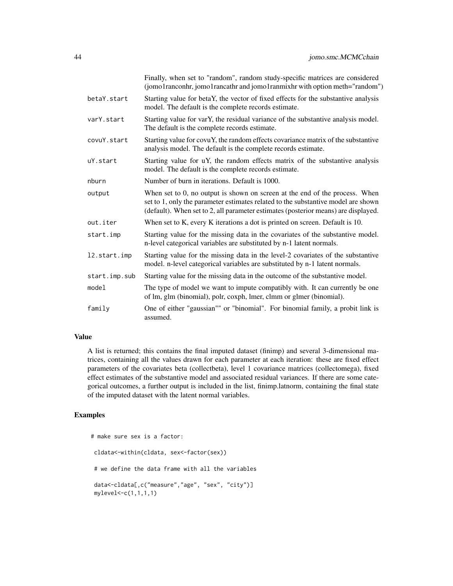|               | Finally, when set to "random", random study-specific matrices are considered<br>(jomo1ranconhr, jomo1rancathr and jomo1ranmixhr with option meth="random")                                                                                                |
|---------------|-----------------------------------------------------------------------------------------------------------------------------------------------------------------------------------------------------------------------------------------------------------|
| betaY.start   | Starting value for betaY, the vector of fixed effects for the substantive analysis<br>model. The default is the complete records estimate.                                                                                                                |
| varY.start    | Starting value for varY, the residual variance of the substantive analysis model.<br>The default is the complete records estimate.                                                                                                                        |
| covuY.start   | Starting value for covuY, the random effects covariance matrix of the substantive<br>analysis model. The default is the complete records estimate.                                                                                                        |
| uY.start      | Starting value for uY, the random effects matrix of the substantive analysis<br>model. The default is the complete records estimate.                                                                                                                      |
| nburn         | Number of burn in iterations. Default is 1000.                                                                                                                                                                                                            |
| output        | When set to $0$ , no output is shown on screen at the end of the process. When<br>set to 1, only the parameter estimates related to the substantive model are shown<br>(default). When set to 2, all parameter estimates (posterior means) are displayed. |
| out.iter      | When set to K, every K iterations a dot is printed on screen. Default is 10.                                                                                                                                                                              |
| start.imp     | Starting value for the missing data in the covariates of the substantive model.<br>n-level categorical variables are substituted by n-1 latent normals.                                                                                                   |
| 12.start.imp  | Starting value for the missing data in the level-2 covariates of the substantive<br>model. n-level categorical variables are substituted by n-1 latent normals.                                                                                           |
| start.imp.sub | Starting value for the missing data in the outcome of the substantive model.                                                                                                                                                                              |
| model         | The type of model we want to impute compatibly with. It can currently be one<br>of lm, glm (binomial), polr, coxph, lmer, clmm or glmer (binomial).                                                                                                       |
| family        | One of either "gaussian"" or "binomial". For binomial family, a probit link is<br>assumed.                                                                                                                                                                |

### Value

A list is returned; this contains the final imputed dataset (finimp) and several 3-dimensional matrices, containing all the values drawn for each parameter at each iteration: these are fixed effect parameters of the covariates beta (collectbeta), level 1 covariance matrices (collectomega), fixed effect estimates of the substantive model and associated residual variances. If there are some categorical outcomes, a further output is included in the list, finimp.latnorm, containing the final state of the imputed dataset with the latent normal variables.

## Examples

```
# make sure sex is a factor:
 cldata<-within(cldata, sex<-factor(sex))
 # we define the data frame with all the variables
 data<-cldata[,c("measure","age", "sex", "city")]
 mylevel < -c(1,1,1,1)
```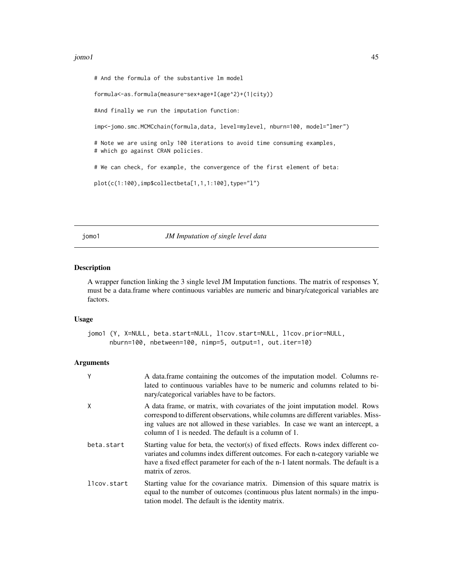#### $jomo1$  45

# And the formula of the substantive lm model formula<-as.formula(measure~sex+age+I(age^2)+(1|city)) #And finally we run the imputation function: imp<-jomo.smc.MCMCchain(formula,data, level=mylevel, nburn=100, model="lmer") # Note we are using only 100 iterations to avoid time consuming examples, # which go against CRAN policies. # We can check, for example, the convergence of the first element of beta: plot(c(1:100),imp\$collectbeta[1,1,1:100],type="l")

jomo1 *JM Imputation of single level data*

## Description

A wrapper function linking the 3 single level JM Imputation functions. The matrix of responses Y, must be a data.frame where continuous variables are numeric and binary/categorical variables are factors.

### Usage

jomo1 (Y, X=NULL, beta.start=NULL, l1cov.start=NULL, l1cov.prior=NULL, nburn=100, nbetween=100, nimp=5, output=1, out.iter=10)

| γ           | A data frame containing the outcomes of the imputation model. Columns re-<br>lated to continuous variables have to be numeric and columns related to bi-<br>nary/categorical variables have to be factors.                                                                                                   |
|-------------|--------------------------------------------------------------------------------------------------------------------------------------------------------------------------------------------------------------------------------------------------------------------------------------------------------------|
| χ           | A data frame, or matrix, with covariates of the joint imputation model. Rows<br>correspond to different observations, while columns are different variables. Miss-<br>ing values are not allowed in these variables. In case we want an intercept, a<br>column of 1 is needed. The default is a column of 1. |
| beta.start  | Starting value for beta, the vector(s) of fixed effects. Rows index different co-<br>variates and columns index different outcomes. For each n-category variable we<br>have a fixed effect parameter for each of the n-1 latent normals. The default is a<br>matrix of zeros.                                |
| l1cov.start | Starting value for the covariance matrix. Dimension of this square matrix is<br>equal to the number of outcomes (continuous plus latent normals) in the impu-<br>tation model. The default is the identity matrix.                                                                                           |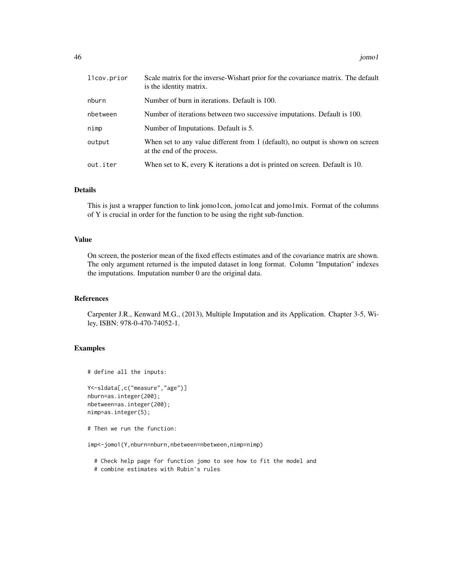| llcov.prior | Scale matrix for the inverse-Wishart prior for the covariance matrix. The default<br>is the identity matrix. |
|-------------|--------------------------------------------------------------------------------------------------------------|
| nburn       | Number of burn in iterations. Default is 100.                                                                |
| nbetween    | Number of iterations between two successive imputations. Default is 100.                                     |
| nimp        | Number of Imputations. Default is 5.                                                                         |
| output      | When set to any value different from 1 (default), no output is shown on screen<br>at the end of the process. |
| out.iter    | When set to K, every K iterations a dot is printed on screen. Default is 10.                                 |

### Details

This is just a wrapper function to link jomo1con, jomo1cat and jomo1mix. Format of the columns of Y is crucial in order for the function to be using the right sub-function.

## Value

On screen, the posterior mean of the fixed effects estimates and of the covariance matrix are shown. The only argument returned is the imputed dataset in long format. Column "Imputation" indexes the imputations. Imputation number 0 are the original data.

#### References

Carpenter J.R., Kenward M.G., (2013), Multiple Imputation and its Application. Chapter 3-5, Wiley, ISBN: 978-0-470-74052-1.

### Examples

```
# define all the inputs:
```

```
Y<-sldata[,c("measure","age")]
nburn=as.integer(200);
nbetween=as.integer(200);
nimp=as.integer(5);
```
# Then we run the function:

imp<-jomo1(Y,nburn=nburn,nbetween=nbetween,nimp=nimp)

# Check help page for function jomo to see how to fit the model and # combine estimates with Rubin's rules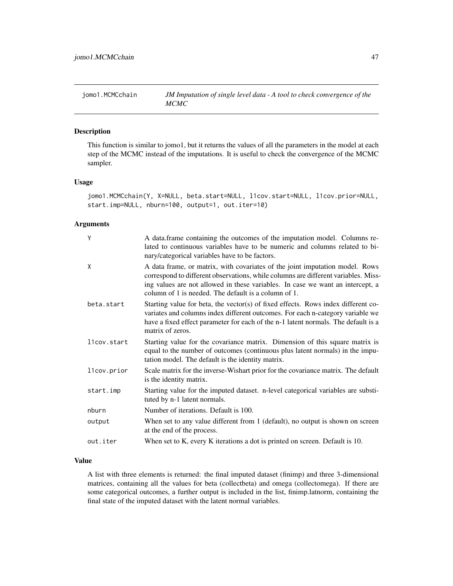## Description

This function is similar to jomo1, but it returns the values of all the parameters in the model at each step of the MCMC instead of the imputations. It is useful to check the convergence of the MCMC sampler.

### Usage

```
jomo1.MCMCchain(Y, X=NULL, beta.start=NULL, l1cov.start=NULL, l1cov.prior=NULL,
start.imp=NULL, nburn=100, output=1, out.iter=10)
```
## Arguments

| Y           | A data.frame containing the outcomes of the imputation model. Columns re-<br>lated to continuous variables have to be numeric and columns related to bi-<br>nary/categorical variables have to be factors.                                                                                                   |
|-------------|--------------------------------------------------------------------------------------------------------------------------------------------------------------------------------------------------------------------------------------------------------------------------------------------------------------|
| X           | A data frame, or matrix, with covariates of the joint imputation model. Rows<br>correspond to different observations, while columns are different variables. Miss-<br>ing values are not allowed in these variables. In case we want an intercept, a<br>column of 1 is needed. The default is a column of 1. |
| beta.start  | Starting value for beta, the vector(s) of fixed effects. Rows index different co-<br>variates and columns index different outcomes. For each n-category variable we<br>have a fixed effect parameter for each of the n-1 latent normals. The default is a<br>matrix of zeros.                                |
| llcov.start | Starting value for the covariance matrix. Dimension of this square matrix is<br>equal to the number of outcomes (continuous plus latent normals) in the impu-<br>tation model. The default is the identity matrix.                                                                                           |
| llcov.prior | Scale matrix for the inverse-Wishart prior for the covariance matrix. The default<br>is the identity matrix.                                                                                                                                                                                                 |
| start.imp   | Starting value for the imputed dataset. n-level categorical variables are substi-<br>tuted by n-1 latent normals.                                                                                                                                                                                            |
| nburn       | Number of iterations. Default is 100.                                                                                                                                                                                                                                                                        |
| output      | When set to any value different from 1 (default), no output is shown on screen<br>at the end of the process.                                                                                                                                                                                                 |
| out.iter    | When set to K, every K iterations a dot is printed on screen. Default is 10.                                                                                                                                                                                                                                 |
|             |                                                                                                                                                                                                                                                                                                              |

## Value

A list with three elements is returned: the final imputed dataset (finimp) and three 3-dimensional matrices, containing all the values for beta (collectbeta) and omega (collectomega). If there are some categorical outcomes, a further output is included in the list, finimp.latnorm, containing the final state of the imputed dataset with the latent normal variables.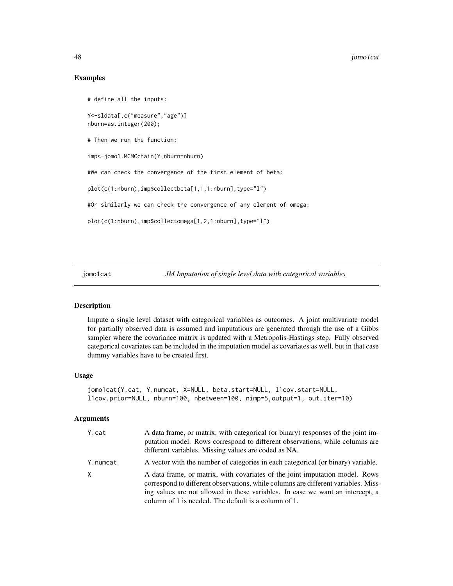### Examples

```
# define all the inputs:
Y<-sldata[,c("measure","age")]
nburn=as.integer(200);
# Then we run the function:
imp<-jomo1.MCMCchain(Y,nburn=nburn)
#We can check the convergence of the first element of beta:
plot(c(1:nburn),imp$collectbeta[1,1,1:nburn],type="l")
#Or similarly we can check the convergence of any element of omega:
plot(c(1:nburn),imp$collectomega[1,2,1:nburn],type="l")
```
jomo1cat *JM Imputation of single level data with categorical variables*

## Description

Impute a single level dataset with categorical variables as outcomes. A joint multivariate model for partially observed data is assumed and imputations are generated through the use of a Gibbs sampler where the covariance matrix is updated with a Metropolis-Hastings step. Fully observed categorical covariates can be included in the imputation model as covariates as well, but in that case dummy variables have to be created first.

### Usage

```
jomo1cat(Y.cat, Y.numcat, X=NULL, beta.start=NULL, l1cov.start=NULL,
l1cov.prior=NULL, nburn=100, nbetween=100, nimp=5,output=1, out.iter=10)
```

| Y.cat    | A data frame, or matrix, with categorical (or binary) responses of the joint im-<br>putation model. Rows correspond to different observations, while columns are<br>different variables. Missing values are coded as NA.                                                                                     |
|----------|--------------------------------------------------------------------------------------------------------------------------------------------------------------------------------------------------------------------------------------------------------------------------------------------------------------|
| Y.numcat | A vector with the number of categories in each categorical (or binary) variable.                                                                                                                                                                                                                             |
| X        | A data frame, or matrix, with covariates of the joint imputation model. Rows<br>correspond to different observations, while columns are different variables. Miss-<br>ing values are not allowed in these variables. In case we want an intercept, a<br>column of 1 is needed. The default is a column of 1. |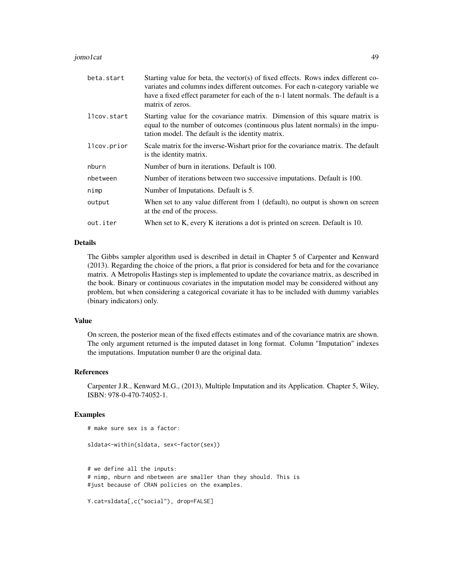#### jomo1cat 49

| beta.start  | Starting value for beta, the vector(s) of fixed effects. Rows index different co-<br>variates and columns index different outcomes. For each n-category variable we<br>have a fixed effect parameter for each of the n-1 latent normals. The default is a<br>matrix of zeros. |
|-------------|-------------------------------------------------------------------------------------------------------------------------------------------------------------------------------------------------------------------------------------------------------------------------------|
| llcov.start | Starting value for the covariance matrix. Dimension of this square matrix is<br>equal to the number of outcomes (continuous plus latent normals) in the impu-<br>tation model. The default is the identity matrix.                                                            |
| llcov.prior | Scale matrix for the inverse-Wishart prior for the covariance matrix. The default<br>is the identity matrix.                                                                                                                                                                  |
| nburn       | Number of burn in iterations. Default is 100.                                                                                                                                                                                                                                 |
| nbetween    | Number of iterations between two successive imputations. Default is 100.                                                                                                                                                                                                      |
| nimp        | Number of Imputations. Default is 5.                                                                                                                                                                                                                                          |
| output      | When set to any value different from 1 (default), no output is shown on screen<br>at the end of the process.                                                                                                                                                                  |
| out.iter    | When set to K, every K iterations a dot is printed on screen. Default is 10.                                                                                                                                                                                                  |

### Details

The Gibbs sampler algorithm used is described in detail in Chapter 5 of Carpenter and Kenward (2013). Regarding the choice of the priors, a flat prior is considered for beta and for the covariance matrix. A Metropolis Hastings step is implemented to update the covariance matrix, as described in the book. Binary or continuous covariates in the imputation model may be considered without any problem, but when considering a categorical covariate it has to be included with dummy variables (binary indicators) only.

#### Value

On screen, the posterior mean of the fixed effects estimates and of the covariance matrix are shown. The only argument returned is the imputed dataset in long format. Column "Imputation" indexes the imputations. Imputation number 0 are the original data.

#### References

Carpenter J.R., Kenward M.G., (2013), Multiple Imputation and its Application. Chapter 5, Wiley, ISBN: 978-0-470-74052-1.

## Examples

```
# make sure sex is a factor:
```

```
sldata<-within(sldata, sex<-factor(sex))
```
# we define all the inputs: # nimp, nburn and nbetween are smaller than they should. This is #just because of CRAN policies on the examples.

```
Y.cat=sldata[,c("social"), drop=FALSE]
```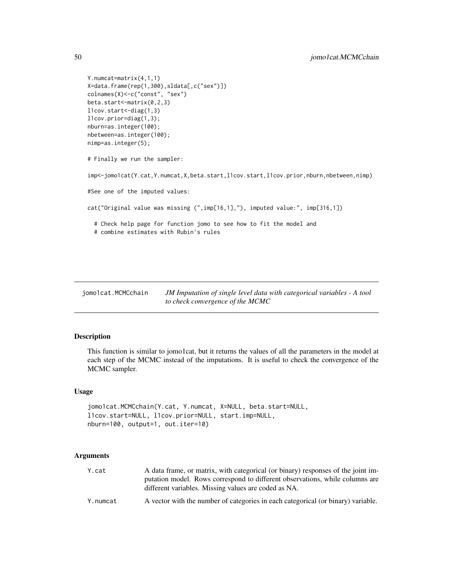```
Y.numcat=matrix(4,1,1)
X=data.frame(rep(1,300),sldata[,c("sex")])
colnames(X)<-c("const", "sex")
beta.start<-matrix(0,2,3)
l1cov.start<-diag(1,3)
l1cov.prior=diag(1,3);
nburn=as.integer(100);
nbetween=as.integer(100);
nimp=as.integer(5);
# Finally we run the sampler:
```
imp<-jomo1cat(Y.cat,Y.numcat,X,beta.start,l1cov.start,l1cov.prior,nburn,nbetween,nimp)

#See one of the imputed values:

cat("Original value was missing (",imp[16,1],"), imputed value:", imp[316,1])

# Check help page for function jomo to see how to fit the model and # combine estimates with Rubin's rules

jomo1cat.MCMCchain *JM Imputation of single level data with categorical variables - A tool to check convergence of the MCMC*

### Description

This function is similar to jomo1cat, but it returns the values of all the parameters in the model at each step of the MCMC instead of the imputations. It is useful to check the convergence of the MCMC sampler.

### Usage

```
jomo1cat.MCMCchain(Y.cat, Y.numcat, X=NULL, beta.start=NULL,
l1cov.start=NULL, l1cov.prior=NULL, start.imp=NULL,
nburn=100, output=1, out.iter=10)
```

| Y.cat    | A data frame, or matrix, with categorical (or binary) responses of the joint im- |
|----------|----------------------------------------------------------------------------------|
|          | putation model. Rows correspond to different observations, while columns are     |
|          | different variables. Missing values are coded as NA.                             |
| Y.numcat | A vector with the number of categories in each categorical (or binary) variable. |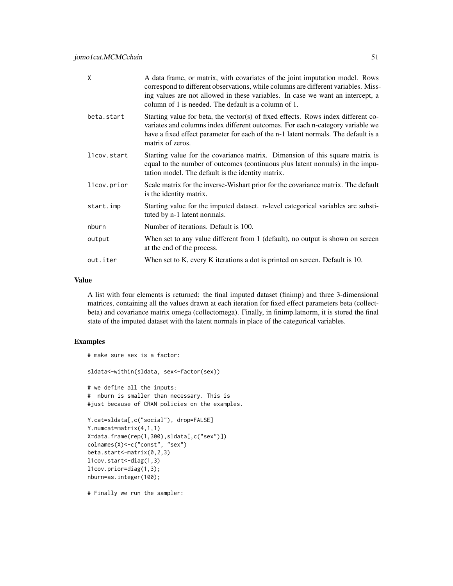| X           | A data frame, or matrix, with covariates of the joint imputation model. Rows<br>correspond to different observations, while columns are different variables. Miss-<br>ing values are not allowed in these variables. In case we want an intercept, a<br>column of 1 is needed. The default is a column of 1. |
|-------------|--------------------------------------------------------------------------------------------------------------------------------------------------------------------------------------------------------------------------------------------------------------------------------------------------------------|
| beta.start  | Starting value for beta, the vector(s) of fixed effects. Rows index different co-<br>variates and columns index different outcomes. For each n-category variable we<br>have a fixed effect parameter for each of the n-1 latent normals. The default is a<br>matrix of zeros.                                |
| llcov.start | Starting value for the covariance matrix. Dimension of this square matrix is<br>equal to the number of outcomes (continuous plus latent normals) in the impu-<br>tation model. The default is the identity matrix.                                                                                           |
| llcov.prior | Scale matrix for the inverse-Wishart prior for the covariance matrix. The default<br>is the identity matrix.                                                                                                                                                                                                 |
| start.imp   | Starting value for the imputed dataset. n-level categorical variables are substi-<br>tuted by n-1 latent normals.                                                                                                                                                                                            |
| nburn       | Number of iterations. Default is 100.                                                                                                                                                                                                                                                                        |
| output      | When set to any value different from 1 (default), no output is shown on screen<br>at the end of the process.                                                                                                                                                                                                 |
| out.iter    | When set to K, every K iterations a dot is printed on screen. Default is 10.                                                                                                                                                                                                                                 |

## Value

A list with four elements is returned: the final imputed dataset (finimp) and three 3-dimensional matrices, containing all the values drawn at each iteration for fixed effect parameters beta (collectbeta) and covariance matrix omega (collectomega). Finally, in finimp.latnorm, it is stored the final state of the imputed dataset with the latent normals in place of the categorical variables.

## Examples

```
# make sure sex is a factor:
sldata<-within(sldata, sex<-factor(sex))
# we define all the inputs:
# nburn is smaller than necessary. This is
#just because of CRAN policies on the examples.
Y.cat=sldata[,c("social"), drop=FALSE]
Y.numcat=matrix(4,1,1)
X=data.frame(rep(1,300),sldata[,c("sex")])
colnames(X)<-c("const", "sex")
```
beta.start<-matrix(0,2,3) l1cov.start<-diag(1,3) l1cov.prior=diag(1,3); nburn=as.integer(100);

# Finally we run the sampler: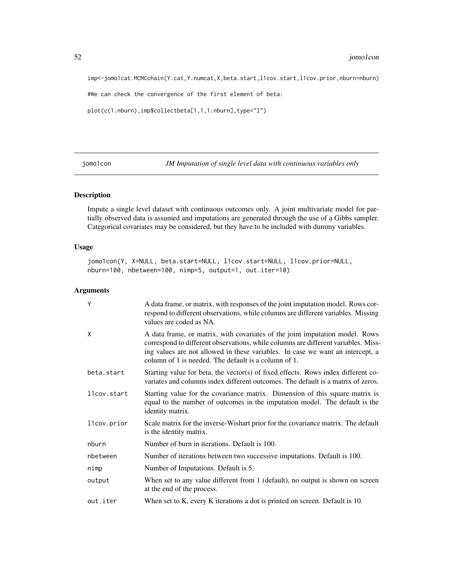imp<-jomo1cat.MCMCchain(Y.cat,Y.numcat,X,beta.start,l1cov.start,l1cov.prior,nburn=nburn)

#We can check the convergence of the first element of beta:

```
plot(c(1:nburn),imp$collectbeta[1,1,1:nburn],type="l")
```
jomo1con *JM Imputation of single level data with continuous variables only*

## Description

Impute a single level dataset with continuous outcomes only. A joint multivariate model for partially observed data is assumed and imputations are generated through the use of a Gibbs sampler. Categorical covariates may be considered, but they have to be included with dummy variables.

### Usage

jomo1con(Y, X=NULL, beta.start=NULL, l1cov.start=NULL, l1cov.prior=NULL, nburn=100, nbetween=100, nimp=5, output=1, out.iter=10)

| Y           | A data frame, or matrix, with responses of the joint imputation model. Rows cor-<br>respond to different observations, while columns are different variables. Missing<br>values are coded as NA.                                                                                                             |
|-------------|--------------------------------------------------------------------------------------------------------------------------------------------------------------------------------------------------------------------------------------------------------------------------------------------------------------|
| X           | A data frame, or matrix, with covariates of the joint imputation model. Rows<br>correspond to different observations, while columns are different variables. Miss-<br>ing values are not allowed in these variables. In case we want an intercept, a<br>column of 1 is needed. The default is a column of 1. |
| beta.start  | Starting value for beta, the vector(s) of fixed effects. Rows index different co-<br>variates and columns index different outcomes. The default is a matrix of zeros.                                                                                                                                        |
| llcov.start | Starting value for the covariance matrix. Dimension of this square matrix is<br>equal to the number of outcomes in the imputation model. The default is the<br>identity matrix.                                                                                                                              |
| llcov.prior | Scale matrix for the inverse-Wishart prior for the covariance matrix. The default<br>is the identity matrix.                                                                                                                                                                                                 |
| nburn       | Number of burn in iterations. Default is 100.                                                                                                                                                                                                                                                                |
| nbetween    | Number of iterations between two successive imputations. Default is 100.                                                                                                                                                                                                                                     |
| nimp        | Number of Imputations. Default is 5.                                                                                                                                                                                                                                                                         |
| output      | When set to any value different from 1 (default), no output is shown on screen<br>at the end of the process.                                                                                                                                                                                                 |
| out.iter    | When set to K, every K iterations a dot is printed on screen. Default is 10.                                                                                                                                                                                                                                 |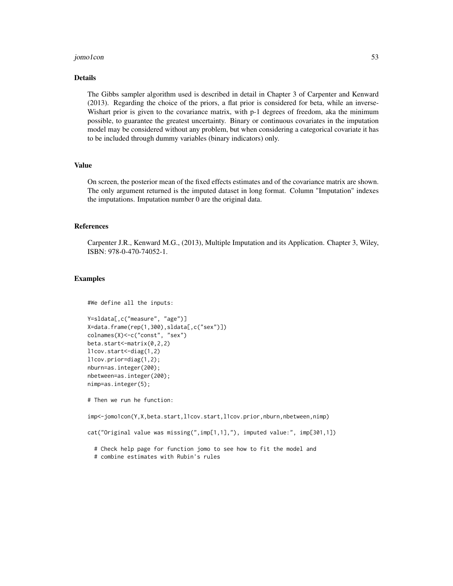#### jomo1con 53

## Details

The Gibbs sampler algorithm used is described in detail in Chapter 3 of Carpenter and Kenward (2013). Regarding the choice of the priors, a flat prior is considered for beta, while an inverse-Wishart prior is given to the covariance matrix, with p-1 degrees of freedom, aka the minimum possible, to guarantee the greatest uncertainty. Binary or continuous covariates in the imputation model may be considered without any problem, but when considering a categorical covariate it has to be included through dummy variables (binary indicators) only.

#### Value

On screen, the posterior mean of the fixed effects estimates and of the covariance matrix are shown. The only argument returned is the imputed dataset in long format. Column "Imputation" indexes the imputations. Imputation number 0 are the original data.

#### **References**

Carpenter J.R., Kenward M.G., (2013), Multiple Imputation and its Application. Chapter 3, Wiley, ISBN: 978-0-470-74052-1.

#### Examples

#We define all the inputs:

```
Y=sldata[,c("measure", "age")]
X=data.frame(rep(1,300),sldata[,c("sex")])
colnames(X)<-c("const", "sex")
beta.start<-matrix(0,2,2)
l1cov.start<-diag(1,2)
l1cov.prior=diag(1,2);
nburn=as.integer(200);
nbetween=as.integer(200);
nimp=as.integer(5);
```
# Then we run he function:

imp<-jomo1con(Y,X,beta.start,l1cov.start,l1cov.prior,nburn,nbetween,nimp)

cat("Original value was missing(",imp[1,1],"), imputed value:", imp[301,1])

- # Check help page for function jomo to see how to fit the model and
- # combine estimates with Rubin's rules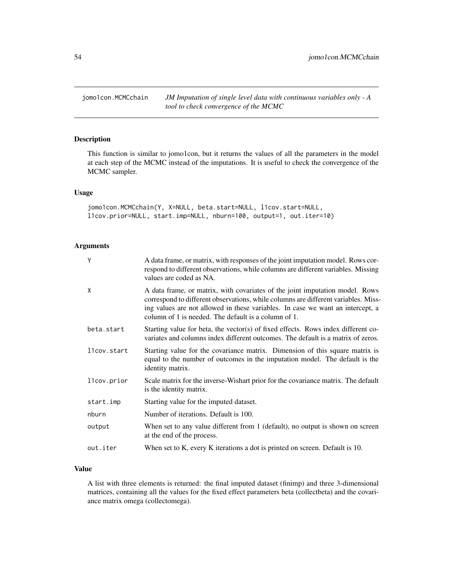jomo1con.MCMCchain *JM Imputation of single level data with continuous variables only - A tool to check convergence of the MCMC*

## Description

This function is similar to jomo1con, but it returns the values of all the parameters in the model at each step of the MCMC instead of the imputations. It is useful to check the convergence of the MCMC sampler.

### Usage

```
jomo1con.MCMCchain(Y, X=NULL, beta.start=NULL, l1cov.start=NULL,
l1cov.prior=NULL, start.imp=NULL, nburn=100, output=1, out.iter=10)
```
### Arguments

| Y           | A data frame, or matrix, with responses of the joint imputation model. Rows cor-<br>respond to different observations, while columns are different variables. Missing<br>values are coded as NA.                                                                                                             |
|-------------|--------------------------------------------------------------------------------------------------------------------------------------------------------------------------------------------------------------------------------------------------------------------------------------------------------------|
| X           | A data frame, or matrix, with covariates of the joint imputation model. Rows<br>correspond to different observations, while columns are different variables. Miss-<br>ing values are not allowed in these variables. In case we want an intercept, a<br>column of 1 is needed. The default is a column of 1. |
| beta.start  | Starting value for beta, the vector(s) of fixed effects. Rows index different co-<br>variates and columns index different outcomes. The default is a matrix of zeros.                                                                                                                                        |
| l1cov.start | Starting value for the covariance matrix. Dimension of this square matrix is<br>equal to the number of outcomes in the imputation model. The default is the<br>identity matrix.                                                                                                                              |
| llcov.prior | Scale matrix for the inverse-Wishart prior for the covariance matrix. The default<br>is the identity matrix.                                                                                                                                                                                                 |
| start.imp   | Starting value for the imputed dataset.                                                                                                                                                                                                                                                                      |
| nburn       | Number of iterations. Default is 100.                                                                                                                                                                                                                                                                        |
| output      | When set to any value different from 1 (default), no output is shown on screen<br>at the end of the process.                                                                                                                                                                                                 |
| out.iter    | When set to K, every K iterations a dot is printed on screen. Default is 10.                                                                                                                                                                                                                                 |

## Value

A list with three elements is returned: the final imputed dataset (finimp) and three 3-dimensional matrices, containing all the values for the fixed effect parameters beta (collectbeta) and the covariance matrix omega (collectomega).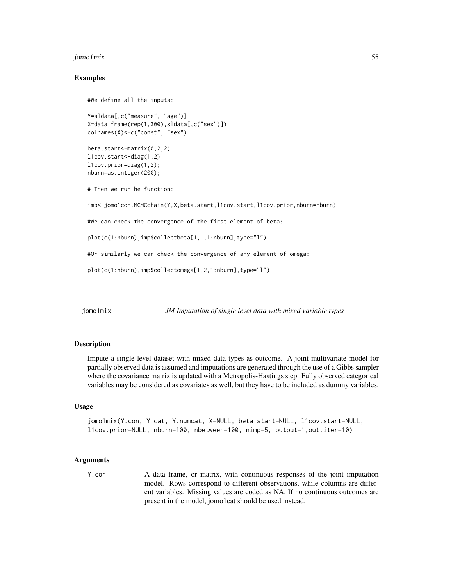#### jomo1mix 55

### Examples

```
#We define all the inputs:
Y=sldata[,c("measure", "age")]
X=data.frame(rep(1,300),sldata[,c("sex")])
colnames(X)<-c("const", "sex")
beta.start<-matrix(0,2,2)
l1cov.start<-diag(1,2)
l1cov.prior=diag(1,2);
nburn=as.integer(200);
# Then we run he function:
imp<-jomo1con.MCMCchain(Y,X,beta.start,l1cov.start,l1cov.prior,nburn=nburn)
#We can check the convergence of the first element of beta:
plot(c(1:nburn),imp$collectbeta[1,1,1:nburn],type="l")
#Or similarly we can check the convergence of any element of omega:
plot(c(1:nburn),imp$collectomega[1,2,1:nburn],type="l")
```
jomo1mix *JM Imputation of single level data with mixed variable types*

### Description

Impute a single level dataset with mixed data types as outcome. A joint multivariate model for partially observed data is assumed and imputations are generated through the use of a Gibbs sampler where the covariance matrix is updated with a Metropolis-Hastings step. Fully observed categorical variables may be considered as covariates as well, but they have to be included as dummy variables.

## Usage

```
jomo1mix(Y.con, Y.cat, Y.numcat, X=NULL, beta.start=NULL, l1cov.start=NULL,
l1cov.prior=NULL, nburn=100, nbetween=100, nimp=5, output=1,out.iter=10)
```
### Arguments

Y.con A data frame, or matrix, with continuous responses of the joint imputation model. Rows correspond to different observations, while columns are different variables. Missing values are coded as NA. If no continuous outcomes are present in the model, jomo1cat should be used instead.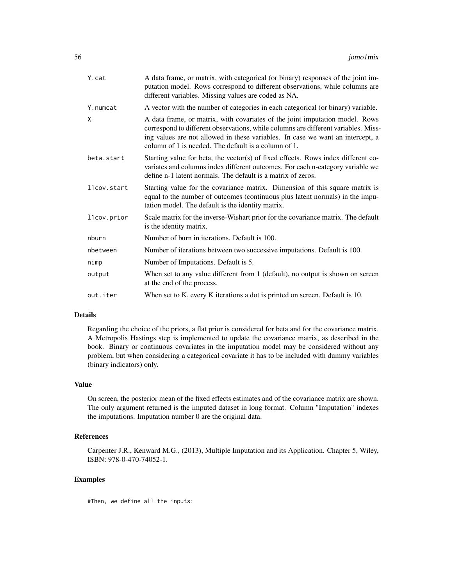| Y.cat       | A data frame, or matrix, with categorical (or binary) responses of the joint im-<br>putation model. Rows correspond to different observations, while columns are<br>different variables. Missing values are coded as NA.                                                                                     |
|-------------|--------------------------------------------------------------------------------------------------------------------------------------------------------------------------------------------------------------------------------------------------------------------------------------------------------------|
| Y.numcat    | A vector with the number of categories in each categorical (or binary) variable.                                                                                                                                                                                                                             |
| X           | A data frame, or matrix, with covariates of the joint imputation model. Rows<br>correspond to different observations, while columns are different variables. Miss-<br>ing values are not allowed in these variables. In case we want an intercept, a<br>column of 1 is needed. The default is a column of 1. |
| beta.start  | Starting value for beta, the vector(s) of fixed effects. Rows index different co-<br>variates and columns index different outcomes. For each n-category variable we<br>define n-1 latent normals. The default is a matrix of zeros.                                                                          |
| llcov.start | Starting value for the covariance matrix. Dimension of this square matrix is<br>equal to the number of outcomes (continuous plus latent normals) in the impu-<br>tation model. The default is the identity matrix.                                                                                           |
| llcov.prior | Scale matrix for the inverse-Wishart prior for the covariance matrix. The default<br>is the identity matrix.                                                                                                                                                                                                 |
| nburn       | Number of burn in iterations. Default is 100.                                                                                                                                                                                                                                                                |
| nbetween    | Number of iterations between two successive imputations. Default is 100.                                                                                                                                                                                                                                     |
| nimp        | Number of Imputations. Default is 5.                                                                                                                                                                                                                                                                         |
| output      | When set to any value different from 1 (default), no output is shown on screen<br>at the end of the process.                                                                                                                                                                                                 |
| out.iter    | When set to K, every K iterations a dot is printed on screen. Default is 10.                                                                                                                                                                                                                                 |
|             |                                                                                                                                                                                                                                                                                                              |

## Details

Regarding the choice of the priors, a flat prior is considered for beta and for the covariance matrix. A Metropolis Hastings step is implemented to update the covariance matrix, as described in the book. Binary or continuous covariates in the imputation model may be considered without any problem, but when considering a categorical covariate it has to be included with dummy variables (binary indicators) only.

#### Value

On screen, the posterior mean of the fixed effects estimates and of the covariance matrix are shown. The only argument returned is the imputed dataset in long format. Column "Imputation" indexes the imputations. Imputation number 0 are the original data.

## References

Carpenter J.R., Kenward M.G., (2013), Multiple Imputation and its Application. Chapter 5, Wiley, ISBN: 978-0-470-74052-1.

## Examples

#Then, we define all the inputs: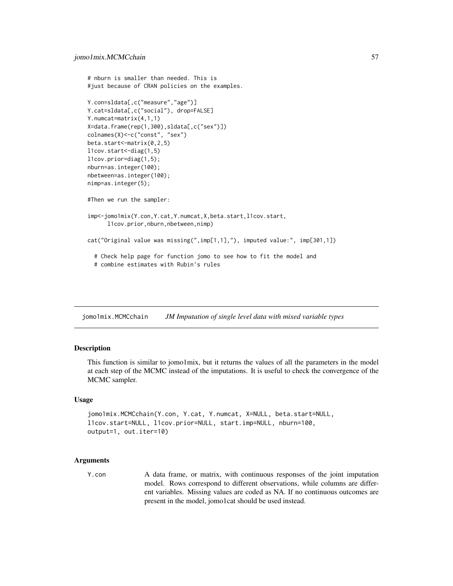```
# nburn is smaller than needed. This is
#just because of CRAN policies on the examples.
Y.con=sldata[,c("measure","age")]
Y.cat=sldata[,c("social"), drop=FALSE]
Y.numcat=matrix(4,1,1)
X=data.frame(rep(1,300),sldata[,c("sex")])
colnames(X)<-c("const", "sex")
beta.start<-matrix(0,2,5)
l1cov.start<-diag(1,5)
l1cov.prior=diag(1,5);
nburn=as.integer(100);
nbetween=as.integer(100);
nimp=as.integer(5);
#Then we run the sampler:
imp<-jomo1mix(Y.con,Y.cat,Y.numcat,X,beta.start,l1cov.start,
     l1cov.prior,nburn,nbetween,nimp)
cat("Original value was missing(",imp[1,1],"), imputed value:", imp[301,1])
 # Check help page for function jomo to see how to fit the model and
 # combine estimates with Rubin's rules
```
jomo1mix.MCMCchain *JM Imputation of single level data with mixed variable types*

## Description

This function is similar to jomo1mix, but it returns the values of all the parameters in the model at each step of the MCMC instead of the imputations. It is useful to check the convergence of the MCMC sampler.

### Usage

```
jomo1mix.MCMCchain(Y.con, Y.cat, Y.numcat, X=NULL, beta.start=NULL,
l1cov.start=NULL, l1cov.prior=NULL, start.imp=NULL, nburn=100,
output=1, out.iter=10)
```
### Arguments

Y.con A data frame, or matrix, with continuous responses of the joint imputation model. Rows correspond to different observations, while columns are different variables. Missing values are coded as NA. If no continuous outcomes are present in the model, jomo1cat should be used instead.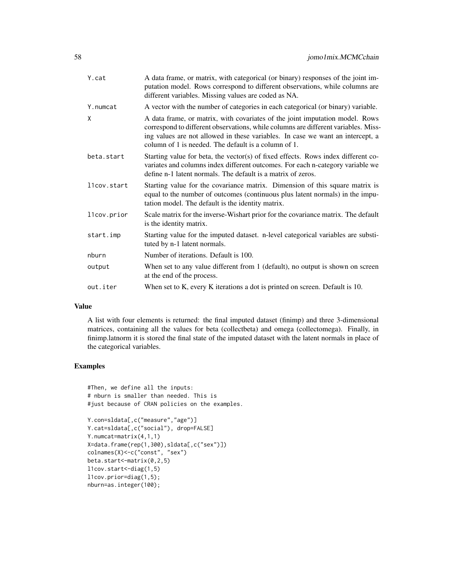| Y.cat       | A data frame, or matrix, with categorical (or binary) responses of the joint im-<br>putation model. Rows correspond to different observations, while columns are<br>different variables. Missing values are coded as NA.                                                                                     |
|-------------|--------------------------------------------------------------------------------------------------------------------------------------------------------------------------------------------------------------------------------------------------------------------------------------------------------------|
| Y.numcat    | A vector with the number of categories in each categorical (or binary) variable.                                                                                                                                                                                                                             |
| X           | A data frame, or matrix, with covariates of the joint imputation model. Rows<br>correspond to different observations, while columns are different variables. Miss-<br>ing values are not allowed in these variables. In case we want an intercept, a<br>column of 1 is needed. The default is a column of 1. |
| beta.start  | Starting value for beta, the vector(s) of fixed effects. Rows index different co-<br>variates and columns index different outcomes. For each n-category variable we<br>define n-1 latent normals. The default is a matrix of zeros.                                                                          |
| llcov.start | Starting value for the covariance matrix. Dimension of this square matrix is<br>equal to the number of outcomes (continuous plus latent normals) in the impu-<br>tation model. The default is the identity matrix.                                                                                           |
| llcov.prior | Scale matrix for the inverse-Wishart prior for the covariance matrix. The default<br>is the identity matrix.                                                                                                                                                                                                 |
| start.imp   | Starting value for the imputed dataset. n-level categorical variables are substi-<br>tuted by n-1 latent normals.                                                                                                                                                                                            |
| nburn       | Number of iterations. Default is 100.                                                                                                                                                                                                                                                                        |
| output      | When set to any value different from 1 (default), no output is shown on screen<br>at the end of the process.                                                                                                                                                                                                 |
| out.iter    | When set to K, every K iterations a dot is printed on screen. Default is 10.                                                                                                                                                                                                                                 |
|             |                                                                                                                                                                                                                                                                                                              |

#### Value

A list with four elements is returned: the final imputed dataset (finimp) and three 3-dimensional matrices, containing all the values for beta (collectbeta) and omega (collectomega). Finally, in finimp.latnorm it is stored the final state of the imputed dataset with the latent normals in place of the categorical variables.

## Examples

```
#Then, we define all the inputs:
# nburn is smaller than needed. This is
#just because of CRAN policies on the examples.
```

```
Y.con=sldata[,c("measure","age")]
Y.cat=sldata[,c("social"), drop=FALSE]
Y.numcat=matrix(4,1,1)
X=data.frame(rep(1,300),sldata[,c("sex")])
colnames(X)<-c("const", "sex")
beta.start<-matrix(0,2,5)
l1cov.start<-diag(1,5)
l1cov.prior=diag(1,5);
nburn=as.integer(100);
```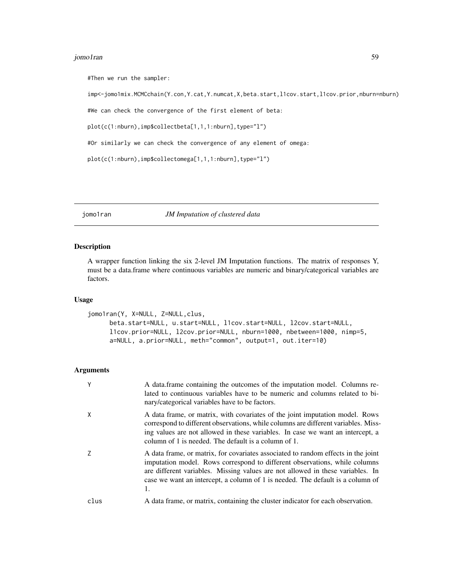#### jomo1ran 59

#Then we run the sampler:

imp<-jomo1mix.MCMCchain(Y.con,Y.cat,Y.numcat,X,beta.start,l1cov.start,l1cov.prior,nburn=nburn)

#We can check the convergence of the first element of beta:

plot(c(1:nburn),imp\$collectbeta[1,1,1:nburn],type="l")

#Or similarly we can check the convergence of any element of omega:

plot(c(1:nburn),imp\$collectomega[1,1,1:nburn],type="l")

jomo1ran *JM Imputation of clustered data*

## Description

A wrapper function linking the six 2-level JM Imputation functions. The matrix of responses Y, must be a data.frame where continuous variables are numeric and binary/categorical variables are factors.

#### Usage

```
jomo1ran(Y, X=NULL, Z=NULL,clus,
     beta.start=NULL, u.start=NULL, l1cov.start=NULL, l2cov.start=NULL,
     l1cov.prior=NULL, l2cov.prior=NULL, nburn=1000, nbetween=1000, nimp=5,
     a=NULL, a.prior=NULL, meth="common", output=1, out.iter=10)
```

| Y    | A data. frame containing the outcomes of the imputation model. Columns re-<br>lated to continuous variables have to be numeric and columns related to bi-<br>nary/categorical variables have to be factors.                                                                                                                               |
|------|-------------------------------------------------------------------------------------------------------------------------------------------------------------------------------------------------------------------------------------------------------------------------------------------------------------------------------------------|
| X    | A data frame, or matrix, with covariates of the joint imputation model. Rows<br>correspond to different observations, while columns are different variables. Miss-<br>ing values are not allowed in these variables. In case we want an intercept, a<br>column of 1 is needed. The default is a column of 1.                              |
| 7    | A data frame, or matrix, for covariates associated to random effects in the joint<br>imputation model. Rows correspond to different observations, while columns<br>are different variables. Missing values are not allowed in these variables. In<br>case we want an intercept, a column of 1 is needed. The default is a column of<br>1. |
| clus | A data frame, or matrix, containing the cluster indicator for each observation.                                                                                                                                                                                                                                                           |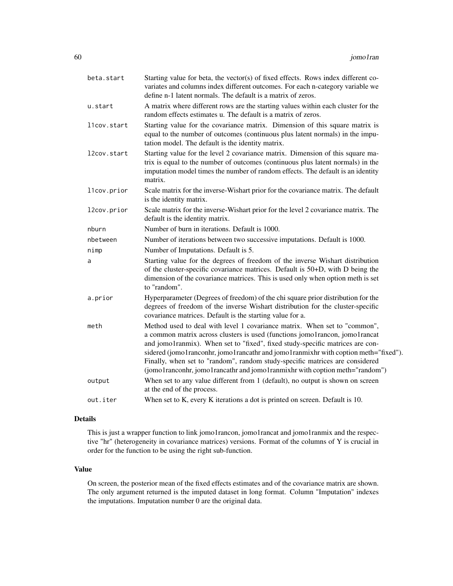| beta.start  | Starting value for beta, the vector(s) of fixed effects. Rows index different co-<br>variates and columns index different outcomes. For each n-category variable we<br>define n-1 latent normals. The default is a matrix of zeros.                                                                                                                                                                                                                                                             |
|-------------|-------------------------------------------------------------------------------------------------------------------------------------------------------------------------------------------------------------------------------------------------------------------------------------------------------------------------------------------------------------------------------------------------------------------------------------------------------------------------------------------------|
| u.start     | A matrix where different rows are the starting values within each cluster for the<br>random effects estimates u. The default is a matrix of zeros.                                                                                                                                                                                                                                                                                                                                              |
| llcov.start | Starting value for the covariance matrix. Dimension of this square matrix is<br>equal to the number of outcomes (continuous plus latent normals) in the impu-<br>tation model. The default is the identity matrix.                                                                                                                                                                                                                                                                              |
| l2cov.start | Starting value for the level 2 covariance matrix. Dimension of this square ma-<br>trix is equal to the number of outcomes (continuous plus latent normals) in the<br>imputation model times the number of random effects. The default is an identity<br>matrix.                                                                                                                                                                                                                                 |
| l1cov.prior | Scale matrix for the inverse-Wishart prior for the covariance matrix. The default<br>is the identity matrix.                                                                                                                                                                                                                                                                                                                                                                                    |
| l2cov.prior | Scale matrix for the inverse-Wishart prior for the level 2 covariance matrix. The<br>default is the identity matrix.                                                                                                                                                                                                                                                                                                                                                                            |
| nburn       | Number of burn in iterations. Default is 1000.                                                                                                                                                                                                                                                                                                                                                                                                                                                  |
| nbetween    | Number of iterations between two successive imputations. Default is 1000.                                                                                                                                                                                                                                                                                                                                                                                                                       |
| nimp        | Number of Imputations. Default is 5.                                                                                                                                                                                                                                                                                                                                                                                                                                                            |
| a           | Starting value for the degrees of freedom of the inverse Wishart distribution<br>of the cluster-specific covariance matrices. Default is 50+D, with D being the<br>dimension of the covariance matrices. This is used only when option meth is set<br>to "random".                                                                                                                                                                                                                              |
| a.prior     | Hyperparameter (Degrees of freedom) of the chi square prior distribution for the<br>degrees of freedom of the inverse Wishart distribution for the cluster-specific<br>covariance matrices. Default is the starting value for a.                                                                                                                                                                                                                                                                |
| meth        | Method used to deal with level 1 covariance matrix. When set to "common",<br>a common matrix across clusters is used (functions jomo1rancon, jomo1rancat<br>and jomo1ranmix). When set to "fixed", fixed study-specific matrices are con-<br>sidered (jomo1ranconhr, jomo1rancathr and jomo1ranmixhr with coption meth="fixed").<br>Finally, when set to "random", random study-specific matrices are considered<br>(jomo1ranconhr, jomo1rancathr and jomo1ranmixhr with coption meth="random") |
| output      | When set to any value different from 1 (default), no output is shown on screen<br>at the end of the process.                                                                                                                                                                                                                                                                                                                                                                                    |
| out.iter    | When set to K, every K iterations a dot is printed on screen. Default is 10.                                                                                                                                                                                                                                                                                                                                                                                                                    |

## Details

This is just a wrapper function to link jomo1rancon, jomo1rancat and jomo1ranmix and the respective "hr" (heterogeneity in covariance matrices) versions. Format of the columns of Y is crucial in order for the function to be using the right sub-function.

## Value

On screen, the posterior mean of the fixed effects estimates and of the covariance matrix are shown. The only argument returned is the imputed dataset in long format. Column "Imputation" indexes the imputations. Imputation number 0 are the original data.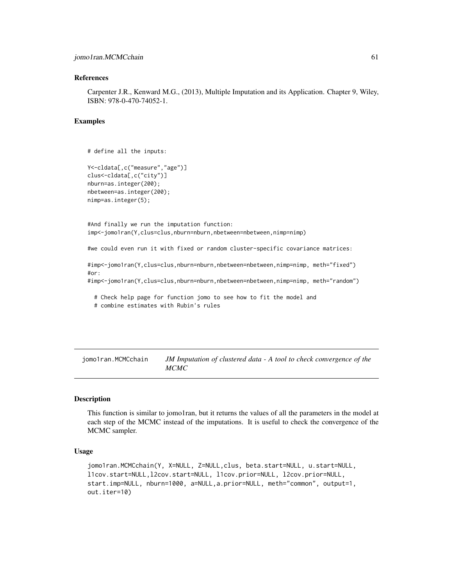#### jomo1ran.MCMCchain 61

#### References

Carpenter J.R., Kenward M.G., (2013), Multiple Imputation and its Application. Chapter 9, Wiley, ISBN: 978-0-470-74052-1.

## **Examples**

# define all the inputs:

```
Y<-cldata[,c("measure","age")]
clus<-cldata[,c("city")]
nburn=as.integer(200);
nbetween=as.integer(200);
nimp=as.integer(5);
```
#And finally we run the imputation function: imp<-jomo1ran(Y,clus=clus,nburn=nburn,nbetween=nbetween,nimp=nimp)

#we could even run it with fixed or random cluster-specific covariance matrices:

#imp<-jomo1ran(Y,clus=clus,nburn=nburn,nbetween=nbetween,nimp=nimp, meth="fixed") #or:

#imp<-jomo1ran(Y,clus=clus,nburn=nburn,nbetween=nbetween,nimp=nimp, meth="random")

# Check help page for function jomo to see how to fit the model and # combine estimates with Rubin's rules

jomo1ran.MCMCchain *JM Imputation of clustered data - A tool to check convergence of the MCMC*

## **Description**

This function is similar to jomo1ran, but it returns the values of all the parameters in the model at each step of the MCMC instead of the imputations. It is useful to check the convergence of the MCMC sampler.

### Usage

```
jomo1ran.MCMCchain(Y, X=NULL, Z=NULL,clus, beta.start=NULL, u.start=NULL,
l1cov.start=NULL,l2cov.start=NULL, l1cov.prior=NULL, l2cov.prior=NULL,
start.imp=NULL, nburn=1000, a=NULL,a.prior=NULL, meth="common", output=1,
out.iter=10)
```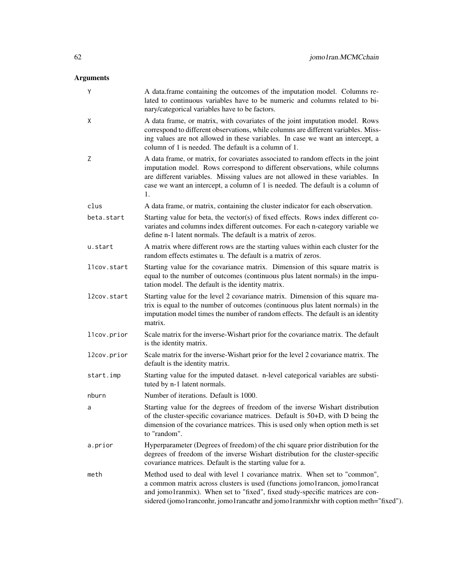| Y           | A data.frame containing the outcomes of the imputation model. Columns re-<br>lated to continuous variables have to be numeric and columns related to bi-<br>nary/categorical variables have to be factors.                                                                                                                                |
|-------------|-------------------------------------------------------------------------------------------------------------------------------------------------------------------------------------------------------------------------------------------------------------------------------------------------------------------------------------------|
| Χ           | A data frame, or matrix, with covariates of the joint imputation model. Rows<br>correspond to different observations, while columns are different variables. Miss-<br>ing values are not allowed in these variables. In case we want an intercept, a<br>column of 1 is needed. The default is a column of 1.                              |
| Ζ           | A data frame, or matrix, for covariates associated to random effects in the joint<br>imputation model. Rows correspond to different observations, while columns<br>are different variables. Missing values are not allowed in these variables. In<br>case we want an intercept, a column of 1 is needed. The default is a column of<br>1. |
| clus        | A data frame, or matrix, containing the cluster indicator for each observation.                                                                                                                                                                                                                                                           |
| beta.start  | Starting value for beta, the vector(s) of fixed effects. Rows index different co-<br>variates and columns index different outcomes. For each n-category variable we<br>define n-1 latent normals. The default is a matrix of zeros.                                                                                                       |
| u.start     | A matrix where different rows are the starting values within each cluster for the<br>random effects estimates u. The default is a matrix of zeros.                                                                                                                                                                                        |
| l1cov.start | Starting value for the covariance matrix. Dimension of this square matrix is<br>equal to the number of outcomes (continuous plus latent normals) in the impu-<br>tation model. The default is the identity matrix.                                                                                                                        |
| 12cov.start | Starting value for the level 2 covariance matrix. Dimension of this square ma-<br>trix is equal to the number of outcomes (continuous plus latent normals) in the<br>imputation model times the number of random effects. The default is an identity<br>matrix.                                                                           |
| l1cov.prior | Scale matrix for the inverse-Wishart prior for the covariance matrix. The default<br>is the identity matrix.                                                                                                                                                                                                                              |
| l2cov.prior | Scale matrix for the inverse-Wishart prior for the level 2 covariance matrix. The<br>default is the identity matrix.                                                                                                                                                                                                                      |
| start.imp   | Starting value for the imputed dataset. n-level categorical variables are substi-<br>tuted by n-1 latent normals.                                                                                                                                                                                                                         |
| nburn       | Number of iterations. Default is 1000.                                                                                                                                                                                                                                                                                                    |
| a           | Starting value for the degrees of freedom of the inverse Wishart distribution<br>of the cluster-specific covariance matrices. Default is 50+D, with D being the<br>dimension of the covariance matrices. This is used only when option meth is set<br>to "random".                                                                        |
| a.prior     | Hyperparameter (Degrees of freedom) of the chi square prior distribution for the<br>degrees of freedom of the inverse Wishart distribution for the cluster-specific<br>covariance matrices. Default is the starting value for a.                                                                                                          |
| meth        | Method used to deal with level 1 covariance matrix. When set to "common",<br>a common matrix across clusters is used (functions jomo1rancon, jomo1rancat<br>and jomo1ranmix). When set to "fixed", fixed study-specific matrices are con-<br>sidered (jomo1ranconhr, jomo1rancathr and jomo1ranmixhr with coption meth="fixed").          |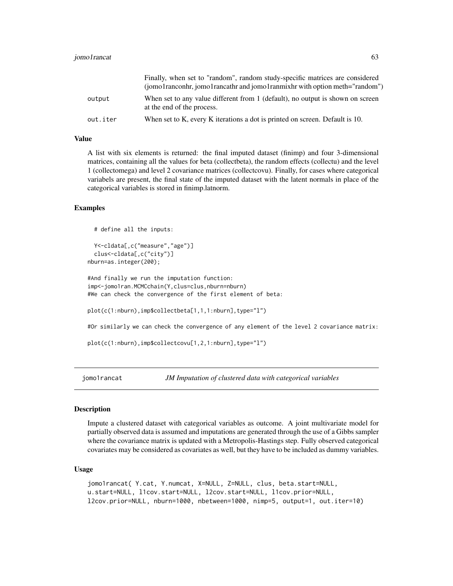|          | Finally, when set to "random", random study-specific matrices are considered                                 |
|----------|--------------------------------------------------------------------------------------------------------------|
|          | (jomo1ranconhr, jomo1rancathr and jomo1ranmixhr with option meth="random")                                   |
| output   | When set to any value different from 1 (default), no output is shown on screen<br>at the end of the process. |
| out.iter | When set to K, every K iterations a dot is printed on screen. Default is 10.                                 |

## Value

A list with six elements is returned: the final imputed dataset (finimp) and four 3-dimensional matrices, containing all the values for beta (collectbeta), the random effects (collectu) and the level 1 (collectomega) and level 2 covariance matrices (collectcovu). Finally, for cases where categorical variabels are present, the final state of the imputed dataset with the latent normals in place of the categorical variables is stored in finimp.latnorm.

#### Examples

```
# define all the inputs:
 Y<-cldata[,c("measure","age")]
 clus<-cldata[,c("city")]
nburn=as.integer(200);
```

```
#And finally we run the imputation function:
imp<-jomo1ran.MCMCchain(Y,clus=clus,nburn=nburn)
#We can check the convergence of the first element of beta:
```

```
plot(c(1:nburn),imp$collectbeta[1,1,1:nburn],type="l")
```
#Or similarly we can check the convergence of any element of the level 2 covariance matrix:

plot(c(1:nburn),imp\$collectcovu[1,2,1:nburn],type="l")

jomo1rancat *JM Imputation of clustered data with categorical variables*

#### **Description**

Impute a clustered dataset with categorical variables as outcome. A joint multivariate model for partially observed data is assumed and imputations are generated through the use of a Gibbs sampler where the covariance matrix is updated with a Metropolis-Hastings step. Fully observed categorical covariates may be considered as covariates as well, but they have to be included as dummy variables.

#### Usage

jomo1rancat( Y.cat, Y.numcat, X=NULL, Z=NULL, clus, beta.start=NULL, u.start=NULL, l1cov.start=NULL, l2cov.start=NULL, l1cov.prior=NULL, l2cov.prior=NULL, nburn=1000, nbetween=1000, nimp=5, output=1, out.iter=10)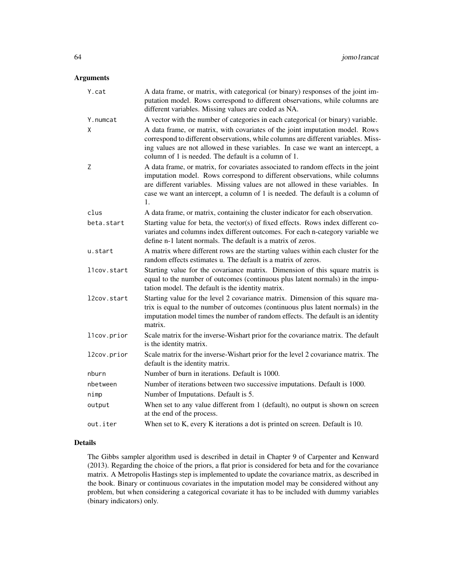## Arguments

| Y.cat       | A data frame, or matrix, with categorical (or binary) responses of the joint im-<br>putation model. Rows correspond to different observations, while columns are<br>different variables. Missing values are coded as NA.                                                                                                                  |
|-------------|-------------------------------------------------------------------------------------------------------------------------------------------------------------------------------------------------------------------------------------------------------------------------------------------------------------------------------------------|
| Y.numcat    | A vector with the number of categories in each categorical (or binary) variable.                                                                                                                                                                                                                                                          |
| X           | A data frame, or matrix, with covariates of the joint imputation model. Rows<br>correspond to different observations, while columns are different variables. Miss-<br>ing values are not allowed in these variables. In case we want an intercept, a<br>column of 1 is needed. The default is a column of 1.                              |
| Ζ           | A data frame, or matrix, for covariates associated to random effects in the joint<br>imputation model. Rows correspond to different observations, while columns<br>are different variables. Missing values are not allowed in these variables. In<br>case we want an intercept, a column of 1 is needed. The default is a column of<br>1. |
| clus        | A data frame, or matrix, containing the cluster indicator for each observation.                                                                                                                                                                                                                                                           |
| beta.start  | Starting value for beta, the vector(s) of fixed effects. Rows index different co-<br>variates and columns index different outcomes. For each n-category variable we<br>define n-1 latent normals. The default is a matrix of zeros.                                                                                                       |
| u.start     | A matrix where different rows are the starting values within each cluster for the<br>random effects estimates u. The default is a matrix of zeros.                                                                                                                                                                                        |
| llcov.start | Starting value for the covariance matrix. Dimension of this square matrix is<br>equal to the number of outcomes (continuous plus latent normals) in the impu-<br>tation model. The default is the identity matrix.                                                                                                                        |
| 12cov.start | Starting value for the level 2 covariance matrix. Dimension of this square ma-<br>trix is equal to the number of outcomes (continuous plus latent normals) in the<br>imputation model times the number of random effects. The default is an identity<br>matrix.                                                                           |
| l1cov.prior | Scale matrix for the inverse-Wishart prior for the covariance matrix. The default<br>is the identity matrix.                                                                                                                                                                                                                              |
| l2cov.prior | Scale matrix for the inverse-Wishart prior for the level 2 covariance matrix. The<br>default is the identity matrix.                                                                                                                                                                                                                      |
| nburn       | Number of burn in iterations. Default is 1000.                                                                                                                                                                                                                                                                                            |
| nbetween    | Number of iterations between two successive imputations. Default is 1000.                                                                                                                                                                                                                                                                 |
| nimp        | Number of Imputations. Default is 5.                                                                                                                                                                                                                                                                                                      |
| output      | When set to any value different from 1 (default), no output is shown on screen<br>at the end of the process.                                                                                                                                                                                                                              |
| out.iter    | When set to K, every K iterations a dot is printed on screen. Default is 10.                                                                                                                                                                                                                                                              |

## Details

The Gibbs sampler algorithm used is described in detail in Chapter 9 of Carpenter and Kenward (2013). Regarding the choice of the priors, a flat prior is considered for beta and for the covariance matrix. A Metropolis Hastings step is implemented to update the covariance matrix, as described in the book. Binary or continuous covariates in the imputation model may be considered without any problem, but when considering a categorical covariate it has to be included with dummy variables (binary indicators) only.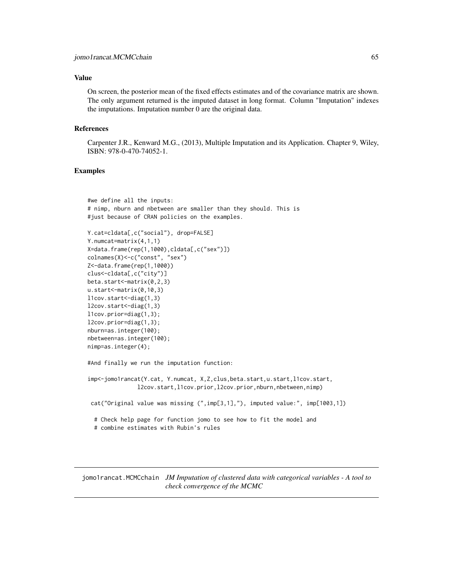## Value

On screen, the posterior mean of the fixed effects estimates and of the covariance matrix are shown. The only argument returned is the imputed dataset in long format. Column "Imputation" indexes the imputations. Imputation number 0 are the original data.

#### **References**

Carpenter J.R., Kenward M.G., (2013), Multiple Imputation and its Application. Chapter 9, Wiley, ISBN: 978-0-470-74052-1.

### Examples

```
#we define all the inputs:
# nimp, nburn and nbetween are smaller than they should. This is
#just because of CRAN policies on the examples.
Y.cat=cldata[,c("social"), drop=FALSE]
Y.numcat=matrix(4,1,1)
X=data.frame(rep(1,1000),cldata[,c("sex")])
colnames(X)<-c("const", "sex")
Z<-data.frame(rep(1,1000))
clus<-cldata[,c("city")]
beta.start<-matrix(0,2,3)
u.start<-matrix(0,10,3)
l1cov.start<-diag(1,3)
l2cov.start<-diag(1,3)
l1cov.prior=diag(1,3);
l2cov.prior=diag(1,3);
nburn=as.integer(100);
nbetween=as.integer(100);
nimp=as.integer(4);
#And finally we run the imputation function:
imp<-jomo1rancat(Y.cat, Y.numcat, X,Z,clus,beta.start,u.start,l1cov.start,
               l2cov.start,l1cov.prior,l2cov.prior,nburn,nbetween,nimp)
 cat("Original value was missing (",imp[3,1],"), imputed value:", imp[1003,1])
  # Check help page for function jomo to see how to fit the model and
  # combine estimates with Rubin's rules
```
jomo1rancat.MCMCchain *JM Imputation of clustered data with categorical variables - A tool to check convergence of the MCMC*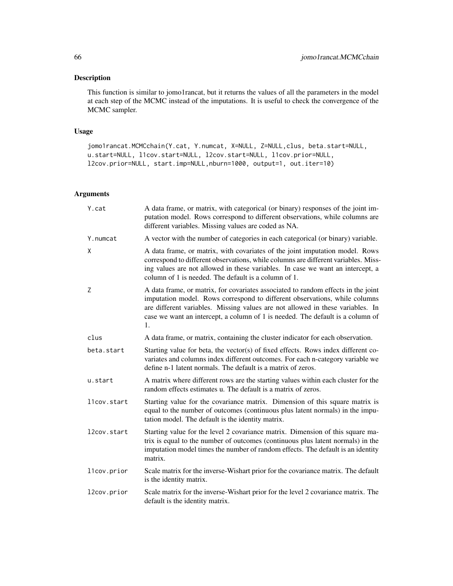## Description

This function is similar to jomo1rancat, but it returns the values of all the parameters in the model at each step of the MCMC instead of the imputations. It is useful to check the convergence of the MCMC sampler.

## Usage

```
jomo1rancat.MCMCchain(Y.cat, Y.numcat, X=NULL, Z=NULL,clus, beta.start=NULL,
u.start=NULL, l1cov.start=NULL, l2cov.start=NULL, l1cov.prior=NULL,
l2cov.prior=NULL, start.imp=NULL,nburn=1000, output=1, out.iter=10)
```

| Y.cat       | A data frame, or matrix, with categorical (or binary) responses of the joint im-<br>putation model. Rows correspond to different observations, while columns are<br>different variables. Missing values are coded as NA.                                                                                                                  |
|-------------|-------------------------------------------------------------------------------------------------------------------------------------------------------------------------------------------------------------------------------------------------------------------------------------------------------------------------------------------|
| Y.numcat    | A vector with the number of categories in each categorical (or binary) variable.                                                                                                                                                                                                                                                          |
| X           | A data frame, or matrix, with covariates of the joint imputation model. Rows<br>correspond to different observations, while columns are different variables. Miss-<br>ing values are not allowed in these variables. In case we want an intercept, a<br>column of 1 is needed. The default is a column of 1.                              |
| Z           | A data frame, or matrix, for covariates associated to random effects in the joint<br>imputation model. Rows correspond to different observations, while columns<br>are different variables. Missing values are not allowed in these variables. In<br>case we want an intercept, a column of 1 is needed. The default is a column of<br>1. |
| clus        | A data frame, or matrix, containing the cluster indicator for each observation.                                                                                                                                                                                                                                                           |
| beta.start  | Starting value for beta, the vector(s) of fixed effects. Rows index different co-<br>variates and columns index different outcomes. For each n-category variable we<br>define n-1 latent normals. The default is a matrix of zeros.                                                                                                       |
| u.start     | A matrix where different rows are the starting values within each cluster for the<br>random effects estimates u. The default is a matrix of zeros.                                                                                                                                                                                        |
| llcov.start | Starting value for the covariance matrix. Dimension of this square matrix is<br>equal to the number of outcomes (continuous plus latent normals) in the impu-<br>tation model. The default is the identity matrix.                                                                                                                        |
| l2cov.start | Starting value for the level 2 covariance matrix. Dimension of this square ma-<br>trix is equal to the number of outcomes (continuous plus latent normals) in the<br>imputation model times the number of random effects. The default is an identity<br>matrix.                                                                           |
| l1cov.prior | Scale matrix for the inverse-Wishart prior for the covariance matrix. The default<br>is the identity matrix.                                                                                                                                                                                                                              |
| l2cov.prior | Scale matrix for the inverse-Wishart prior for the level 2 covariance matrix. The<br>default is the identity matrix.                                                                                                                                                                                                                      |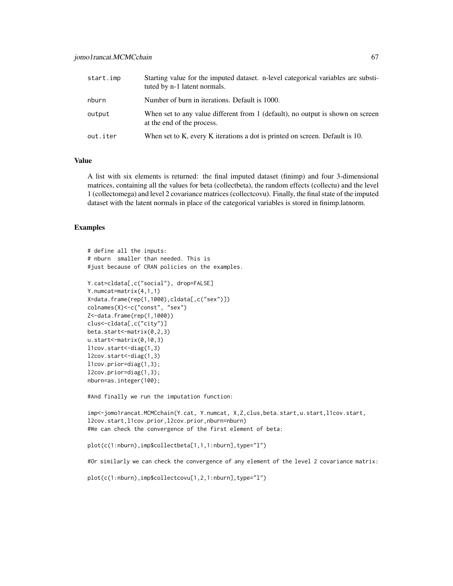| start.imp | Starting value for the imputed dataset. n-level categorical variables are substi-<br>tuted by n-1 latent normals. |
|-----------|-------------------------------------------------------------------------------------------------------------------|
| nburn     | Number of burn in iterations. Default is 1000.                                                                    |
| output    | When set to any value different from 1 (default), no output is shown on screen<br>at the end of the process.      |
| out.iter  | When set to K, every K iterations a dot is printed on screen. Default is 10.                                      |

## Value

A list with six elements is returned: the final imputed dataset (finimp) and four 3-dimensional matrices, containing all the values for beta (collectbeta), the random effects (collectu) and the level 1 (collectomega) and level 2 covariance matrices (collectcovu). Finally, the final state of the imputed dataset with the latent normals in place of the categorical variables is stored in finimp.latnorm.

## Examples

```
# define all the inputs:
# nburn smaller than needed. This is
#just because of CRAN policies on the examples.
Y.cat=cldata[,c("social"), drop=FALSE]
Y.numcat=matrix(4,1,1)
X=data.frame(rep(1,1000),cldata[,c("sex")])
colnames(X)<-c("const", "sex")
Z<-data.frame(rep(1,1000))
clus<-cldata[,c("city")]
beta.start<-matrix(0,2,3)
u.start<-matrix(0,10,3)
l1cov.start<-diag(1,3)
l2cov.start<-diag(1,3)
l1cov.prior=diag(1,3);
l2cov.prior=diag(1,3);
nburn=as.integer(100);
```
#And finally we run the imputation function:

imp<-jomo1rancat.MCMCchain(Y.cat, Y.numcat, X,Z,clus,beta.start,u.start,l1cov.start, l2cov.start,l1cov.prior,l2cov.prior,nburn=nburn) #We can check the convergence of the first element of beta:

plot(c(1:nburn),imp\$collectbeta[1,1,1:nburn],type="l")

#Or similarly we can check the convergence of any element of the level 2 covariance matrix:

plot(c(1:nburn),imp\$collectcovu[1,2,1:nburn],type="l")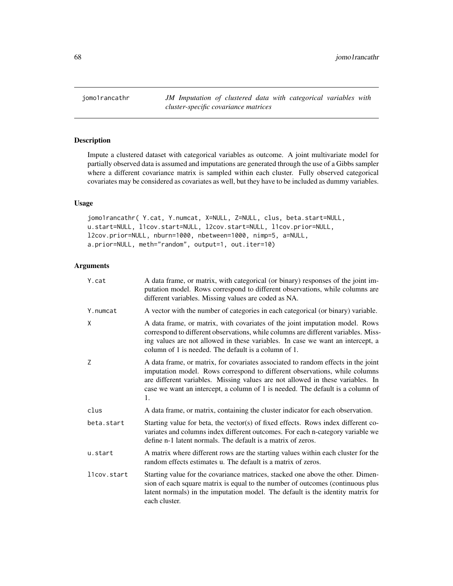jomo1rancathr *JM Imputation of clustered data with categorical variables with cluster-specific covariance matrices*

### Description

Impute a clustered dataset with categorical variables as outcome. A joint multivariate model for partially observed data is assumed and imputations are generated through the use of a Gibbs sampler where a different covariance matrix is sampled within each cluster. Fully observed categorical covariates may be considered as covariates as well, but they have to be included as dummy variables.

## Usage

```
jomo1rancathr( Y.cat, Y.numcat, X=NULL, Z=NULL, clus, beta.start=NULL,
u.start=NULL, l1cov.start=NULL, l2cov.start=NULL, l1cov.prior=NULL,
l2cov.prior=NULL, nburn=1000, nbetween=1000, nimp=5, a=NULL,
a.prior=NULL, meth="random", output=1, out.iter=10)
```

| Y.cat       | A data frame, or matrix, with categorical (or binary) responses of the joint im-<br>putation model. Rows correspond to different observations, while columns are<br>different variables. Missing values are coded as NA.                                                                                                                  |
|-------------|-------------------------------------------------------------------------------------------------------------------------------------------------------------------------------------------------------------------------------------------------------------------------------------------------------------------------------------------|
| Y.numcat    | A vector with the number of categories in each categorical (or binary) variable.                                                                                                                                                                                                                                                          |
| χ           | A data frame, or matrix, with covariates of the joint imputation model. Rows<br>correspond to different observations, while columns are different variables. Miss-<br>ing values are not allowed in these variables. In case we want an intercept, a<br>column of 1 is needed. The default is a column of 1.                              |
| Ζ           | A data frame, or matrix, for covariates associated to random effects in the joint<br>imputation model. Rows correspond to different observations, while columns<br>are different variables. Missing values are not allowed in these variables. In<br>case we want an intercept, a column of 1 is needed. The default is a column of<br>1. |
| clus        | A data frame, or matrix, containing the cluster indicator for each observation.                                                                                                                                                                                                                                                           |
| beta.start  | Starting value for beta, the vector(s) of fixed effects. Rows index different co-<br>variates and columns index different outcomes. For each n-category variable we<br>define n-1 latent normals. The default is a matrix of zeros.                                                                                                       |
| u.start     | A matrix where different rows are the starting values within each cluster for the<br>random effects estimates u. The default is a matrix of zeros.                                                                                                                                                                                        |
| llcov.start | Starting value for the covariance matrices, stacked one above the other. Dimen-<br>sion of each square matrix is equal to the number of outcomes (continuous plus<br>latent normals) in the imputation model. The default is the identity matrix for<br>each cluster.                                                                     |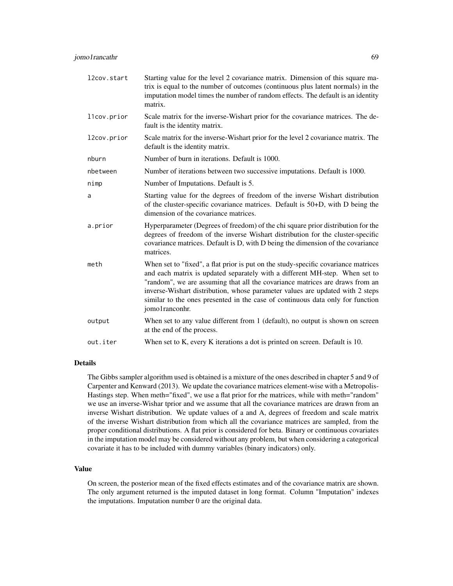| l2cov.start | Starting value for the level 2 covariance matrix. Dimension of this square ma-<br>trix is equal to the number of outcomes (continuous plus latent normals) in the<br>imputation model times the number of random effects. The default is an identity<br>matrix.                                                                                                                                                                        |
|-------------|----------------------------------------------------------------------------------------------------------------------------------------------------------------------------------------------------------------------------------------------------------------------------------------------------------------------------------------------------------------------------------------------------------------------------------------|
| llcov.prior | Scale matrix for the inverse-Wishart prior for the covariance matrices. The de-<br>fault is the identity matrix.                                                                                                                                                                                                                                                                                                                       |
| l2cov.prior | Scale matrix for the inverse-Wishart prior for the level 2 covariance matrix. The<br>default is the identity matrix.                                                                                                                                                                                                                                                                                                                   |
| nburn       | Number of burn in iterations. Default is 1000.                                                                                                                                                                                                                                                                                                                                                                                         |
| nbetween    | Number of iterations between two successive imputations. Default is 1000.                                                                                                                                                                                                                                                                                                                                                              |
| nimp        | Number of Imputations. Default is 5.                                                                                                                                                                                                                                                                                                                                                                                                   |
| a           | Starting value for the degrees of freedom of the inverse Wishart distribution<br>of the cluster-specific covariance matrices. Default is 50+D, with D being the<br>dimension of the covariance matrices.                                                                                                                                                                                                                               |
| a.prior     | Hyperparameter (Degrees of freedom) of the chi square prior distribution for the<br>degrees of freedom of the inverse Wishart distribution for the cluster-specific<br>covariance matrices. Default is D, with D being the dimension of the covariance<br>matrices.                                                                                                                                                                    |
| meth        | When set to "fixed", a flat prior is put on the study-specific covariance matrices<br>and each matrix is updated separately with a different MH-step. When set to<br>"random", we are assuming that all the covariance matrices are draws from an<br>inverse-Wishart distribution, whose parameter values are updated with 2 steps<br>similar to the ones presented in the case of continuous data only for function<br>jomo1ranconhr. |
| output      | When set to any value different from 1 (default), no output is shown on screen<br>at the end of the process.                                                                                                                                                                                                                                                                                                                           |
| out.iter    | When set to K, every K iterations a dot is printed on screen. Default is 10.                                                                                                                                                                                                                                                                                                                                                           |

## Details

The Gibbs sampler algorithm used is obtained is a mixture of the ones described in chapter 5 and 9 of Carpenter and Kenward (2013). We update the covariance matrices element-wise with a Metropolis-Hastings step. When meth="fixed", we use a flat prior for rhe matrices, while with meth="random" we use an inverse-Wishar tprior and we assume that all the covariance matrices are drawn from an inverse Wishart distribution. We update values of a and A, degrees of freedom and scale matrix of the inverse Wishart distribution from which all the covariance matrices are sampled, from the proper conditional distributions. A flat prior is considered for beta. Binary or continuous covariates in the imputation model may be considered without any problem, but when considering a categorical covariate it has to be included with dummy variables (binary indicators) only.

#### Value

On screen, the posterior mean of the fixed effects estimates and of the covariance matrix are shown. The only argument returned is the imputed dataset in long format. Column "Imputation" indexes the imputations. Imputation number 0 are the original data.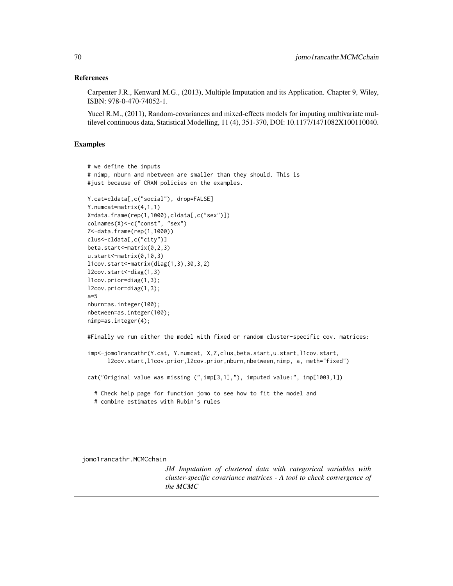### References

Carpenter J.R., Kenward M.G., (2013), Multiple Imputation and its Application. Chapter 9, Wiley, ISBN: 978-0-470-74052-1.

Yucel R.M., (2011), Random-covariances and mixed-effects models for imputing multivariate multilevel continuous data, Statistical Modelling, 11 (4), 351-370, DOI: 10.1177/1471082X100110040.

## Examples

```
# we define the inputs
# nimp, nburn and nbetween are smaller than they should. This is
#just because of CRAN policies on the examples.
Y.cat=cldata[,c("social"), drop=FALSE]
Y.numcat=matrix(4,1,1)
X=data.frame(rep(1,1000),cldata[,c("sex")])
colnames(X)<-c("const", "sex")
Z<-data.frame(rep(1,1000))
clus<-cldata[,c("city")]
beta.start<-matrix(0,2,3)
u.start<-matrix(0,10,3)
l1cov.start<-matrix(diag(1,3),30,3,2)
l2cov.start<-diag(1,3)
l1cov.prior=diag(1,3);
l2cov.prior=diag(1,3);
a=5
nburn=as.integer(100);
nbetween=as.integer(100);
nimp=as.integer(4);
#Finally we run either the model with fixed or random cluster-specific cov. matrices:
imp<-jomo1rancathr(Y.cat, Y.numcat, X,Z,clus,beta.start,u.start,l1cov.start,
      l2cov.start,l1cov.prior,l2cov.prior,nburn,nbetween,nimp, a, meth="fixed")
```
cat("Original value was missing (",imp[3,1],"), imputed value:", imp[1003,1])

- # Check help page for function jomo to see how to fit the model and
- # combine estimates with Rubin's rules

jomo1rancathr.MCMCchain

*JM Imputation of clustered data with categorical variables with cluster-specific covariance matrices - A tool to check convergence of the MCMC*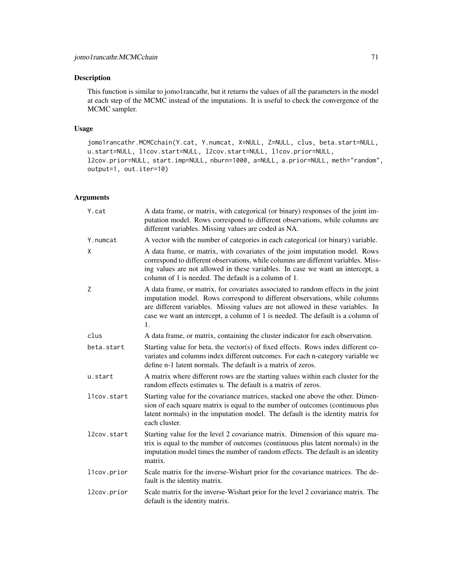## Description

This function is similar to jomo1rancathr, but it returns the values of all the parameters in the model at each step of the MCMC instead of the imputations. It is useful to check the convergence of the MCMC sampler.

### Usage

jomo1rancathr.MCMCchain(Y.cat, Y.numcat, X=NULL, Z=NULL, clus, beta.start=NULL, u.start=NULL, l1cov.start=NULL, l2cov.start=NULL, l1cov.prior=NULL, l2cov.prior=NULL, start.imp=NULL, nburn=1000, a=NULL, a.prior=NULL, meth="random", output=1, out.iter=10)

| Y.cat       | A data frame, or matrix, with categorical (or binary) responses of the joint im-<br>putation model. Rows correspond to different observations, while columns are<br>different variables. Missing values are coded as NA.                                                                                                                  |
|-------------|-------------------------------------------------------------------------------------------------------------------------------------------------------------------------------------------------------------------------------------------------------------------------------------------------------------------------------------------|
| Y.numcat    | A vector with the number of categories in each categorical (or binary) variable.                                                                                                                                                                                                                                                          |
| X           | A data frame, or matrix, with covariates of the joint imputation model. Rows<br>correspond to different observations, while columns are different variables. Miss-<br>ing values are not allowed in these variables. In case we want an intercept, a<br>column of 1 is needed. The default is a column of 1.                              |
| Z           | A data frame, or matrix, for covariates associated to random effects in the joint<br>imputation model. Rows correspond to different observations, while columns<br>are different variables. Missing values are not allowed in these variables. In<br>case we want an intercept, a column of 1 is needed. The default is a column of<br>1. |
| clus        | A data frame, or matrix, containing the cluster indicator for each observation.                                                                                                                                                                                                                                                           |
| beta.start  | Starting value for beta, the vector(s) of fixed effects. Rows index different co-<br>variates and columns index different outcomes. For each n-category variable we<br>define n-1 latent normals. The default is a matrix of zeros.                                                                                                       |
| u.start     | A matrix where different rows are the starting values within each cluster for the<br>random effects estimates u. The default is a matrix of zeros.                                                                                                                                                                                        |
| l1cov.start | Starting value for the covariance matrices, stacked one above the other. Dimen-<br>sion of each square matrix is equal to the number of outcomes (continuous plus<br>latent normals) in the imputation model. The default is the identity matrix for<br>each cluster.                                                                     |
| l2cov.start | Starting value for the level 2 covariance matrix. Dimension of this square ma-<br>trix is equal to the number of outcomes (continuous plus latent normals) in the<br>imputation model times the number of random effects. The default is an identity<br>matrix.                                                                           |
| l1cov.prior | Scale matrix for the inverse-Wishart prior for the covariance matrices. The de-<br>fault is the identity matrix.                                                                                                                                                                                                                          |
| l2cov.prior | Scale matrix for the inverse-Wishart prior for the level 2 covariance matrix. The<br>default is the identity matrix.                                                                                                                                                                                                                      |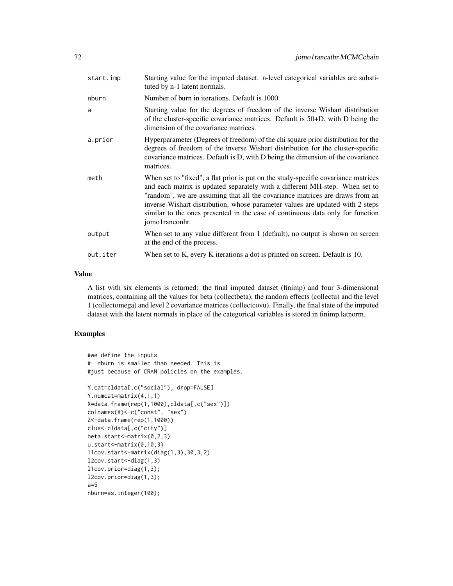| start.imp | Starting value for the imputed dataset. n-level categorical variables are substi-<br>tuted by n-1 latent normals.                                                                                                                                                                                                                                                                                                                      |
|-----------|----------------------------------------------------------------------------------------------------------------------------------------------------------------------------------------------------------------------------------------------------------------------------------------------------------------------------------------------------------------------------------------------------------------------------------------|
| nburn     | Number of burn in iterations. Default is 1000.                                                                                                                                                                                                                                                                                                                                                                                         |
| a         | Starting value for the degrees of freedom of the inverse Wishart distribution<br>of the cluster-specific covariance matrices. Default is $50+D$ , with D being the<br>dimension of the covariance matrices.                                                                                                                                                                                                                            |
| a.prior   | Hyperparameter (Degrees of freedom) of the chi square prior distribution for the<br>degrees of freedom of the inverse Wishart distribution for the cluster-specific<br>covariance matrices. Default is D, with D being the dimension of the covariance<br>matrices.                                                                                                                                                                    |
| meth      | When set to "fixed", a flat prior is put on the study-specific covariance matrices<br>and each matrix is updated separately with a different MH-step. When set to<br>"random", we are assuming that all the covariance matrices are draws from an<br>inverse-Wishart distribution, whose parameter values are updated with 2 steps<br>similar to the ones presented in the case of continuous data only for function<br>jomo1ranconhr. |
| output    | When set to any value different from 1 (default), no output is shown on screen<br>at the end of the process.                                                                                                                                                                                                                                                                                                                           |
| out.iter  | When set to K, every K iterations a dot is printed on screen. Default is 10.                                                                                                                                                                                                                                                                                                                                                           |
|           |                                                                                                                                                                                                                                                                                                                                                                                                                                        |

## Value

A list with six elements is returned: the final imputed dataset (finimp) and four 3-dimensional matrices, containing all the values for beta (collectbeta), the random effects (collectu) and the level 1 (collectomega) and level 2 covariance matrices (collectcovu). Finally, the final state of the imputed dataset with the latent normals in place of the categorical variables is stored in finimp.latnorm.

## Examples

```
#we define the inputs
# nburn is smaller than needed. This is
#just because of CRAN policies on the examples.
Y.cat=cldata[,c("social"), drop=FALSE]
Y.numcat=matrix(4,1,1)
X=data.frame(rep(1,1000),cldata[,c("sex")])
colnames(X)<-c("const", "sex")
Z<-data.frame(rep(1,1000))
clus<-cldata[,c("city")]
beta.start<-matrix(0,2,3)
u.start<-matrix(0,10,3)
l1cov.start<-matrix(diag(1,3),30,3,2)
l2cov.start<-diag(1,3)
l1cov.prior=diag(1,3);
l2cov.prior=diag(1,3);
a=5
nburn=as.integer(100);
```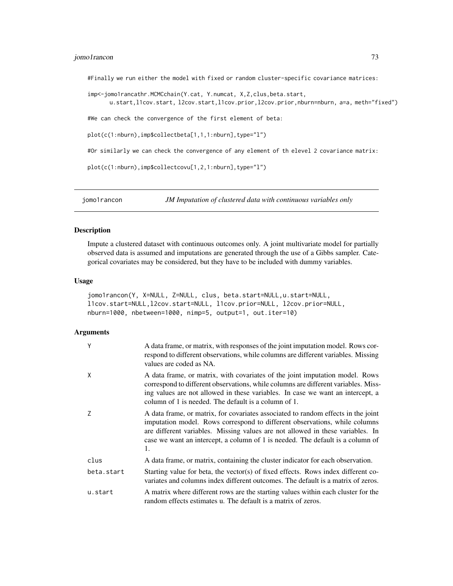# jomo1rancon 73

#Finally we run either the model with fixed or random cluster-specific covariance matrices:

imp<-jomo1rancathr.MCMCchain(Y.cat, Y.numcat, X,Z,clus,beta.start,

u.start,l1cov.start, l2cov.start,l1cov.prior,l2cov.prior,nburn=nburn, a=a, meth="fixed")

#We can check the convergence of the first element of beta:

plot(c(1:nburn),imp\$collectbeta[1,1,1:nburn],type="l")

#Or similarly we can check the convergence of any element of th elevel 2 covariance matrix:

plot(c(1:nburn),imp\$collectcovu[1,2,1:nburn],type="l")

jomo1rancon *JM Imputation of clustered data with continuous variables only*

## **Description**

Impute a clustered dataset with continuous outcomes only. A joint multivariate model for partially observed data is assumed and imputations are generated through the use of a Gibbs sampler. Categorical covariates may be considered, but they have to be included with dummy variables.

## Usage

```
jomo1rancon(Y, X=NULL, Z=NULL, clus, beta.start=NULL,u.start=NULL,
l1cov.start=NULL,l2cov.start=NULL, l1cov.prior=NULL, l2cov.prior=NULL,
nburn=1000, nbetween=1000, nimp=5, output=1, out.iter=10)
```

| Y              | A data frame, or matrix, with responses of the joint imputation model. Rows cor-<br>respond to different observations, while columns are different variables. Missing<br>values are coded as NA.                                                                                                                                          |
|----------------|-------------------------------------------------------------------------------------------------------------------------------------------------------------------------------------------------------------------------------------------------------------------------------------------------------------------------------------------|
| X              | A data frame, or matrix, with covariates of the joint imputation model. Rows<br>correspond to different observations, while columns are different variables. Miss-<br>ing values are not allowed in these variables. In case we want an intercept, a<br>column of 1 is needed. The default is a column of 1.                              |
| $\overline{7}$ | A data frame, or matrix, for covariates associated to random effects in the joint<br>imputation model. Rows correspond to different observations, while columns<br>are different variables. Missing values are not allowed in these variables. In<br>case we want an intercept, a column of 1 is needed. The default is a column of<br>1. |
| clus           | A data frame, or matrix, containing the cluster indicator for each observation.                                                                                                                                                                                                                                                           |
| beta.start     | Starting value for beta, the vector(s) of fixed effects. Rows index different co-<br>variates and columns index different outcomes. The default is a matrix of zeros.                                                                                                                                                                     |
| u.start        | A matrix where different rows are the starting values within each cluster for the<br>random effects estimates u. The default is a matrix of zeros.                                                                                                                                                                                        |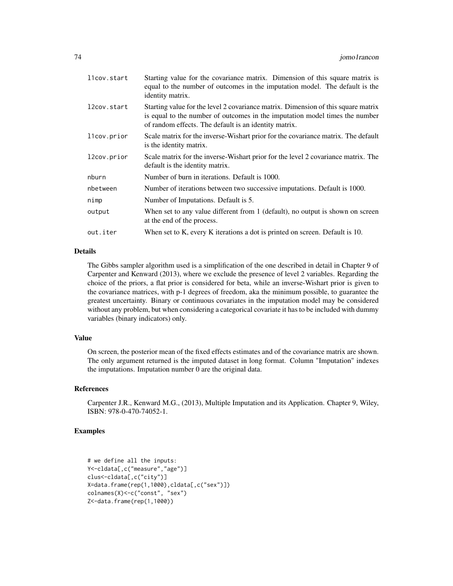| llcov.start | Starting value for the covariance matrix. Dimension of this square matrix is<br>equal to the number of outcomes in the imputation model. The default is the<br>identity matrix.                                           |
|-------------|---------------------------------------------------------------------------------------------------------------------------------------------------------------------------------------------------------------------------|
| l2cov.start | Starting value for the level 2 covariance matrix. Dimension of this square matrix<br>is equal to the number of outcomes in the imputation model times the number<br>of random effects. The default is an identity matrix. |
| llcov.prior | Scale matrix for the inverse-Wishart prior for the covariance matrix. The default<br>is the identity matrix.                                                                                                              |
| l2cov.prior | Scale matrix for the inverse-Wishart prior for the level 2 covariance matrix. The<br>default is the identity matrix.                                                                                                      |
| nburn       | Number of burn in iterations. Default is 1000.                                                                                                                                                                            |
| nbetween    | Number of iterations between two successive imputations. Default is 1000.                                                                                                                                                 |
| nimp        | Number of Imputations. Default is 5.                                                                                                                                                                                      |
| output      | When set to any value different from 1 (default), no output is shown on screen<br>at the end of the process.                                                                                                              |
| out.iter    | When set to K, every K iterations a dot is printed on screen. Default is 10.                                                                                                                                              |

#### Details

The Gibbs sampler algorithm used is a simplification of the one described in detail in Chapter 9 of Carpenter and Kenward (2013), where we exclude the presence of level 2 variables. Regarding the choice of the priors, a flat prior is considered for beta, while an inverse-Wishart prior is given to the covariance matrices, with p-1 degrees of freedom, aka the minimum possible, to guarantee the greatest uncertainty. Binary or continuous covariates in the imputation model may be considered without any problem, but when considering a categorical covariate it has to be included with dummy variables (binary indicators) only.

## Value

On screen, the posterior mean of the fixed effects estimates and of the covariance matrix are shown. The only argument returned is the imputed dataset in long format. Column "Imputation" indexes the imputations. Imputation number 0 are the original data.

#### References

Carpenter J.R., Kenward M.G., (2013), Multiple Imputation and its Application. Chapter 9, Wiley, ISBN: 978-0-470-74052-1.

# Examples

```
# we define all the inputs:
Y<-cldata[,c("measure","age")]
clus<-cldata[,c("city")]
X=data.frame(rep(1,1000),cldata[,c("sex")])
colnames(X)<-c("const", "sex")
Z<-data.frame(rep(1,1000))
```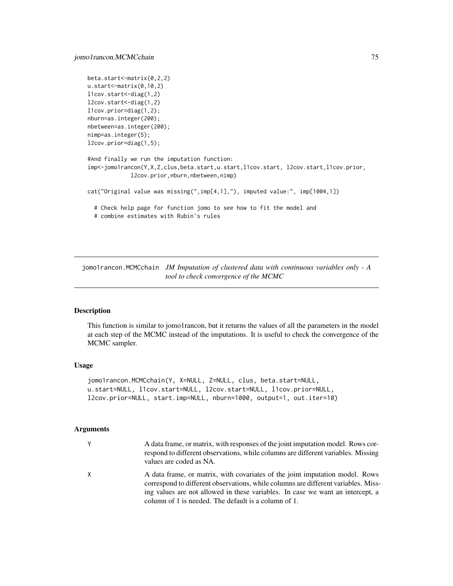```
beta.start<-matrix(0,2,2)
u.start<-matrix(0,10,2)
l1cov.start<-diag(1,2)
l2cov.start<-diag(1,2)
l1cov.prior=diag(1,2);
nburn=as.integer(200);
nbetween=as.integer(200);
nimp=as.integer(5);
l2cov.prior=diag(1,5);
#And finally we run the imputation function:
imp<-jomo1rancon(Y,X,Z,clus,beta.start,u.start,l1cov.start, l2cov.start,l1cov.prior,
             l2cov.prior,nburn,nbetween,nimp)
cat("Original value was missing(",imp[4,1],"), imputed value:", imp[1004,1])
  # Check help page for function jomo to see how to fit the model and
  # combine estimates with Rubin's rules
```
jomo1rancon.MCMCchain *JM Imputation of clustered data with continuous variables only - A tool to check convergence of the MCMC*

## Description

This function is similar to jomo1rancon, but it returns the values of all the parameters in the model at each step of the MCMC instead of the imputations. It is useful to check the convergence of the MCMC sampler.

# Usage

```
jomo1rancon.MCMCchain(Y, X=NULL, Z=NULL, clus, beta.start=NULL,
u.start=NULL, l1cov.start=NULL, l2cov.start=NULL, l1cov.prior=NULL,
l2cov.prior=NULL, start.imp=NULL, nburn=1000, output=1, out.iter=10)
```

|   | values are coded as NA.                                                                                                                                                                                                                                                                                      |
|---|--------------------------------------------------------------------------------------------------------------------------------------------------------------------------------------------------------------------------------------------------------------------------------------------------------------|
| X | A data frame, or matrix, with covariates of the joint imputation model. Rows<br>correspond to different observations, while columns are different variables. Miss-<br>ing values are not allowed in these variables. In case we want an intercept, a<br>column of 1 is needed. The default is a column of 1. |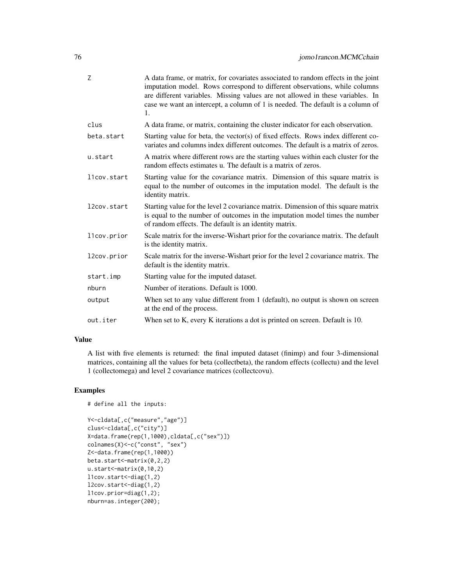| Z           | A data frame, or matrix, for covariates associated to random effects in the joint<br>imputation model. Rows correspond to different observations, while columns<br>are different variables. Missing values are not allowed in these variables. In<br>case we want an intercept, a column of 1 is needed. The default is a column of<br>1. |
|-------------|-------------------------------------------------------------------------------------------------------------------------------------------------------------------------------------------------------------------------------------------------------------------------------------------------------------------------------------------|
| clus        | A data frame, or matrix, containing the cluster indicator for each observation.                                                                                                                                                                                                                                                           |
| beta.start  | Starting value for beta, the vector(s) of fixed effects. Rows index different co-<br>variates and columns index different outcomes. The default is a matrix of zeros.                                                                                                                                                                     |
| u.start     | A matrix where different rows are the starting values within each cluster for the<br>random effects estimates u. The default is a matrix of zeros.                                                                                                                                                                                        |
| l1cov.start | Starting value for the covariance matrix. Dimension of this square matrix is<br>equal to the number of outcomes in the imputation model. The default is the<br>identity matrix.                                                                                                                                                           |
| l2cov.start | Starting value for the level 2 covariance matrix. Dimension of this square matrix<br>is equal to the number of outcomes in the imputation model times the number<br>of random effects. The default is an identity matrix.                                                                                                                 |
| l1cov.prior | Scale matrix for the inverse-Wishart prior for the covariance matrix. The default<br>is the identity matrix.                                                                                                                                                                                                                              |
| l2cov.prior | Scale matrix for the inverse-Wishart prior for the level 2 covariance matrix. The<br>default is the identity matrix.                                                                                                                                                                                                                      |
| start.imp   | Starting value for the imputed dataset.                                                                                                                                                                                                                                                                                                   |
| nburn       | Number of iterations. Default is 1000.                                                                                                                                                                                                                                                                                                    |
| output      | When set to any value different from 1 (default), no output is shown on screen<br>at the end of the process.                                                                                                                                                                                                                              |
| out.iter    | When set to K, every K iterations a dot is printed on screen. Default is 10.                                                                                                                                                                                                                                                              |

# Value

A list with five elements is returned: the final imputed dataset (finimp) and four 3-dimensional matrices, containing all the values for beta (collectbeta), the random effects (collectu) and the level 1 (collectomega) and level 2 covariance matrices (collectcovu).

# Examples

```
# define all the inputs:
```

```
Y<-cldata[,c("measure","age")]
clus<-cldata[,c("city")]
X=data.frame(rep(1,1000),cldata[,c("sex")])
colnames(X)<-c("const", "sex")
Z<-data.frame(rep(1,1000))
beta.start<-matrix(0,2,2)
u.start<-matrix(0,10,2)
l1cov.start<-diag(1,2)
l2cov.start<-diag(1,2)
l1cov.prior=diag(1,2);
nburn=as.integer(200);
```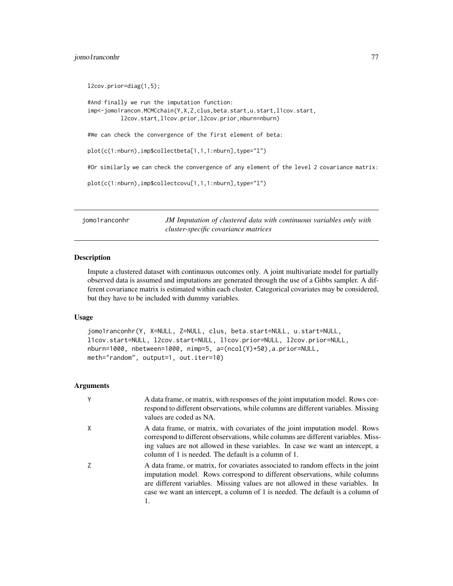# jomo1ranconhr 77

```
l2cov.prior=diag(1,5);
#And finally we run the imputation function:
imp<-jomo1rancon.MCMCchain(Y,X,Z,clus,beta.start,u.start,l1cov.start,
          l2cov.start,l1cov.prior,l2cov.prior,nburn=nburn)
#We can check the convergence of the first element of beta:
plot(c(1:nburn),imp$collectbeta[1,1,1:nburn],type="l")
#Or similarly we can check the convergence of any element of the level 2 covariance matrix:
plot(c(1:nburn),imp$collectcovu[1,1,1:nburn],type="l")
```
jomo1ranconhr *JM Imputation of clustered data with continuous variables only with cluster-specific covariance matrices*

## Description

Impute a clustered dataset with continuous outcomes only. A joint multivariate model for partially observed data is assumed and imputations are generated through the use of a Gibbs sampler. A different covariance matrix is estimated within each cluster. Categorical covariates may be considered, but they have to be included with dummy variables.

# Usage

```
jomo1ranconhr(Y, X=NULL, Z=NULL, clus, beta.start=NULL, u.start=NULL,
l1cov.start=NULL, l2cov.start=NULL, l1cov.prior=NULL, l2cov.prior=NULL,
nburn=1000, nbetween=1000, nimp=5, a=(ncol(Y)+50),a.prior=NULL,
meth="random", output=1, out.iter=10)
```

| Υ | A data frame, or matrix, with responses of the joint imputation model. Rows cor-<br>respond to different observations, while columns are different variables. Missing<br>values are coded as NA.                                                                                                                                    |
|---|-------------------------------------------------------------------------------------------------------------------------------------------------------------------------------------------------------------------------------------------------------------------------------------------------------------------------------------|
| X | A data frame, or matrix, with covariates of the joint imputation model. Rows<br>correspond to different observations, while columns are different variables. Miss-<br>ing values are not allowed in these variables. In case we want an intercept, a<br>column of 1 is needed. The default is a column of 1.                        |
| 7 | A data frame, or matrix, for covariates associated to random effects in the joint<br>imputation model. Rows correspond to different observations, while columns<br>are different variables. Missing values are not allowed in these variables. In<br>case we want an intercept, a column of 1 is needed. The default is a column of |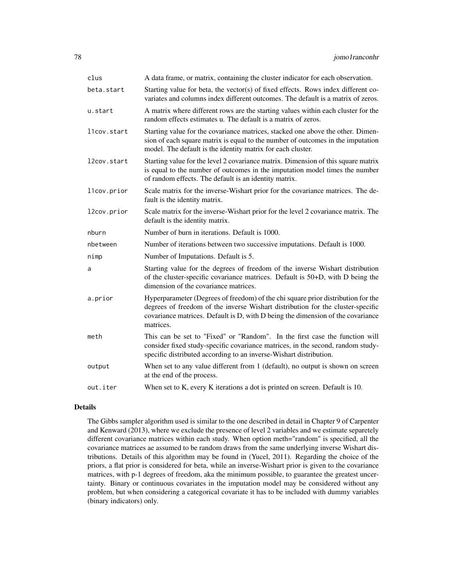| clus        | A data frame, or matrix, containing the cluster indicator for each observation.                                                                                                                                                                                     |
|-------------|---------------------------------------------------------------------------------------------------------------------------------------------------------------------------------------------------------------------------------------------------------------------|
| beta.start  | Starting value for beta, the vector(s) of fixed effects. Rows index different co-<br>variates and columns index different outcomes. The default is a matrix of zeros.                                                                                               |
| u.start     | A matrix where different rows are the starting values within each cluster for the<br>random effects estimates u. The default is a matrix of zeros.                                                                                                                  |
| llcov.start | Starting value for the covariance matrices, stacked one above the other. Dimen-<br>sion of each square matrix is equal to the number of outcomes in the imputation<br>model. The default is the identity matrix for each cluster.                                   |
| l2cov.start | Starting value for the level 2 covariance matrix. Dimension of this square matrix<br>is equal to the number of outcomes in the imputation model times the number<br>of random effects. The default is an identity matrix.                                           |
| l1cov.prior | Scale matrix for the inverse-Wishart prior for the covariance matrices. The de-<br>fault is the identity matrix.                                                                                                                                                    |
| l2cov.prior | Scale matrix for the inverse-Wishart prior for the level 2 covariance matrix. The<br>default is the identity matrix.                                                                                                                                                |
| nburn       | Number of burn in iterations. Default is 1000.                                                                                                                                                                                                                      |
| nbetween    | Number of iterations between two successive imputations. Default is 1000.                                                                                                                                                                                           |
| nimp        | Number of Imputations. Default is 5.                                                                                                                                                                                                                                |
| a           | Starting value for the degrees of freedom of the inverse Wishart distribution<br>of the cluster-specific covariance matrices. Default is 50+D, with D being the<br>dimension of the covariance matrices.                                                            |
| a.prior     | Hyperparameter (Degrees of freedom) of the chi square prior distribution for the<br>degrees of freedom of the inverse Wishart distribution for the cluster-specific<br>covariance matrices. Default is D, with D being the dimension of the covariance<br>matrices. |
| meth        | This can be set to "Fixed" or "Random". In the first case the function will<br>consider fixed study-specific covariance matrices, in the second, random study-<br>specific distributed according to an inverse-Wishart distribution.                                |
| output      | When set to any value different from 1 (default), no output is shown on screen<br>at the end of the process.                                                                                                                                                        |
| out.iter    | When set to K, every K iterations a dot is printed on screen. Default is 10.                                                                                                                                                                                        |

# Details

The Gibbs sampler algorithm used is similar to the one described in detail in Chapter 9 of Carpenter and Kenward (2013), where we exclude the presence of level 2 variables and we estimate separetely different covariance matrices within each study. When option meth="random" is specified, all the covariance matrices ae assumed to be random draws from the same underlying inverse Wishart distributions. Details of this algorithm may be found in (Yucel, 2011). Regarding the choice of the priors, a flat prior is considered for beta, while an inverse-Wishart prior is given to the covariance matrices, with p-1 degrees of freedom, aka the minimum possible, to guarantee the greatest uncertainty. Binary or continuous covariates in the imputation model may be considered without any problem, but when considering a categorical covariate it has to be included with dummy variables (binary indicators) only.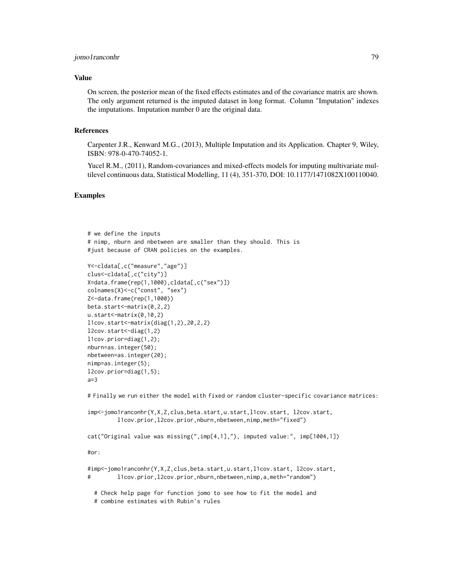# jomo1ranconhr 79

## Value

On screen, the posterior mean of the fixed effects estimates and of the covariance matrix are shown. The only argument returned is the imputed dataset in long format. Column "Imputation" indexes the imputations. Imputation number 0 are the original data.

### References

Carpenter J.R., Kenward M.G., (2013), Multiple Imputation and its Application. Chapter 9, Wiley, ISBN: 978-0-470-74052-1.

Yucel R.M., (2011), Random-covariances and mixed-effects models for imputing multivariate multilevel continuous data, Statistical Modelling, 11 (4), 351-370, DOI: 10.1177/1471082X100110040.

# Examples

```
# we define the inputs
# nimp, nburn and nbetween are smaller than they should. This is
#just because of CRAN policies on the examples.
```

```
Y<-cldata[,c("measure","age")]
clus<-cldata[,c("city")]
X=data.frame(rep(1,1000),cldata[,c("sex")])
colnames(X)<-c("const", "sex")
Z<-data.frame(rep(1,1000))
beta.start<-matrix(0,2,2)
u.start<-matrix(0,10,2)
l1cov.start<-matrix(diag(1,2),20,2,2)
l2cov.start<-diag(1,2)
l1cov.prior=diag(1,2);
nburn=as.integer(50);
nbetween=as.integer(20);
nimp=as.integer(5);
l2cov.prior=diag(1,5);
a=3
```
# Finally we run either the model with fixed or random cluster-specific covariance matrices:

```
imp<-jomo1ranconhr(Y,X,Z,clus,beta.start,u.start,l1cov.start, l2cov.start,
        l1cov.prior,l2cov.prior,nburn,nbetween,nimp,meth="fixed")
```

```
cat("Original value was missing(",imp[4,1],"), imputed value:", imp[1004,1])
```
#or:

#imp<-jomo1ranconhr(Y,X,Z,clus,beta.start,u.start,l1cov.start, l2cov.start, # l1cov.prior,l2cov.prior,nburn,nbetween,nimp,a,meth="random")

# Check help page for function jomo to see how to fit the model and

# combine estimates with Rubin's rules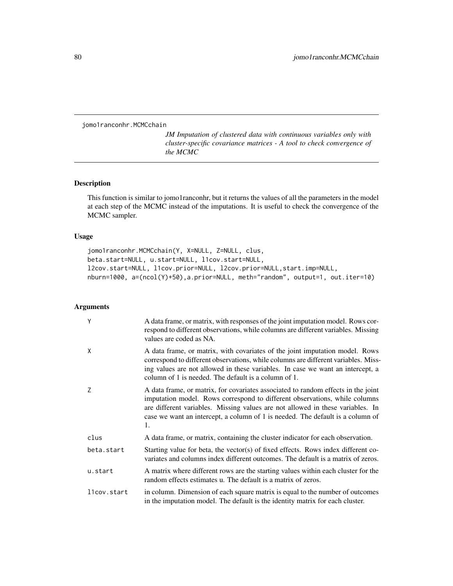jomo1ranconhr.MCMCchain

*JM Imputation of clustered data with continuous variables only with cluster-specific covariance matrices - A tool to check convergence of the MCMC*

# Description

This function is similar to jomo1ranconhr, but it returns the values of all the parameters in the model at each step of the MCMC instead of the imputations. It is useful to check the convergence of the MCMC sampler.

# Usage

```
jomo1ranconhr.MCMCchain(Y, X=NULL, Z=NULL, clus,
beta.start=NULL, u.start=NULL, l1cov.start=NULL,
l2cov.start=NULL, l1cov.prior=NULL, l2cov.prior=NULL,start.imp=NULL,
nburn=1000, a=(ncol(Y)+50),a.prior=NULL, meth="random", output=1, out.iter=10)
```

| Y           | A data frame, or matrix, with responses of the joint imputation model. Rows cor-<br>respond to different observations, while columns are different variables. Missing<br>values are coded as NA.                                                                                                                                          |
|-------------|-------------------------------------------------------------------------------------------------------------------------------------------------------------------------------------------------------------------------------------------------------------------------------------------------------------------------------------------|
| X           | A data frame, or matrix, with covariates of the joint imputation model. Rows<br>correspond to different observations, while columns are different variables. Miss-<br>ing values are not allowed in these variables. In case we want an intercept, a<br>column of 1 is needed. The default is a column of 1.                              |
| 7           | A data frame, or matrix, for covariates associated to random effects in the joint<br>imputation model. Rows correspond to different observations, while columns<br>are different variables. Missing values are not allowed in these variables. In<br>case we want an intercept, a column of 1 is needed. The default is a column of<br>1. |
| clus        | A data frame, or matrix, containing the cluster indicator for each observation.                                                                                                                                                                                                                                                           |
| beta.start  | Starting value for beta, the vector(s) of fixed effects. Rows index different co-<br>variates and columns index different outcomes. The default is a matrix of zeros.                                                                                                                                                                     |
| u.start     | A matrix where different rows are the starting values within each cluster for the<br>random effects estimates u. The default is a matrix of zeros.                                                                                                                                                                                        |
| llcov.start | in column. Dimension of each square matrix is equal to the number of outcomes<br>in the imputation model. The default is the identity matrix for each cluster.                                                                                                                                                                            |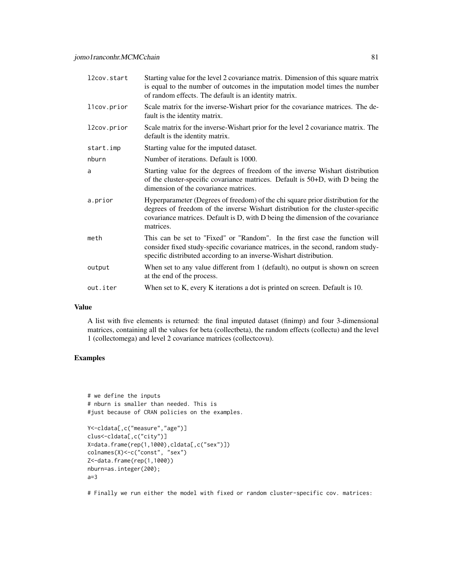| l2cov.start | Starting value for the level 2 covariance matrix. Dimension of this square matrix<br>is equal to the number of outcomes in the imputation model times the number<br>of random effects. The default is an identity matrix.                                           |
|-------------|---------------------------------------------------------------------------------------------------------------------------------------------------------------------------------------------------------------------------------------------------------------------|
| llcov.prior | Scale matrix for the inverse-Wishart prior for the covariance matrices. The de-<br>fault is the identity matrix.                                                                                                                                                    |
| l2cov.prior | Scale matrix for the inverse-Wishart prior for the level 2 covariance matrix. The<br>default is the identity matrix.                                                                                                                                                |
| start.imp   | Starting value for the imputed dataset.                                                                                                                                                                                                                             |
| nburn       | Number of iterations. Default is 1000.                                                                                                                                                                                                                              |
| a           | Starting value for the degrees of freedom of the inverse Wishart distribution<br>of the cluster-specific covariance matrices. Default is 50+D, with D being the<br>dimension of the covariance matrices.                                                            |
| a.prior     | Hyperparameter (Degrees of freedom) of the chi square prior distribution for the<br>degrees of freedom of the inverse Wishart distribution for the cluster-specific<br>covariance matrices. Default is D, with D being the dimension of the covariance<br>matrices. |
| meth        | This can be set to "Fixed" or "Random". In the first case the function will<br>consider fixed study-specific covariance matrices, in the second, random study-<br>specific distributed according to an inverse-Wishart distribution.                                |
| output      | When set to any value different from 1 (default), no output is shown on screen<br>at the end of the process.                                                                                                                                                        |
| out.iter    | When set to K, every K iterations a dot is printed on screen. Default is 10.                                                                                                                                                                                        |
|             |                                                                                                                                                                                                                                                                     |

# Value

A list with five elements is returned: the final imputed dataset (finimp) and four 3-dimensional matrices, containing all the values for beta (collectbeta), the random effects (collectu) and the level 1 (collectomega) and level 2 covariance matrices (collectcovu).

# Examples

```
# we define the inputs
# nburn is smaller than needed. This is
#just because of CRAN policies on the examples.
```

```
Y<-cldata[,c("measure","age")]
clus<-cldata[,c("city")]
X=data.frame(rep(1,1000),cldata[,c("sex")])
colnames(X)<-c("const", "sex")
Z<-data.frame(rep(1,1000))
nburn=as.integer(200);
a=3
```
# Finally we run either the model with fixed or random cluster-specific cov. matrices: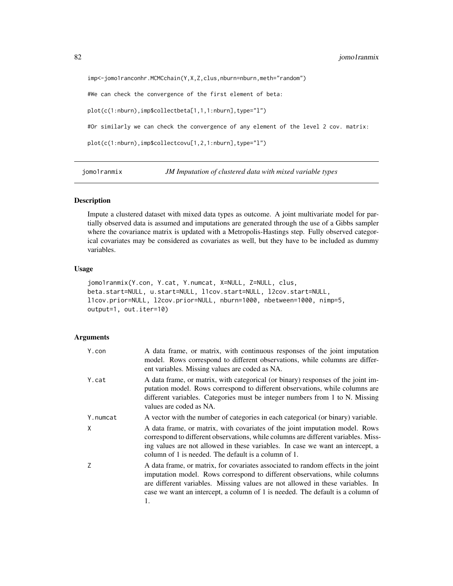imp<-jomo1ranconhr.MCMCchain(Y,X,Z,clus,nburn=nburn,meth="random")

#We can check the convergence of the first element of beta:

plot(c(1:nburn),imp\$collectbeta[1,1,1:nburn],type="l")

#Or similarly we can check the convergence of any element of the level 2 cov. matrix:

plot(c(1:nburn),imp\$collectcovu[1,2,1:nburn],type="l")

jomo1ranmix *JM Imputation of clustered data with mixed variable types*

# Description

Impute a clustered dataset with mixed data types as outcome. A joint multivariate model for partially observed data is assumed and imputations are generated through the use of a Gibbs sampler where the covariance matrix is updated with a Metropolis-Hastings step. Fully observed categorical covariates may be considered as covariates as well, but they have to be included as dummy variables.

## Usage

```
jomo1ranmix(Y.con, Y.cat, Y.numcat, X=NULL, Z=NULL, clus,
beta.start=NULL, u.start=NULL, l1cov.start=NULL, l2cov.start=NULL,
l1cov.prior=NULL, l2cov.prior=NULL, nburn=1000, nbetween=1000, nimp=5,
output=1, out.iter=10)
```

| Y.con    | A data frame, or matrix, with continuous responses of the joint imputation<br>model. Rows correspond to different observations, while columns are differ-<br>ent variables. Missing values are coded as NA.                                                                                                                         |
|----------|-------------------------------------------------------------------------------------------------------------------------------------------------------------------------------------------------------------------------------------------------------------------------------------------------------------------------------------|
| Y.cat    | A data frame, or matrix, with categorical (or binary) responses of the joint im-<br>putation model. Rows correspond to different observations, while columns are<br>different variables. Categories must be integer numbers from 1 to N. Missing<br>values are coded as NA.                                                         |
| Y.numcat | A vector with the number of categories in each categorical (or binary) variable.                                                                                                                                                                                                                                                    |
| X        | A data frame, or matrix, with covariates of the joint imputation model. Rows<br>correspond to different observations, while columns are different variables. Miss-<br>ing values are not allowed in these variables. In case we want an intercept, a<br>column of 1 is needed. The default is a column of 1.                        |
| Z        | A data frame, or matrix, for covariates associated to random effects in the joint<br>imputation model. Rows correspond to different observations, while columns<br>are different variables. Missing values are not allowed in these variables. In<br>case we want an intercept, a column of 1 is needed. The default is a column of |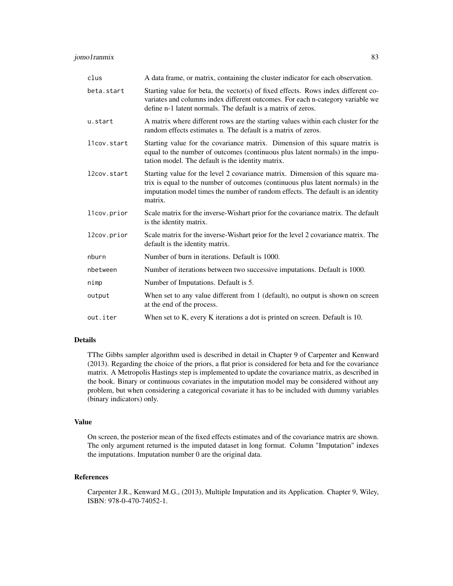## jomo1ranmix 83

| clus        | A data frame, or matrix, containing the cluster indicator for each observation.                                                                                                                                                                                 |
|-------------|-----------------------------------------------------------------------------------------------------------------------------------------------------------------------------------------------------------------------------------------------------------------|
| beta.start  | Starting value for beta, the vector(s) of fixed effects. Rows index different co-<br>variates and columns index different outcomes. For each n-category variable we<br>define n-1 latent normals. The default is a matrix of zeros.                             |
| u.start     | A matrix where different rows are the starting values within each cluster for the<br>random effects estimates u. The default is a matrix of zeros.                                                                                                              |
| llcov.start | Starting value for the covariance matrix. Dimension of this square matrix is<br>equal to the number of outcomes (continuous plus latent normals) in the impu-<br>tation model. The default is the identity matrix.                                              |
| l2cov.start | Starting value for the level 2 covariance matrix. Dimension of this square ma-<br>trix is equal to the number of outcomes (continuous plus latent normals) in the<br>imputation model times the number of random effects. The default is an identity<br>matrix. |
| llcov.prior | Scale matrix for the inverse-Wishart prior for the covariance matrix. The default<br>is the identity matrix.                                                                                                                                                    |
| l2cov.prior | Scale matrix for the inverse-Wishart prior for the level 2 covariance matrix. The<br>default is the identity matrix.                                                                                                                                            |
| nburn       | Number of burn in iterations. Default is 1000.                                                                                                                                                                                                                  |
| nbetween    | Number of iterations between two successive imputations. Default is 1000.                                                                                                                                                                                       |
| nimp        | Number of Imputations. Default is 5.                                                                                                                                                                                                                            |
| output      | When set to any value different from 1 (default), no output is shown on screen<br>at the end of the process.                                                                                                                                                    |
| out.iter    | When set to K, every K iterations a dot is printed on screen. Default is 10.                                                                                                                                                                                    |

## Details

TThe Gibbs sampler algorithm used is described in detail in Chapter 9 of Carpenter and Kenward (2013). Regarding the choice of the priors, a flat prior is considered for beta and for the covariance matrix. A Metropolis Hastings step is implemented to update the covariance matrix, as described in the book. Binary or continuous covariates in the imputation model may be considered without any problem, but when considering a categorical covariate it has to be included with dummy variables (binary indicators) only.

#### Value

On screen, the posterior mean of the fixed effects estimates and of the covariance matrix are shown. The only argument returned is the imputed dataset in long format. Column "Imputation" indexes the imputations. Imputation number 0 are the original data.

# References

Carpenter J.R., Kenward M.G., (2013), Multiple Imputation and its Application. Chapter 9, Wiley, ISBN: 978-0-470-74052-1.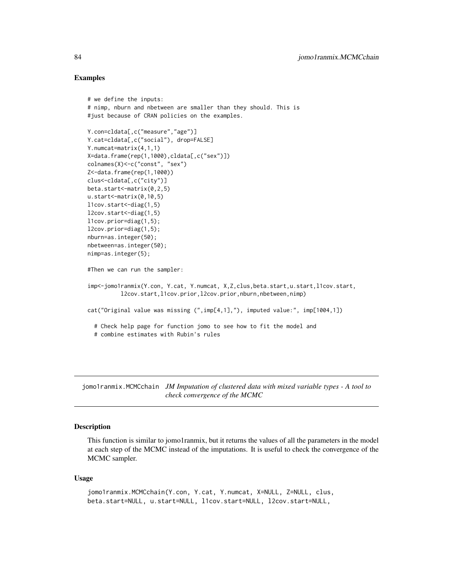## Examples

```
# we define the inputs:
# nimp, nburn and nbetween are smaller than they should. This is
#just because of CRAN policies on the examples.
Y.con=cldata[,c("measure","age")]
Y.cat=cldata[,c("social"), drop=FALSE]
Y.numcat=matrix(4,1,1)
X=data.frame(rep(1,1000),cldata[,c("sex")])
colnames(X)<-c("const", "sex")
Z<-data.frame(rep(1,1000))
clus<-cldata[,c("city")]
beta.start<-matrix(0,2,5)
u.start < -matrix(0, 10, 5)l1cov.start<-diag(1,5)
l2cov.start<-diag(1,5)
l1cov.prior=diag(1,5);
l2cov.prior=diag(1,5);
nburn=as.integer(50);
nbetween=as.integer(50);
nimp=as.integer(5);
#Then we can run the sampler:
imp<-jomo1ranmix(Y.con, Y.cat, Y.numcat, X,Z,clus,beta.start,u.start,l1cov.start,
          l2cov.start,l1cov.prior,l2cov.prior,nburn,nbetween,nimp)
cat("Original value was missing (",imp[4,1],"), imputed value:", imp[1004,1])
  # Check help page for function jomo to see how to fit the model and
  # combine estimates with Rubin's rules
```
jomo1ranmix.MCMCchain *JM Imputation of clustered data with mixed variable types - A tool to check convergence of the MCMC*

# Description

This function is similar to jomo1ranmix, but it returns the values of all the parameters in the model at each step of the MCMC instead of the imputations. It is useful to check the convergence of the MCMC sampler.

#### Usage

```
jomo1ranmix.MCMCchain(Y.con, Y.cat, Y.numcat, X=NULL, Z=NULL, clus,
beta.start=NULL, u.start=NULL, l1cov.start=NULL, l2cov.start=NULL,
```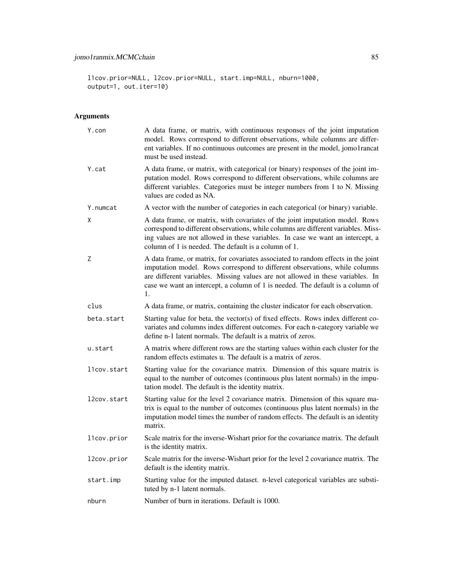l1cov.prior=NULL, l2cov.prior=NULL, start.imp=NULL, nburn=1000, output=1, out.iter=10)

| Y.con       | A data frame, or matrix, with continuous responses of the joint imputation<br>model. Rows correspond to different observations, while columns are differ-<br>ent variables. If no continuous outcomes are present in the model, jomo1rancat<br>must be used instead.                                                                      |
|-------------|-------------------------------------------------------------------------------------------------------------------------------------------------------------------------------------------------------------------------------------------------------------------------------------------------------------------------------------------|
| Y.cat       | A data frame, or matrix, with categorical (or binary) responses of the joint im-<br>putation model. Rows correspond to different observations, while columns are<br>different variables. Categories must be integer numbers from 1 to N. Missing<br>values are coded as NA.                                                               |
| Y.numcat    | A vector with the number of categories in each categorical (or binary) variable.                                                                                                                                                                                                                                                          |
| X           | A data frame, or matrix, with covariates of the joint imputation model. Rows<br>correspond to different observations, while columns are different variables. Miss-<br>ing values are not allowed in these variables. In case we want an intercept, a<br>column of 1 is needed. The default is a column of 1.                              |
| Ζ           | A data frame, or matrix, for covariates associated to random effects in the joint<br>imputation model. Rows correspond to different observations, while columns<br>are different variables. Missing values are not allowed in these variables. In<br>case we want an intercept, a column of 1 is needed. The default is a column of<br>1. |
| clus        | A data frame, or matrix, containing the cluster indicator for each observation.                                                                                                                                                                                                                                                           |
| beta.start  | Starting value for beta, the vector(s) of fixed effects. Rows index different co-<br>variates and columns index different outcomes. For each n-category variable we<br>define n-1 latent normals. The default is a matrix of zeros.                                                                                                       |
| u.start     | A matrix where different rows are the starting values within each cluster for the<br>random effects estimates u. The default is a matrix of zeros.                                                                                                                                                                                        |
| llcov.start | Starting value for the covariance matrix. Dimension of this square matrix is<br>equal to the number of outcomes (continuous plus latent normals) in the impu-<br>tation model. The default is the identity matrix.                                                                                                                        |
| l2cov.start | Starting value for the level 2 covariance matrix. Dimension of this square ma-<br>trix is equal to the number of outcomes (continuous plus latent normals) in the<br>imputation model times the number of random effects. The default is an identity<br>matrix.                                                                           |
| l1cov.prior | Scale matrix for the inverse-Wishart prior for the covariance matrix. The default<br>is the identity matrix.                                                                                                                                                                                                                              |
| l2cov.prior | Scale matrix for the inverse-Wishart prior for the level 2 covariance matrix. The<br>default is the identity matrix.                                                                                                                                                                                                                      |
| start.imp   | Starting value for the imputed dataset. n-level categorical variables are substi-<br>tuted by n-1 latent normals.                                                                                                                                                                                                                         |
| nburn       | Number of burn in iterations. Default is 1000.                                                                                                                                                                                                                                                                                            |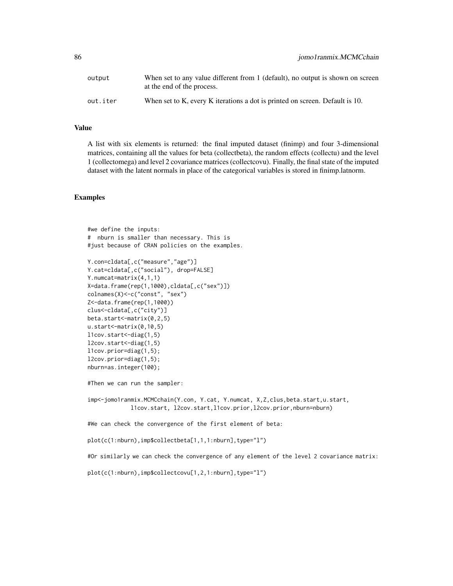| output   | When set to any value different from 1 (default), no output is shown on screen<br>at the end of the process. |
|----------|--------------------------------------------------------------------------------------------------------------|
| out.iter | When set to K, every K iterations a dot is printed on screen. Default is 10.                                 |

# Value

A list with six elements is returned: the final imputed dataset (finimp) and four 3-dimensional matrices, containing all the values for beta (collectbeta), the random effects (collectu) and the level 1 (collectomega) and level 2 covariance matrices (collectcovu). Finally, the final state of the imputed dataset with the latent normals in place of the categorical variables is stored in finimp.latnorm.

## Examples

```
#we define the inputs:
# nburn is smaller than necessary. This is
#just because of CRAN policies on the examples.
Y.con=cldata[,c("measure","age")]
Y.cat=cldata[,c("social"), drop=FALSE]
Y.numcat=matrix(4,1,1)
X=data.frame(rep(1,1000),cldata[,c("sex")])
colnames(X)<-c("const", "sex")
Z<-data.frame(rep(1,1000))
clus<-cldata[,c("city")]
beta.start<-matrix(0,2,5)
u.start<-matrix(0,10,5)
l1cov.start<-diag(1,5)
l2cov.start<-diag(1,5)
l1cov.prior=diag(1,5);
l2cov.prior=diag(1,5);
nburn=as.integer(100);
#Then we can run the sampler:
imp<-jomo1ranmix.MCMCchain(Y.con, Y.cat, Y.numcat, X,Z,clus,beta.start,u.start,
             l1cov.start, l2cov.start,l1cov.prior,l2cov.prior,nburn=nburn)
#We can check the convergence of the first element of beta:
plot(c(1:nburn),imp$collectbeta[1,1,1:nburn],type="l")
#Or similarly we can check the convergence of any element of the level 2 covariance matrix:
plot(c(1:nburn),imp$collectcovu[1,2,1:nburn],type="l")
```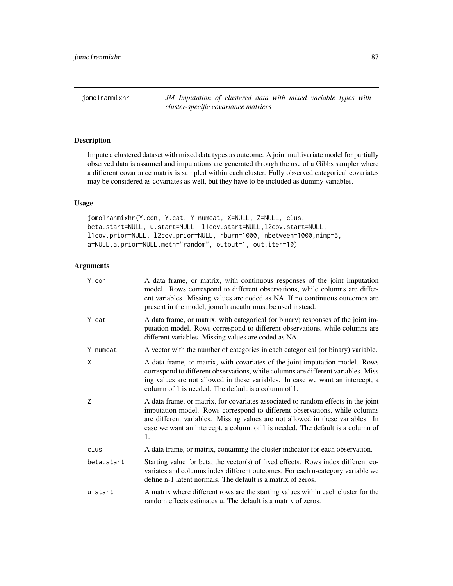jomo1ranmixhr *JM Imputation of clustered data with mixed variable types with cluster-specific covariance matrices*

## Description

Impute a clustered dataset with mixed data types as outcome. A joint multivariate model for partially observed data is assumed and imputations are generated through the use of a Gibbs sampler where a different covariance matrix is sampled within each cluster. Fully observed categorical covariates may be considered as covariates as well, but they have to be included as dummy variables.

# Usage

jomo1ranmixhr(Y.con, Y.cat, Y.numcat, X=NULL, Z=NULL, clus, beta.start=NULL, u.start=NULL, l1cov.start=NULL,l2cov.start=NULL, l1cov.prior=NULL, l2cov.prior=NULL, nburn=1000, nbetween=1000,nimp=5, a=NULL,a.prior=NULL,meth="random", output=1, out.iter=10)

| Y.con      | A data frame, or matrix, with continuous responses of the joint imputation<br>model. Rows correspond to different observations, while columns are differ-<br>ent variables. Missing values are coded as NA. If no continuous outcomes are<br>present in the model, jomo1rancathr must be used instead.                                    |
|------------|-------------------------------------------------------------------------------------------------------------------------------------------------------------------------------------------------------------------------------------------------------------------------------------------------------------------------------------------|
| Y.cat      | A data frame, or matrix, with categorical (or binary) responses of the joint im-<br>putation model. Rows correspond to different observations, while columns are<br>different variables. Missing values are coded as NA.                                                                                                                  |
| Y.numcat   | A vector with the number of categories in each categorical (or binary) variable.                                                                                                                                                                                                                                                          |
| X          | A data frame, or matrix, with covariates of the joint imputation model. Rows<br>correspond to different observations, while columns are different variables. Miss-<br>ing values are not allowed in these variables. In case we want an intercept, a<br>column of 1 is needed. The default is a column of 1.                              |
| Ζ          | A data frame, or matrix, for covariates associated to random effects in the joint<br>imputation model. Rows correspond to different observations, while columns<br>are different variables. Missing values are not allowed in these variables. In<br>case we want an intercept, a column of 1 is needed. The default is a column of<br>1. |
| clus       | A data frame, or matrix, containing the cluster indicator for each observation.                                                                                                                                                                                                                                                           |
| beta.start | Starting value for beta, the vector(s) of fixed effects. Rows index different co-<br>variates and columns index different outcomes. For each n-category variable we<br>define n-1 latent normals. The default is a matrix of zeros.                                                                                                       |
| u.start    | A matrix where different rows are the starting values within each cluster for the<br>random effects estimates u. The default is a matrix of zeros.                                                                                                                                                                                        |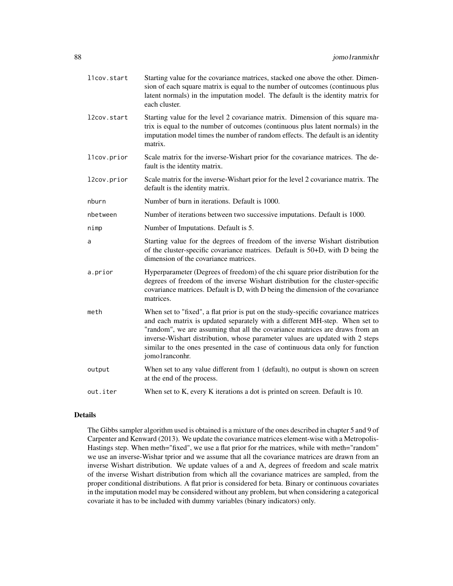| l1cov.start | Starting value for the covariance matrices, stacked one above the other. Dimen-<br>sion of each square matrix is equal to the number of outcomes (continuous plus<br>latent normals) in the imputation model. The default is the identity matrix for<br>each cluster.                                                                                                                                                                  |
|-------------|----------------------------------------------------------------------------------------------------------------------------------------------------------------------------------------------------------------------------------------------------------------------------------------------------------------------------------------------------------------------------------------------------------------------------------------|
| l2cov.start | Starting value for the level 2 covariance matrix. Dimension of this square ma-<br>trix is equal to the number of outcomes (continuous plus latent normals) in the<br>imputation model times the number of random effects. The default is an identity<br>matrix.                                                                                                                                                                        |
| l1cov.prior | Scale matrix for the inverse-Wishart prior for the covariance matrices. The de-<br>fault is the identity matrix.                                                                                                                                                                                                                                                                                                                       |
| l2cov.prior | Scale matrix for the inverse-Wishart prior for the level 2 covariance matrix. The<br>default is the identity matrix.                                                                                                                                                                                                                                                                                                                   |
| nburn       | Number of burn in iterations. Default is 1000.                                                                                                                                                                                                                                                                                                                                                                                         |
| nbetween    | Number of iterations between two successive imputations. Default is 1000.                                                                                                                                                                                                                                                                                                                                                              |
| nimp        | Number of Imputations. Default is 5.                                                                                                                                                                                                                                                                                                                                                                                                   |
| a           | Starting value for the degrees of freedom of the inverse Wishart distribution<br>of the cluster-specific covariance matrices. Default is 50+D, with D being the<br>dimension of the covariance matrices.                                                                                                                                                                                                                               |
| a.prior     | Hyperparameter (Degrees of freedom) of the chi square prior distribution for the<br>degrees of freedom of the inverse Wishart distribution for the cluster-specific<br>covariance matrices. Default is D, with D being the dimension of the covariance<br>matrices.                                                                                                                                                                    |
| meth        | When set to "fixed", a flat prior is put on the study-specific covariance matrices<br>and each matrix is updated separately with a different MH-step. When set to<br>"random", we are assuming that all the covariance matrices are draws from an<br>inverse-Wishart distribution, whose parameter values are updated with 2 steps<br>similar to the ones presented in the case of continuous data only for function<br>jomo1ranconhr. |
| output      | When set to any value different from 1 (default), no output is shown on screen<br>at the end of the process.                                                                                                                                                                                                                                                                                                                           |
| out.iter    | When set to K, every K iterations a dot is printed on screen. Default is 10.                                                                                                                                                                                                                                                                                                                                                           |

# Details

The Gibbs sampler algorithm used is obtained is a mixture of the ones described in chapter 5 and 9 of Carpenter and Kenward (2013). We update the covariance matrices element-wise with a Metropolis-Hastings step. When meth="fixed", we use a flat prior for rhe matrices, while with meth="random" we use an inverse-Wishar tprior and we assume that all the covariance matrices are drawn from an inverse Wishart distribution. We update values of a and A, degrees of freedom and scale matrix of the inverse Wishart distribution from which all the covariance matrices are sampled, from the proper conditional distributions. A flat prior is considered for beta. Binary or continuous covariates in the imputation model may be considered without any problem, but when considering a categorical covariate it has to be included with dummy variables (binary indicators) only.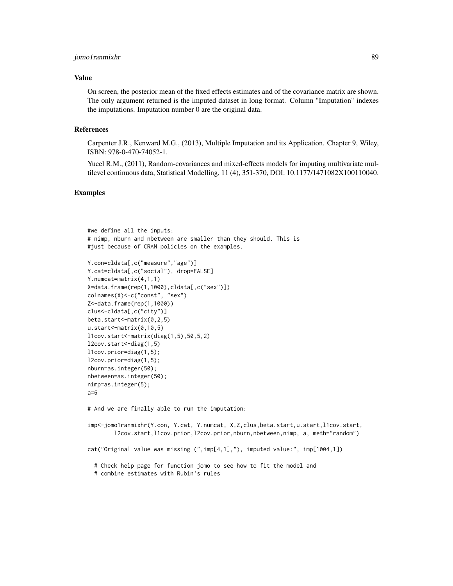# jomo1ranmixhr 89

## Value

On screen, the posterior mean of the fixed effects estimates and of the covariance matrix are shown. The only argument returned is the imputed dataset in long format. Column "Imputation" indexes the imputations. Imputation number 0 are the original data.

## References

Carpenter J.R., Kenward M.G., (2013), Multiple Imputation and its Application. Chapter 9, Wiley, ISBN: 978-0-470-74052-1.

Yucel R.M., (2011), Random-covariances and mixed-effects models for imputing multivariate multilevel continuous data, Statistical Modelling, 11 (4), 351-370, DOI: 10.1177/1471082X100110040.

## Examples

```
#we define all the inputs:
# nimp, nburn and nbetween are smaller than they should. This is
#just because of CRAN policies on the examples.
```

```
Y.con=cldata[,c("measure","age")]
Y.cat=cldata[,c("social"), drop=FALSE]
Y.numcat=matrix(4,1,1)
X=data.frame(rep(1,1000),cldata[,c("sex")])
colnames(X)<-c("const", "sex")
Z<-data.frame(rep(1,1000))
clus<-cldata[,c("city")]
beta.start<-matrix(0,2,5)
u.start<-matrix(0,10,5)
l1cov.start<-matrix(diag(1,5),50,5,2)
l2cov.start<-diag(1,5)
l1cov.prior=diag(1,5);
l2cov.prior=diag(1,5);
nburn=as.integer(50);
nbetween=as.integer(50);
nimp=as.integer(5);
a=6
```
# And we are finally able to run the imputation:

imp<-jomo1ranmixhr(Y.con, Y.cat, Y.numcat, X,Z,clus,beta.start,u.start,l1cov.start, l2cov.start,l1cov.prior,l2cov.prior,nburn,nbetween,nimp, a, meth="random")

cat("Original value was missing (",imp[4,1],"), imputed value:", imp[1004,1])

- # Check help page for function jomo to see how to fit the model and
- # combine estimates with Rubin's rules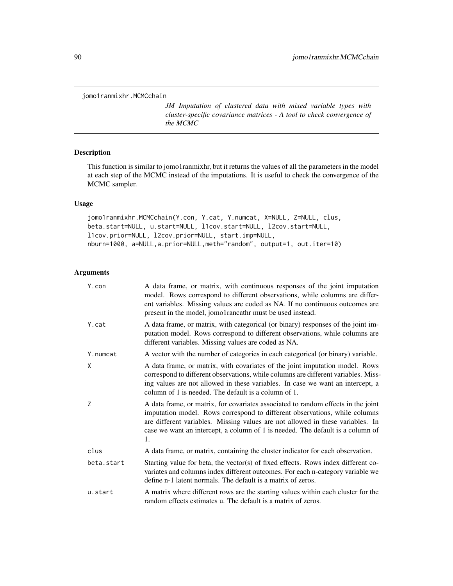jomo1ranmixhr.MCMCchain

*JM Imputation of clustered data with mixed variable types with cluster-specific covariance matrices - A tool to check convergence of the MCMC*

# Description

This function is similar to jomo1ranmixhr, but it returns the values of all the parameters in the model at each step of the MCMC instead of the imputations. It is useful to check the convergence of the MCMC sampler.

# Usage

```
jomo1ranmixhr.MCMCchain(Y.con, Y.cat, Y.numcat, X=NULL, Z=NULL, clus,
beta.start=NULL, u.start=NULL, l1cov.start=NULL, l2cov.start=NULL,
l1cov.prior=NULL, l2cov.prior=NULL, start.imp=NULL,
nburn=1000, a=NULL,a.prior=NULL,meth="random", output=1, out.iter=10)
```

| Y.con      | A data frame, or matrix, with continuous responses of the joint imputation<br>model. Rows correspond to different observations, while columns are differ-<br>ent variables. Missing values are coded as NA. If no continuous outcomes are<br>present in the model, jomo1rancathr must be used instead.                                    |
|------------|-------------------------------------------------------------------------------------------------------------------------------------------------------------------------------------------------------------------------------------------------------------------------------------------------------------------------------------------|
| Y.cat      | A data frame, or matrix, with categorical (or binary) responses of the joint im-<br>putation model. Rows correspond to different observations, while columns are<br>different variables. Missing values are coded as NA.                                                                                                                  |
| Y.numcat   | A vector with the number of categories in each categorical (or binary) variable.                                                                                                                                                                                                                                                          |
| Χ          | A data frame, or matrix, with covariates of the joint imputation model. Rows<br>correspond to different observations, while columns are different variables. Miss-<br>ing values are not allowed in these variables. In case we want an intercept, a<br>column of 1 is needed. The default is a column of 1.                              |
| Z          | A data frame, or matrix, for covariates associated to random effects in the joint<br>imputation model. Rows correspond to different observations, while columns<br>are different variables. Missing values are not allowed in these variables. In<br>case we want an intercept, a column of 1 is needed. The default is a column of<br>1. |
| clus       | A data frame, or matrix, containing the cluster indicator for each observation.                                                                                                                                                                                                                                                           |
| beta.start | Starting value for beta, the vector(s) of fixed effects. Rows index different co-<br>variates and columns index different outcomes. For each n-category variable we<br>define n-1 latent normals. The default is a matrix of zeros.                                                                                                       |
| u.start    | A matrix where different rows are the starting values within each cluster for the<br>random effects estimates u. The default is a matrix of zeros.                                                                                                                                                                                        |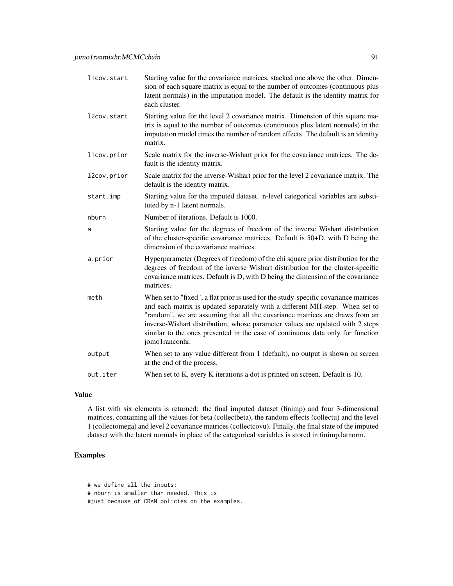| l1cov.start | Starting value for the covariance matrices, stacked one above the other. Dimen-<br>sion of each square matrix is equal to the number of outcomes (continuous plus<br>latent normals) in the imputation model. The default is the identity matrix for<br>each cluster.                                                                                                                                                                    |
|-------------|------------------------------------------------------------------------------------------------------------------------------------------------------------------------------------------------------------------------------------------------------------------------------------------------------------------------------------------------------------------------------------------------------------------------------------------|
| l2cov.start | Starting value for the level 2 covariance matrix. Dimension of this square ma-<br>trix is equal to the number of outcomes (continuous plus latent normals) in the<br>imputation model times the number of random effects. The default is an identity<br>matrix.                                                                                                                                                                          |
| llcov.prior | Scale matrix for the inverse-Wishart prior for the covariance matrices. The de-<br>fault is the identity matrix.                                                                                                                                                                                                                                                                                                                         |
| l2cov.prior | Scale matrix for the inverse-Wishart prior for the level 2 covariance matrix. The<br>default is the identity matrix.                                                                                                                                                                                                                                                                                                                     |
| start.imp   | Starting value for the imputed dataset. n-level categorical variables are substi-<br>tuted by n-1 latent normals.                                                                                                                                                                                                                                                                                                                        |
| nburn       | Number of iterations. Default is 1000.                                                                                                                                                                                                                                                                                                                                                                                                   |
| a           | Starting value for the degrees of freedom of the inverse Wishart distribution<br>of the cluster-specific covariance matrices. Default is 50+D, with D being the<br>dimension of the covariance matrices.                                                                                                                                                                                                                                 |
| a.prior     | Hyperparameter (Degrees of freedom) of the chi square prior distribution for the<br>degrees of freedom of the inverse Wishart distribution for the cluster-specific<br>covariance matrices. Default is D, with D being the dimension of the covariance<br>matrices.                                                                                                                                                                      |
| meth        | When set to "fixed", a flat prior is used for the study-specific covariance matrices<br>and each matrix is updated separately with a different MH-step. When set to<br>"random", we are assuming that all the covariance matrices are draws from an<br>inverse-Wishart distribution, whose parameter values are updated with 2 steps<br>similar to the ones presented in the case of continuous data only for function<br>jomo1ranconhr. |
| output      | When set to any value different from 1 (default), no output is shown on screen<br>at the end of the process.                                                                                                                                                                                                                                                                                                                             |
| out.iter    | When set to K, every K iterations a dot is printed on screen. Default is 10.                                                                                                                                                                                                                                                                                                                                                             |

# Value

A list with six elements is returned: the final imputed dataset (finimp) and four 3-dimensional matrices, containing all the values for beta (collectbeta), the random effects (collectu) and the level 1 (collectomega) and level 2 covariance matrices (collectcovu). Finally, the final state of the imputed dataset with the latent normals in place of the categorical variables is stored in finimp.latnorm.

# Examples

# we define all the inputs: # nburn is smaller than needed. This is #just because of CRAN policies on the examples.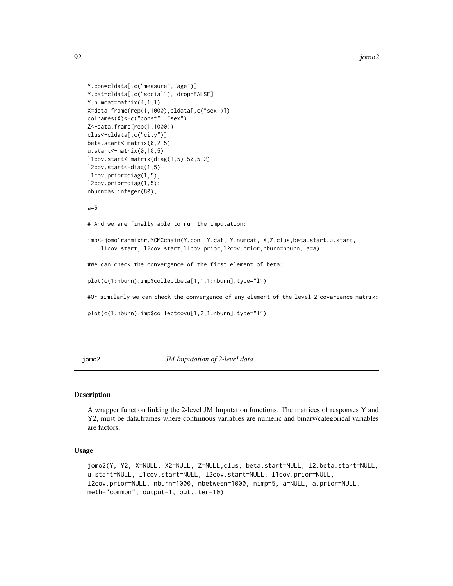```
Y.con=cldata[,c("measure","age")]
Y.cat=cldata[,c("social"), drop=FALSE]
Y.numcat=matrix(4,1,1)
X=data.frame(rep(1,1000),cldata[,c("sex")])
colnames(X)<-c("const", "sex")
Z<-data.frame(rep(1,1000))
clus<-cldata[,c("city")]
beta.start<-matrix(0,2,5)
u.start<-matrix(0,10,5)
l1cov.start<-matrix(diag(1,5),50,5,2)
l2cov.start<-diag(1,5)
l1cov.prior=diag(1,5);
l2cov.prior=diag(1,5);
nburn=as.integer(80);
```
#### $a=6$

# And we are finally able to run the imputation:

```
imp<-jomo1ranmixhr.MCMCchain(Y.con, Y.cat, Y.numcat, X,Z,clus,beta.start,u.start,
   l1cov.start, l2cov.start,l1cov.prior,l2cov.prior,nburn=nburn, a=a)
```
#We can check the convergence of the first element of beta:

plot(c(1:nburn),imp\$collectbeta[1,1,1:nburn],type="l")

#Or similarly we can check the convergence of any element of the level 2 covariance matrix:

```
plot(c(1:nburn),imp$collectcovu[1,2,1:nburn],type="l")
```
jomo2 *JM Imputation of 2-level data*

# Description

A wrapper function linking the 2-level JM Imputation functions. The matrices of responses Y and Y2, must be data.frames where continuous variables are numeric and binary/categorical variables are factors.

## Usage

```
jomo2(Y, Y2, X=NULL, X2=NULL, Z=NULL,clus, beta.start=NULL, l2.beta.start=NULL,
u.start=NULL, l1cov.start=NULL, l2cov.start=NULL, l1cov.prior=NULL,
l2cov.prior=NULL, nburn=1000, nbetween=1000, nimp=5, a=NULL, a.prior=NULL,
meth="common", output=1, out.iter=10)
```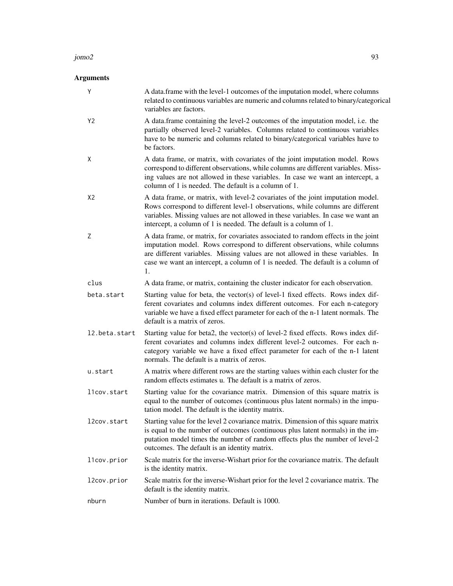## $jomo2$  93

| Y              | A data.frame with the level-1 outcomes of the imputation model, where columns<br>related to continuous variables are numeric and columns related to binary/categorical<br>variables are factors.                                                                                                                                          |
|----------------|-------------------------------------------------------------------------------------------------------------------------------------------------------------------------------------------------------------------------------------------------------------------------------------------------------------------------------------------|
| Y2             | A data.frame containing the level-2 outcomes of the imputation model, i.e. the<br>partially observed level-2 variables. Columns related to continuous variables<br>have to be numeric and columns related to binary/categorical variables have to<br>be factors.                                                                          |
| X              | A data frame, or matrix, with covariates of the joint imputation model. Rows<br>correspond to different observations, while columns are different variables. Miss-<br>ing values are not allowed in these variables. In case we want an intercept, a<br>column of 1 is needed. The default is a column of 1.                              |
| X <sub>2</sub> | A data frame, or matrix, with level-2 covariates of the joint imputation model.<br>Rows correspond to different level-1 observations, while columns are different<br>variables. Missing values are not allowed in these variables. In case we want an<br>intercept, a column of 1 is needed. The default is a column of 1.                |
| Ζ              | A data frame, or matrix, for covariates associated to random effects in the joint<br>imputation model. Rows correspond to different observations, while columns<br>are different variables. Missing values are not allowed in these variables. In<br>case we want an intercept, a column of 1 is needed. The default is a column of<br>1. |
| clus           | A data frame, or matrix, containing the cluster indicator for each observation.                                                                                                                                                                                                                                                           |
| beta.start     | Starting value for beta, the vector(s) of level-1 fixed effects. Rows index dif-<br>ferent covariates and columns index different outcomes. For each n-category<br>variable we have a fixed effect parameter for each of the n-1 latent normals. The<br>default is a matrix of zeros.                                                     |
| 12.beta.start  | Starting value for beta2, the vector(s) of level-2 fixed effects. Rows index dif-<br>ferent covariates and columns index different level-2 outcomes. For each n-<br>category variable we have a fixed effect parameter for each of the n-1 latent<br>normals. The default is a matrix of zeros.                                           |
| u.start        | A matrix where different rows are the starting values within each cluster for the<br>random effects estimates u. The default is a matrix of zeros.                                                                                                                                                                                        |
| l1cov.start    | Starting value for the covariance matrix. Dimension of this square matrix is<br>equal to the number of outcomes (continuous plus latent normals) in the impu-<br>tation model. The default is the identity matrix.                                                                                                                        |
| l2cov.start    | Starting value for the level 2 covariance matrix. Dimension of this square matrix<br>is equal to the number of outcomes (continuous plus latent normals) in the im-<br>putation model times the number of random effects plus the number of level-2<br>outcomes. The default is an identity matrix.                                       |
| llcov.prior    | Scale matrix for the inverse-Wishart prior for the covariance matrix. The default<br>is the identity matrix.                                                                                                                                                                                                                              |
| l2cov.prior    | Scale matrix for the inverse-Wishart prior for the level 2 covariance matrix. The<br>default is the identity matrix.                                                                                                                                                                                                                      |
| nburn          | Number of burn in iterations. Default is 1000.                                                                                                                                                                                                                                                                                            |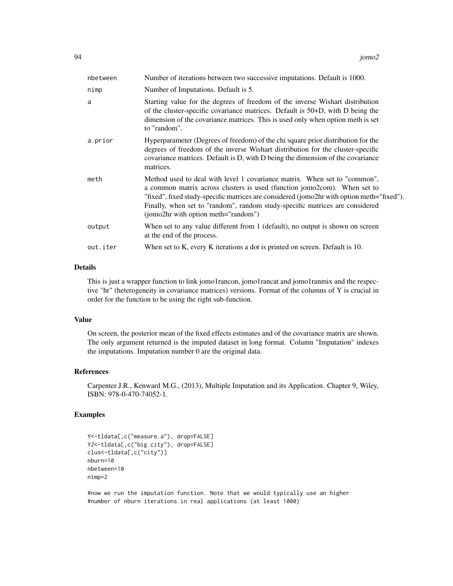| nbetween | Number of iterations between two successive imputations. Default is 1000.                                                                                                                                                                                                                                                                                                 |
|----------|---------------------------------------------------------------------------------------------------------------------------------------------------------------------------------------------------------------------------------------------------------------------------------------------------------------------------------------------------------------------------|
| nimp     | Number of Imputations. Default is 5.                                                                                                                                                                                                                                                                                                                                      |
| a        | Starting value for the degrees of freedom of the inverse Wishart distribution<br>of the cluster-specific covariance matrices. Default is 50+D, with D being the<br>dimension of the covariance matrices. This is used only when option meth is set<br>to "random".                                                                                                        |
| a.prior  | Hyperparameter (Degrees of freedom) of the chi square prior distribution for the<br>degrees of freedom of the inverse Wishart distribution for the cluster-specific<br>covariance matrices. Default is D, with D being the dimension of the covariance<br>matrices.                                                                                                       |
| meth     | Method used to deal with level 1 covariance matrix. When set to "common",<br>a common matrix across clusters is used (function jomo2com). When set to<br>"fixed", fixed study-specific matrices are considered (jomo2hr with option meth="fixed").<br>Finally, when set to "random", random study-specific matrices are considered<br>(jomo2hr with option meth="random") |
| output   | When set to any value different from 1 (default), no output is shown on screen<br>at the end of the process.                                                                                                                                                                                                                                                              |
| out.iter | When set to K, every K iterations a dot is printed on screen. Default is 10.                                                                                                                                                                                                                                                                                              |

## Details

This is just a wrapper function to link jomo1rancon, jomo1rancat and jomo1ranmix and the respective "hr" (heterogeneity in covariance matrices) versions. Format of the columns of Y is crucial in order for the function to be using the right sub-function.

# Value

On screen, the posterior mean of the fixed effects estimates and of the covariance matrix are shown. The only argument returned is the imputed dataset in long format. Column "Imputation" indexes the imputations. Imputation number 0 are the original data.

# References

Carpenter J.R., Kenward M.G., (2013), Multiple Imputation and its Application. Chapter 9, Wiley, ISBN: 978-0-470-74052-1.

# Examples

```
Y<-tldata[,c("measure.a"), drop=FALSE]
Y2<-tldata[,c("big.city"), drop=FALSE]
clus<-tldata[,c("city")]
nburn=10
nbetween=10
nimp=2
```
#now we run the imputation function. Note that we would typically use an higher #number of nburn iterations in real applications (at least 1000)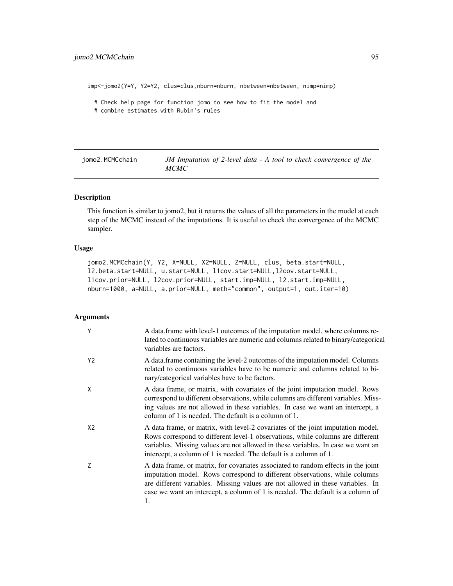imp<-jomo2(Y=Y, Y2=Y2, clus=clus,nburn=nburn, nbetween=nbetween, nimp=nimp)

```
# Check help page for function jomo to see how to fit the model and
```
# combine estimates with Rubin's rules

jomo2.MCMCchain *JM Imputation of 2-level data - A tool to check convergence of the MCMC*

### Description

This function is similar to jomo2, but it returns the values of all the parameters in the model at each step of the MCMC instead of the imputations. It is useful to check the convergence of the MCMC sampler.

# Usage

```
jomo2.MCMCchain(Y, Y2, X=NULL, X2=NULL, Z=NULL, clus, beta.start=NULL,
l2.beta.start=NULL, u.start=NULL, l1cov.start=NULL,l2cov.start=NULL,
l1cov.prior=NULL, l2cov.prior=NULL, start.imp=NULL, l2.start.imp=NULL,
nburn=1000, a=NULL, a.prior=NULL, meth="common", output=1, out.iter=10)
```

| Y              | A data frame with level-1 outcomes of the imputation model, where columns re-<br>lated to continuous variables are numeric and columns related to binary/categorical<br>variables are factors.                                                                                                                                            |
|----------------|-------------------------------------------------------------------------------------------------------------------------------------------------------------------------------------------------------------------------------------------------------------------------------------------------------------------------------------------|
| Y <sub>2</sub> | A data frame containing the level-2 outcomes of the imputation model. Columns<br>related to continuous variables have to be numeric and columns related to bi-<br>nary/categorical variables have to be factors.                                                                                                                          |
| X              | A data frame, or matrix, with covariates of the joint imputation model. Rows<br>correspond to different observations, while columns are different variables. Miss-<br>ing values are not allowed in these variables. In case we want an intercept, a<br>column of 1 is needed. The default is a column of 1.                              |
| X <sub>2</sub> | A data frame, or matrix, with level-2 covariates of the joint imputation model.<br>Rows correspond to different level-1 observations, while columns are different<br>variables. Missing values are not allowed in these variables. In case we want an<br>intercept, a column of 1 is needed. The default is a column of 1.                |
| 7              | A data frame, or matrix, for covariates associated to random effects in the joint<br>imputation model. Rows correspond to different observations, while columns<br>are different variables. Missing values are not allowed in these variables. In<br>case we want an intercept, a column of 1 is needed. The default is a column of<br>1. |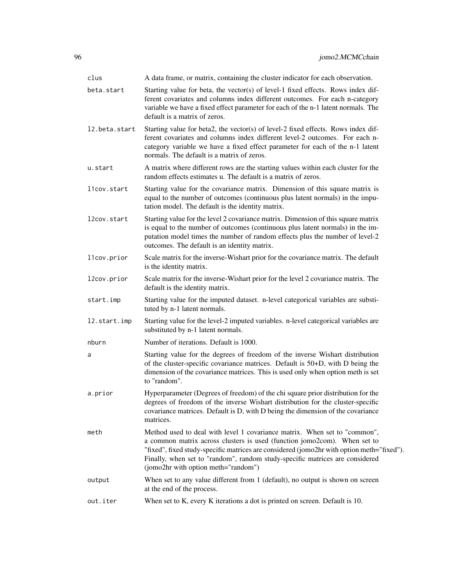| clus          | A data frame, or matrix, containing the cluster indicator for each observation.                                                                                                                                                                                                                                                                                           |
|---------------|---------------------------------------------------------------------------------------------------------------------------------------------------------------------------------------------------------------------------------------------------------------------------------------------------------------------------------------------------------------------------|
| beta.start    | Starting value for beta, the vector(s) of level-1 fixed effects. Rows index dif-<br>ferent covariates and columns index different outcomes. For each n-category<br>variable we have a fixed effect parameter for each of the n-1 latent normals. The<br>default is a matrix of zeros.                                                                                     |
| 12.beta.start | Starting value for beta2, the vector(s) of level-2 fixed effects. Rows index dif-<br>ferent covariates and columns index different level-2 outcomes. For each n-<br>category variable we have a fixed effect parameter for each of the n-1 latent<br>normals. The default is a matrix of zeros.                                                                           |
| u.start       | A matrix where different rows are the starting values within each cluster for the<br>random effects estimates u. The default is a matrix of zeros.                                                                                                                                                                                                                        |
| llcov.start   | Starting value for the covariance matrix. Dimension of this square matrix is<br>equal to the number of outcomes (continuous plus latent normals) in the impu-<br>tation model. The default is the identity matrix.                                                                                                                                                        |
| l2cov.start   | Starting value for the level 2 covariance matrix. Dimension of this square matrix<br>is equal to the number of outcomes (continuous plus latent normals) in the im-<br>putation model times the number of random effects plus the number of level-2<br>outcomes. The default is an identity matrix.                                                                       |
| llcov.prior   | Scale matrix for the inverse-Wishart prior for the covariance matrix. The default<br>is the identity matrix.                                                                                                                                                                                                                                                              |
| l2cov.prior   | Scale matrix for the inverse-Wishart prior for the level 2 covariance matrix. The<br>default is the identity matrix.                                                                                                                                                                                                                                                      |
| start.imp     | Starting value for the imputed dataset. n-level categorical variables are substi-<br>tuted by n-1 latent normals.                                                                                                                                                                                                                                                         |
| 12.start.imp  | Starting value for the level-2 imputed variables. n-level categorical variables are<br>substituted by n-1 latent normals.                                                                                                                                                                                                                                                 |
| nburn         | Number of iterations. Default is 1000.                                                                                                                                                                                                                                                                                                                                    |
| a             | Starting value for the degrees of freedom of the inverse Wishart distribution<br>of the cluster-specific covariance matrices. Default is 50+D, with D being the<br>dimension of the covariance matrices. This is used only when option meth is set<br>to "random".                                                                                                        |
| a.prior       | Hyperparameter (Degrees of freedom) of the chi square prior distribution for the<br>degrees of freedom of the inverse Wishart distribution for the cluster-specific<br>covariance matrices. Default is D, with D being the dimension of the covariance<br>matrices.                                                                                                       |
| meth          | Method used to deal with level 1 covariance matrix. When set to "common",<br>a common matrix across clusters is used (function jomo2com). When set to<br>"fixed", fixed study-specific matrices are considered (jomo2hr with option meth="fixed").<br>Finally, when set to "random", random study-specific matrices are considered<br>(jomo2hr with option meth="random") |
| output        | When set to any value different from 1 (default), no output is shown on screen<br>at the end of the process.                                                                                                                                                                                                                                                              |
| out.iter      | When set to K, every K iterations a dot is printed on screen. Default is 10.                                                                                                                                                                                                                                                                                              |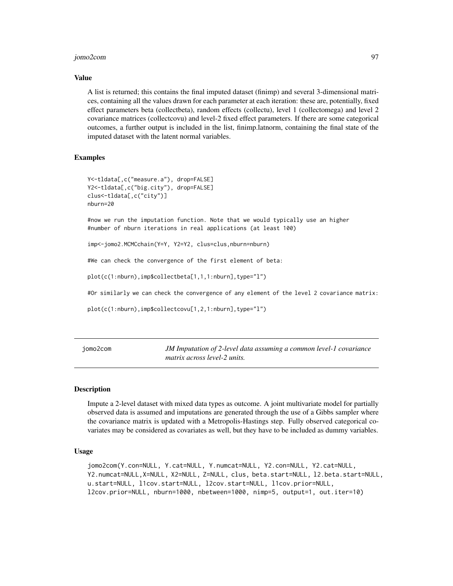### jomo2com 97

#### Value

A list is returned; this contains the final imputed dataset (finimp) and several 3-dimensional matrices, containing all the values drawn for each parameter at each iteration: these are, potentially, fixed effect parameters beta (collectbeta), random effects (collectu), level 1 (collectomega) and level 2 covariance matrices (collectcovu) and level-2 fixed effect parameters. If there are some categorical outcomes, a further output is included in the list, finimp.latnorm, containing the final state of the imputed dataset with the latent normal variables.

## Examples

```
Y<-tldata[,c("measure.a"), drop=FALSE]
Y2<-tldata[,c("big.city"), drop=FALSE]
clus<-tldata[,c("city")]
nburn=20
```
#now we run the imputation function. Note that we would typically use an higher #number of nburn iterations in real applications (at least 100)

imp<-jomo2.MCMCchain(Y=Y, Y2=Y2, clus=clus,nburn=nburn)

#We can check the convergence of the first element of beta:

plot(c(1:nburn),imp\$collectbeta[1,1,1:nburn],type="l")

#Or similarly we can check the convergence of any element of the level 2 covariance matrix:

plot(c(1:nburn),imp\$collectcovu[1,2,1:nburn],type="l")

jomo2com *JM Imputation of 2-level data assuming a common level-1 covariance matrix across level-2 units.*

## Description

Impute a 2-level dataset with mixed data types as outcome. A joint multivariate model for partially observed data is assumed and imputations are generated through the use of a Gibbs sampler where the covariance matrix is updated with a Metropolis-Hastings step. Fully observed categorical covariates may be considered as covariates as well, but they have to be included as dummy variables.

## Usage

```
jomo2com(Y.con=NULL, Y.cat=NULL, Y.numcat=NULL, Y2.con=NULL, Y2.cat=NULL,
Y2.numcat=NULL,X=NULL, X2=NULL, Z=NULL, clus, beta.start=NULL, l2.beta.start=NULL,
u.start=NULL, l1cov.start=NULL, l2cov.start=NULL, l1cov.prior=NULL,
l2cov.prior=NULL, nburn=1000, nbetween=1000, nimp=5, output=1, out.iter=10)
```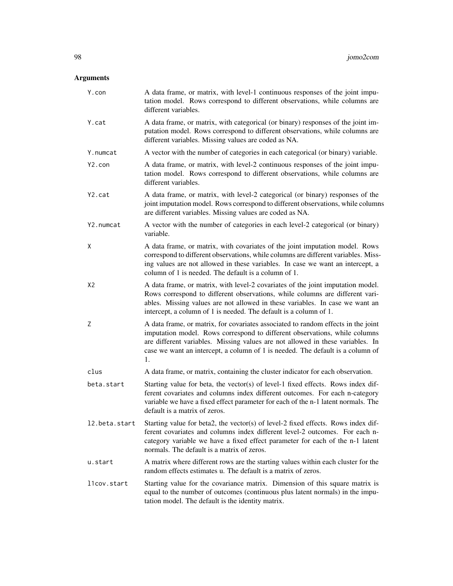| Y.con               | A data frame, or matrix, with level-1 continuous responses of the joint impu-<br>tation model. Rows correspond to different observations, while columns are<br>different variables.                                                                                                                                                       |
|---------------------|-------------------------------------------------------------------------------------------------------------------------------------------------------------------------------------------------------------------------------------------------------------------------------------------------------------------------------------------|
| Y.cat               | A data frame, or matrix, with categorical (or binary) responses of the joint im-<br>putation model. Rows correspond to different observations, while columns are<br>different variables. Missing values are coded as NA.                                                                                                                  |
| Y.numcat            | A vector with the number of categories in each categorical (or binary) variable.                                                                                                                                                                                                                                                          |
| Y <sub>2</sub> .con | A data frame, or matrix, with level-2 continuous responses of the joint impu-<br>tation model. Rows correspond to different observations, while columns are<br>different variables.                                                                                                                                                       |
| Y2.cat              | A data frame, or matrix, with level-2 categorical (or binary) responses of the<br>joint imputation model. Rows correspond to different observations, while columns<br>are different variables. Missing values are coded as NA.                                                                                                            |
| Y2.numcat           | A vector with the number of categories in each level-2 categorical (or binary)<br>variable.                                                                                                                                                                                                                                               |
| χ                   | A data frame, or matrix, with covariates of the joint imputation model. Rows<br>correspond to different observations, while columns are different variables. Miss-<br>ing values are not allowed in these variables. In case we want an intercept, a<br>column of 1 is needed. The default is a column of 1.                              |
| X <sub>2</sub>      | A data frame, or matrix, with level-2 covariates of the joint imputation model.<br>Rows correspond to different observations, while columns are different vari-<br>ables. Missing values are not allowed in these variables. In case we want an<br>intercept, a column of 1 is needed. The default is a column of 1.                      |
| Z                   | A data frame, or matrix, for covariates associated to random effects in the joint<br>imputation model. Rows correspond to different observations, while columns<br>are different variables. Missing values are not allowed in these variables. In<br>case we want an intercept, a column of 1 is needed. The default is a column of<br>1. |
| clus                | A data frame, or matrix, containing the cluster indicator for each observation.                                                                                                                                                                                                                                                           |
| beta.start          | Starting value for beta, the vector(s) of level-1 fixed effects. Rows index dif-<br>ferent covariates and columns index different outcomes. For each n-category<br>variable we have a fixed effect parameter for each of the n-1 latent normals. The<br>default is a matrix of zeros.                                                     |
| 12.beta.start       | Starting value for beta2, the vector(s) of level-2 fixed effects. Rows index dif-<br>ferent covariates and columns index different level-2 outcomes. For each n-<br>category variable we have a fixed effect parameter for each of the n-1 latent<br>normals. The default is a matrix of zeros.                                           |
| u.start             | A matrix where different rows are the starting values within each cluster for the<br>random effects estimates u. The default is a matrix of zeros.                                                                                                                                                                                        |
| llcov.start         | Starting value for the covariance matrix. Dimension of this square matrix is<br>equal to the number of outcomes (continuous plus latent normals) in the impu-<br>tation model. The default is the identity matrix.                                                                                                                        |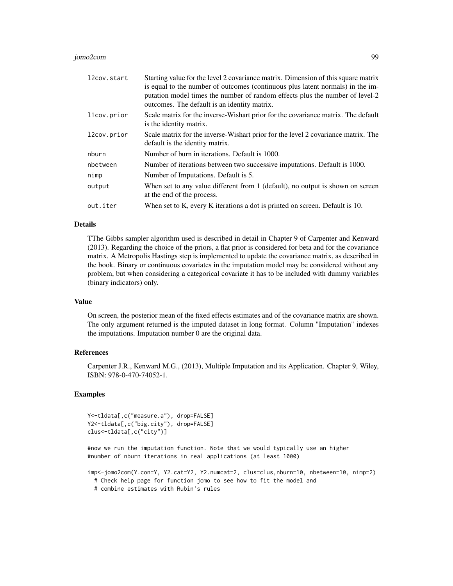#### jomo2com 99

| l2cov.start | Starting value for the level 2 covariance matrix. Dimension of this square matrix<br>is equal to the number of outcomes (continuous plus latent normals) in the im-<br>putation model times the number of random effects plus the number of level-2 |
|-------------|-----------------------------------------------------------------------------------------------------------------------------------------------------------------------------------------------------------------------------------------------------|
|             | outcomes. The default is an identity matrix.                                                                                                                                                                                                        |
| llcov.prior | Scale matrix for the inverse-Wishart prior for the covariance matrix. The default<br>is the identity matrix.                                                                                                                                        |
| l2cov.prior | Scale matrix for the inverse-Wishart prior for the level 2 covariance matrix. The<br>default is the identity matrix.                                                                                                                                |
| nburn       | Number of burn in iterations. Default is 1000.                                                                                                                                                                                                      |
| nbetween    | Number of iterations between two successive imputations. Default is 1000.                                                                                                                                                                           |
| nimp        | Number of Imputations. Default is 5.                                                                                                                                                                                                                |
| output      | When set to any value different from 1 (default), no output is shown on screen<br>at the end of the process.                                                                                                                                        |
| out.iter    | When set to K, every K iterations a dot is printed on screen. Default is 10.                                                                                                                                                                        |

# Details

TThe Gibbs sampler algorithm used is described in detail in Chapter 9 of Carpenter and Kenward (2013). Regarding the choice of the priors, a flat prior is considered for beta and for the covariance matrix. A Metropolis Hastings step is implemented to update the covariance matrix, as described in the book. Binary or continuous covariates in the imputation model may be considered without any problem, but when considering a categorical covariate it has to be included with dummy variables (binary indicators) only.

## Value

On screen, the posterior mean of the fixed effects estimates and of the covariance matrix are shown. The only argument returned is the imputed dataset in long format. Column "Imputation" indexes the imputations. Imputation number 0 are the original data.

# References

Carpenter J.R., Kenward M.G., (2013), Multiple Imputation and its Application. Chapter 9, Wiley, ISBN: 978-0-470-74052-1.

## Examples

```
Y<-tldata[,c("measure.a"), drop=FALSE]
Y2<-tldata[,c("big.city"), drop=FALSE]
clus<-tldata[,c("city")]
```
#now we run the imputation function. Note that we would typically use an higher #number of nburn iterations in real applications (at least 1000)

imp<-jomo2com(Y.con=Y, Y2.cat=Y2, Y2.numcat=2, clus=clus,nburn=10, nbetween=10, nimp=2)

- # Check help page for function jomo to see how to fit the model and
- # combine estimates with Rubin's rules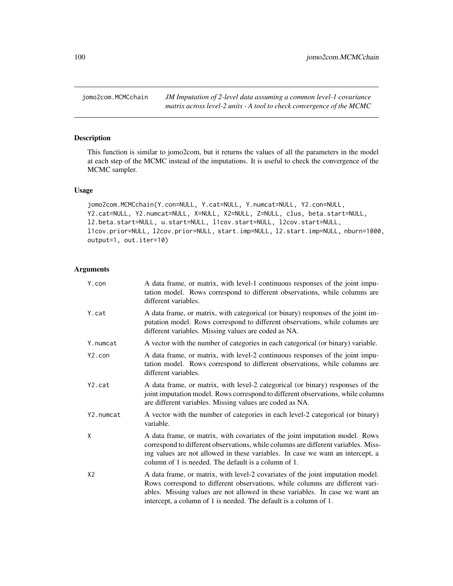jomo2com.MCMCchain *JM Imputation of 2-level data assuming a common level-1 covariance matrix across level-2 units - A tool to check convergence of the MCMC*

# Description

This function is similar to jomo2com, but it returns the values of all the parameters in the model at each step of the MCMC instead of the imputations. It is useful to check the convergence of the MCMC sampler.

## Usage

```
jomo2com.MCMCchain(Y.con=NULL, Y.cat=NULL, Y.numcat=NULL, Y2.con=NULL,
Y2.cat=NULL, Y2.numcat=NULL, X=NULL, X2=NULL, Z=NULL, clus, beta.start=NULL,
l2.beta.start=NULL, u.start=NULL, l1cov.start=NULL, l2cov.start=NULL,
l1cov.prior=NULL, l2cov.prior=NULL, start.imp=NULL, l2.start.imp=NULL, nburn=1000,
output=1, out.iter=10)
```

| Y.con               | A data frame, or matrix, with level-1 continuous responses of the joint impu-<br>tation model. Rows correspond to different observations, while columns are<br>different variables.                                                                                                                                  |
|---------------------|----------------------------------------------------------------------------------------------------------------------------------------------------------------------------------------------------------------------------------------------------------------------------------------------------------------------|
| Y.cat               | A data frame, or matrix, with categorical (or binary) responses of the joint im-<br>putation model. Rows correspond to different observations, while columns are<br>different variables. Missing values are coded as NA.                                                                                             |
| Y.numcat            | A vector with the number of categories in each categorical (or binary) variable.                                                                                                                                                                                                                                     |
| Y <sub>2</sub> .con | A data frame, or matrix, with level-2 continuous responses of the joint impu-<br>tation model. Rows correspond to different observations, while columns are<br>different variables.                                                                                                                                  |
| Y2.cat              | A data frame, or matrix, with level-2 categorical (or binary) responses of the<br>joint imputation model. Rows correspond to different observations, while columns<br>are different variables. Missing values are coded as NA.                                                                                       |
| Y2.numcat           | A vector with the number of categories in each level-2 categorical (or binary)<br>variable.                                                                                                                                                                                                                          |
| X                   | A data frame, or matrix, with covariates of the joint imputation model. Rows<br>correspond to different observations, while columns are different variables. Miss-<br>ing values are not allowed in these variables. In case we want an intercept, a<br>column of 1 is needed. The default is a column of 1.         |
| X <sub>2</sub>      | A data frame, or matrix, with level-2 covariates of the joint imputation model.<br>Rows correspond to different observations, while columns are different vari-<br>ables. Missing values are not allowed in these variables. In case we want an<br>intercept, a column of 1 is needed. The default is a column of 1. |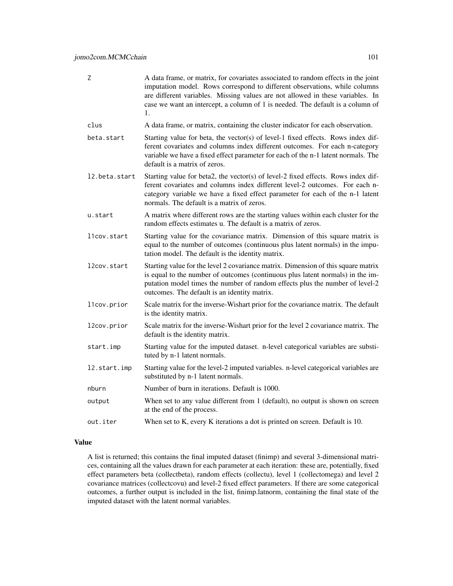| Z             | A data frame, or matrix, for covariates associated to random effects in the joint<br>imputation model. Rows correspond to different observations, while columns<br>are different variables. Missing values are not allowed in these variables. In<br>case we want an intercept, a column of 1 is needed. The default is a column of<br>1. |
|---------------|-------------------------------------------------------------------------------------------------------------------------------------------------------------------------------------------------------------------------------------------------------------------------------------------------------------------------------------------|
| clus          | A data frame, or matrix, containing the cluster indicator for each observation.                                                                                                                                                                                                                                                           |
| beta.start    | Starting value for beta, the vector(s) of level-1 fixed effects. Rows index dif-<br>ferent covariates and columns index different outcomes. For each n-category<br>variable we have a fixed effect parameter for each of the n-1 latent normals. The<br>default is a matrix of zeros.                                                     |
| 12.beta.start | Starting value for beta2, the vector(s) of level-2 fixed effects. Rows index dif-<br>ferent covariates and columns index different level-2 outcomes. For each n-<br>category variable we have a fixed effect parameter for each of the n-1 latent<br>normals. The default is a matrix of zeros.                                           |
| u.start       | A matrix where different rows are the starting values within each cluster for the<br>random effects estimates u. The default is a matrix of zeros.                                                                                                                                                                                        |
| llcov.start   | Starting value for the covariance matrix. Dimension of this square matrix is<br>equal to the number of outcomes (continuous plus latent normals) in the impu-<br>tation model. The default is the identity matrix.                                                                                                                        |
| l2cov.start   | Starting value for the level 2 covariance matrix. Dimension of this square matrix<br>is equal to the number of outcomes (continuous plus latent normals) in the im-<br>putation model times the number of random effects plus the number of level-2<br>outcomes. The default is an identity matrix.                                       |
| l1cov.prior   | Scale matrix for the inverse-Wishart prior for the covariance matrix. The default<br>is the identity matrix.                                                                                                                                                                                                                              |
| l2cov.prior   | Scale matrix for the inverse-Wishart prior for the level 2 covariance matrix. The<br>default is the identity matrix.                                                                                                                                                                                                                      |
| start.imp     | Starting value for the imputed dataset. n-level categorical variables are substi-<br>tuted by n-1 latent normals.                                                                                                                                                                                                                         |
| 12.start.imp  | Starting value for the level-2 imputed variables. n-level categorical variables are<br>substituted by n-1 latent normals.                                                                                                                                                                                                                 |
| nburn         | Number of burn in iterations. Default is 1000.                                                                                                                                                                                                                                                                                            |
| output        | When set to any value different from 1 (default), no output is shown on screen<br>at the end of the process.                                                                                                                                                                                                                              |
| out.iter      | When set to K, every K iterations a dot is printed on screen. Default is 10.                                                                                                                                                                                                                                                              |

# Value

A list is returned; this contains the final imputed dataset (finimp) and several 3-dimensional matrices, containing all the values drawn for each parameter at each iteration: these are, potentially, fixed effect parameters beta (collectbeta), random effects (collectu), level 1 (collectomega) and level 2 covariance matrices (collectcovu) and level-2 fixed effect parameters. If there are some categorical outcomes, a further output is included in the list, finimp.latnorm, containing the final state of the imputed dataset with the latent normal variables.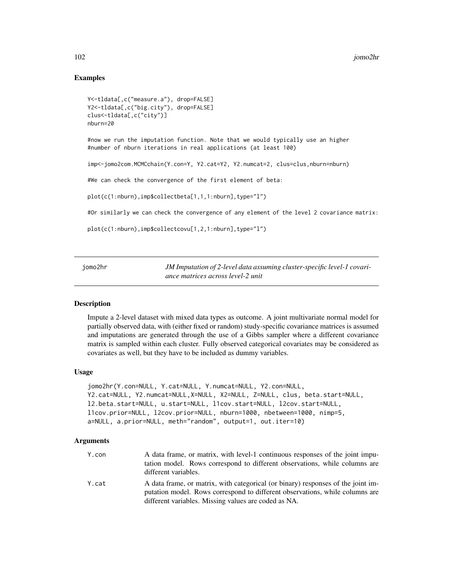## Examples

```
Y<-tldata[,c("measure.a"), drop=FALSE]
Y2<-tldata[,c("big.city"), drop=FALSE]
clus<-tldata[,c("city")]
nburn=20
```
#now we run the imputation function. Note that we would typically use an higher #number of nburn iterations in real applications (at least 100)

imp<-jomo2com.MCMCchain(Y.con=Y, Y2.cat=Y2, Y2.numcat=2, clus=clus,nburn=nburn)

#We can check the convergence of the first element of beta:

```
plot(c(1:nburn),imp$collectbeta[1,1,1:nburn],type="l")
```
#Or similarly we can check the convergence of any element of the level 2 covariance matrix:

```
plot(c(1:nburn),imp$collectcovu[1,2,1:nburn],type="l")
```
jomo2hr *JM Imputation of 2-level data assuming cluster-specific level-1 covariance matrices across level-2 unit*

## Description

Impute a 2-level dataset with mixed data types as outcome. A joint multivariate normal model for partially observed data, with (either fixed or random) study-specific covariance matrices is assumed and imputations are generated through the use of a Gibbs sampler where a different covariance matrix is sampled within each cluster. Fully observed categorical covariates may be considered as covariates as well, but they have to be included as dummy variables.

#### Usage

```
jomo2hr(Y.con=NULL, Y.cat=NULL, Y.numcat=NULL, Y2.con=NULL,
Y2.cat=NULL, Y2.numcat=NULL,X=NULL, X2=NULL, Z=NULL, clus, beta.start=NULL,
l2.beta.start=NULL, u.start=NULL, l1cov.start=NULL, l2cov.start=NULL,
l1cov.prior=NULL, l2cov.prior=NULL, nburn=1000, nbetween=1000, nimp=5,
a=NULL, a.prior=NULL, meth="random", output=1, out.iter=10)
```

| Y.con | A data frame, or matrix, with level-1 continuous responses of the joint impu-<br>tation model. Rows correspond to different observations, while columns are<br>different variables.                                      |
|-------|--------------------------------------------------------------------------------------------------------------------------------------------------------------------------------------------------------------------------|
| Y.cat | A data frame, or matrix, with categorical (or binary) responses of the joint im-<br>putation model. Rows correspond to different observations, while columns are<br>different variables. Missing values are coded as NA. |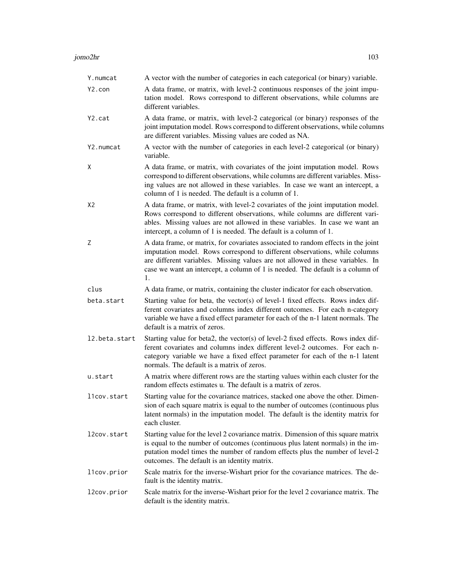| Y.numcat            | A vector with the number of categories in each categorical (or binary) variable.                                                                                                                                                                                                                                                          |
|---------------------|-------------------------------------------------------------------------------------------------------------------------------------------------------------------------------------------------------------------------------------------------------------------------------------------------------------------------------------------|
| Y2.com              | A data frame, or matrix, with level-2 continuous responses of the joint impu-<br>tation model. Rows correspond to different observations, while columns are<br>different variables.                                                                                                                                                       |
| Y <sub>2</sub> .cat | A data frame, or matrix, with level-2 categorical (or binary) responses of the<br>joint imputation model. Rows correspond to different observations, while columns<br>are different variables. Missing values are coded as NA.                                                                                                            |
| Y2.numcat           | A vector with the number of categories in each level-2 categorical (or binary)<br>variable.                                                                                                                                                                                                                                               |
| X                   | A data frame, or matrix, with covariates of the joint imputation model. Rows<br>correspond to different observations, while columns are different variables. Miss-<br>ing values are not allowed in these variables. In case we want an intercept, a<br>column of 1 is needed. The default is a column of 1.                              |
| X <sub>2</sub>      | A data frame, or matrix, with level-2 covariates of the joint imputation model.<br>Rows correspond to different observations, while columns are different vari-<br>ables. Missing values are not allowed in these variables. In case we want an<br>intercept, a column of 1 is needed. The default is a column of 1.                      |
| Ζ                   | A data frame, or matrix, for covariates associated to random effects in the joint<br>imputation model. Rows correspond to different observations, while columns<br>are different variables. Missing values are not allowed in these variables. In<br>case we want an intercept, a column of 1 is needed. The default is a column of<br>1. |
| clus                | A data frame, or matrix, containing the cluster indicator for each observation.                                                                                                                                                                                                                                                           |
| beta.start          | Starting value for beta, the vector(s) of level-1 fixed effects. Rows index dif-<br>ferent covariates and columns index different outcomes. For each n-category<br>variable we have a fixed effect parameter for each of the n-1 latent normals. The<br>default is a matrix of zeros.                                                     |
| 12.beta.start       | Starting value for beta2, the vector(s) of level-2 fixed effects. Rows index dif-<br>ferent covariates and columns index different level-2 outcomes. For each n-<br>category variable we have a fixed effect parameter for each of the n-1 latent<br>normals. The default is a matrix of zeros.                                           |
| u.start             | A matrix where different rows are the starting values within each cluster for the<br>random effects estimates u. The default is a matrix of zeros.                                                                                                                                                                                        |
| l1cov.start         | Starting value for the covariance matrices, stacked one above the other. Dimen-<br>sion of each square matrix is equal to the number of outcomes (continuous plus<br>latent normals) in the imputation model. The default is the identity matrix for<br>each cluster.                                                                     |
| l2cov.start         | Starting value for the level 2 covariance matrix. Dimension of this square matrix<br>is equal to the number of outcomes (continuous plus latent normals) in the im-<br>putation model times the number of random effects plus the number of level-2<br>outcomes. The default is an identity matrix.                                       |
| llcov.prior         | Scale matrix for the inverse-Wishart prior for the covariance matrices. The de-<br>fault is the identity matrix.                                                                                                                                                                                                                          |
| l2cov.prior         | Scale matrix for the inverse-Wishart prior for the level 2 covariance matrix. The<br>default is the identity matrix.                                                                                                                                                                                                                      |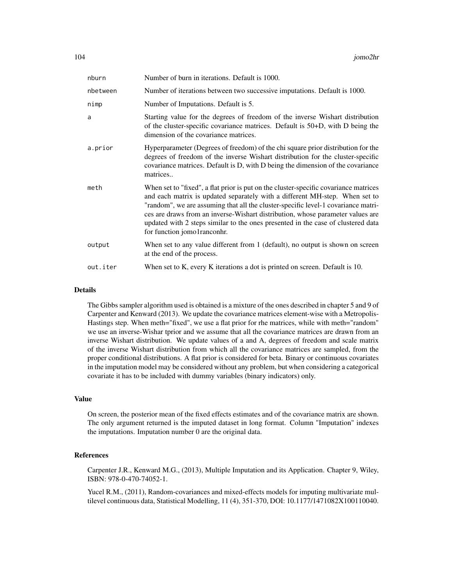| nburn    | Number of burn in iterations. Default is 1000.                                                                                                                                                                                                                                                                                                                                                                                                                |
|----------|---------------------------------------------------------------------------------------------------------------------------------------------------------------------------------------------------------------------------------------------------------------------------------------------------------------------------------------------------------------------------------------------------------------------------------------------------------------|
| nbetween | Number of iterations between two successive imputations. Default is 1000.                                                                                                                                                                                                                                                                                                                                                                                     |
| nimp     | Number of Imputations. Default is 5.                                                                                                                                                                                                                                                                                                                                                                                                                          |
| a        | Starting value for the degrees of freedom of the inverse Wishart distribution<br>of the cluster-specific covariance matrices. Default is 50+D, with D being the<br>dimension of the covariance matrices.                                                                                                                                                                                                                                                      |
| a.prior  | Hyperparameter (Degrees of freedom) of the chi square prior distribution for the<br>degrees of freedom of the inverse Wishart distribution for the cluster-specific<br>covariance matrices. Default is D, with D being the dimension of the covariance<br>matrices                                                                                                                                                                                            |
| meth     | When set to "fixed", a flat prior is put on the cluster-specific covariance matrices<br>and each matrix is updated separately with a different MH-step. When set to<br>"random", we are assuming that all the cluster-specific level-1 covariance matri-<br>ces are draws from an inverse-Wishart distribution, whose parameter values are<br>updated with 2 steps similar to the ones presented in the case of clustered data<br>for function jomo1ranconhr. |
| output   | When set to any value different from 1 (default), no output is shown on screen<br>at the end of the process.                                                                                                                                                                                                                                                                                                                                                  |
| out.iter | When set to K, every K iterations a dot is printed on screen. Default is 10.                                                                                                                                                                                                                                                                                                                                                                                  |
|          |                                                                                                                                                                                                                                                                                                                                                                                                                                                               |

### Details

The Gibbs sampler algorithm used is obtained is a mixture of the ones described in chapter 5 and 9 of Carpenter and Kenward (2013). We update the covariance matrices element-wise with a Metropolis-Hastings step. When meth="fixed", we use a flat prior for rhe matrices, while with meth="random" we use an inverse-Wishar tprior and we assume that all the covariance matrices are drawn from an inverse Wishart distribution. We update values of a and A, degrees of freedom and scale matrix of the inverse Wishart distribution from which all the covariance matrices are sampled, from the proper conditional distributions. A flat prior is considered for beta. Binary or continuous covariates in the imputation model may be considered without any problem, but when considering a categorical covariate it has to be included with dummy variables (binary indicators) only.

# Value

On screen, the posterior mean of the fixed effects estimates and of the covariance matrix are shown. The only argument returned is the imputed dataset in long format. Column "Imputation" indexes the imputations. Imputation number 0 are the original data.

## References

Carpenter J.R., Kenward M.G., (2013), Multiple Imputation and its Application. Chapter 9, Wiley, ISBN: 978-0-470-74052-1.

Yucel R.M., (2011), Random-covariances and mixed-effects models for imputing multivariate multilevel continuous data, Statistical Modelling, 11 (4), 351-370, DOI: 10.1177/1471082X100110040.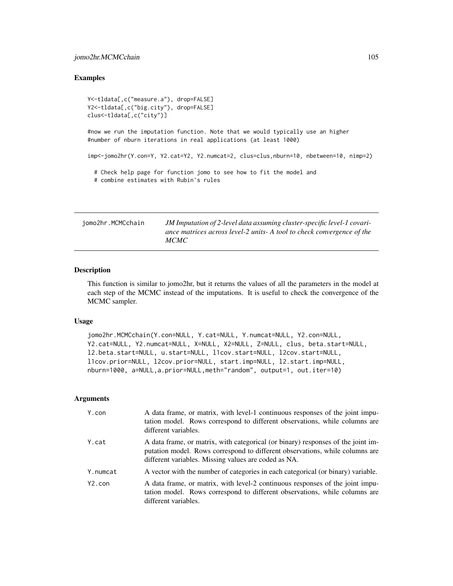## Examples

```
Y<-tldata[,c("measure.a"), drop=FALSE]
Y2<-tldata[,c("big.city"), drop=FALSE]
clus<-tldata[,c("city")]
```
#now we run the imputation function. Note that we would typically use an higher #number of nburn iterations in real applications (at least 1000)

imp<-jomo2hr(Y.con=Y, Y2.cat=Y2, Y2.numcat=2, clus=clus,nburn=10, nbetween=10, nimp=2)

# Check help page for function jomo to see how to fit the model and # combine estimates with Rubin's rules

| iomo2hr.MCMCchain | JM Imputation of 2-level data assuming cluster-specific level-1 covari- |
|-------------------|-------------------------------------------------------------------------|
|                   | ance matrices across level-2 units- A tool to check convergence of the  |
|                   | <i>MCMC</i>                                                             |

# Description

This function is similar to jomo2hr, but it returns the values of all the parameters in the model at each step of the MCMC instead of the imputations. It is useful to check the convergence of the MCMC sampler.

# Usage

```
jomo2hr.MCMCchain(Y.con=NULL, Y.cat=NULL, Y.numcat=NULL, Y2.con=NULL,
Y2.cat=NULL, Y2.numcat=NULL, X=NULL, X2=NULL, Z=NULL, clus, beta.start=NULL,
l2.beta.start=NULL, u.start=NULL, l1cov.start=NULL, l2cov.start=NULL,
l1cov.prior=NULL, l2cov.prior=NULL, start.imp=NULL, l2.start.imp=NULL,
nburn=1000, a=NULL,a.prior=NULL,meth="random", output=1, out.iter=10)
```

| Y.con    | A data frame, or matrix, with level-1 continuous responses of the joint impu-<br>tation model. Rows correspond to different observations, while columns are<br>different variables.                                      |
|----------|--------------------------------------------------------------------------------------------------------------------------------------------------------------------------------------------------------------------------|
| Y.cat    | A data frame, or matrix, with categorical (or binary) responses of the joint im-<br>putation model. Rows correspond to different observations, while columns are<br>different variables. Missing values are coded as NA. |
| Y.numcat | A vector with the number of categories in each categorical (or binary) variable.                                                                                                                                         |
| Y2.com   | A data frame, or matrix, with level-2 continuous responses of the joint impu-<br>tation model. Rows correspond to different observations, while columns are<br>different variables.                                      |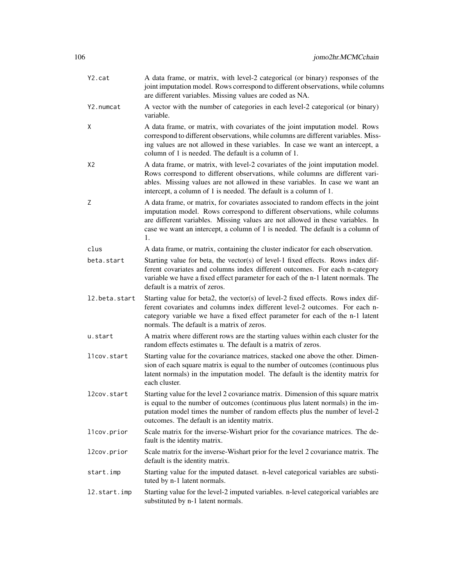| Y2.cat         | A data frame, or matrix, with level-2 categorical (or binary) responses of the<br>joint imputation model. Rows correspond to different observations, while columns<br>are different variables. Missing values are coded as NA.                                                                                                            |
|----------------|-------------------------------------------------------------------------------------------------------------------------------------------------------------------------------------------------------------------------------------------------------------------------------------------------------------------------------------------|
| Y2.numcat      | A vector with the number of categories in each level-2 categorical (or binary)<br>variable.                                                                                                                                                                                                                                               |
| Χ              | A data frame, or matrix, with covariates of the joint imputation model. Rows<br>correspond to different observations, while columns are different variables. Miss-<br>ing values are not allowed in these variables. In case we want an intercept, a<br>column of 1 is needed. The default is a column of 1.                              |
| X <sub>2</sub> | A data frame, or matrix, with level-2 covariates of the joint imputation model.<br>Rows correspond to different observations, while columns are different vari-<br>ables. Missing values are not allowed in these variables. In case we want an<br>intercept, a column of 1 is needed. The default is a column of 1.                      |
| Ζ              | A data frame, or matrix, for covariates associated to random effects in the joint<br>imputation model. Rows correspond to different observations, while columns<br>are different variables. Missing values are not allowed in these variables. In<br>case we want an intercept, a column of 1 is needed. The default is a column of<br>1. |
| clus           | A data frame, or matrix, containing the cluster indicator for each observation.                                                                                                                                                                                                                                                           |
| beta.start     | Starting value for beta, the vector(s) of level-1 fixed effects. Rows index dif-<br>ferent covariates and columns index different outcomes. For each n-category<br>variable we have a fixed effect parameter for each of the n-1 latent normals. The<br>default is a matrix of zeros.                                                     |
| 12.beta.start  | Starting value for beta2, the vector(s) of level-2 fixed effects. Rows index dif-<br>ferent covariates and columns index different level-2 outcomes. For each n-<br>category variable we have a fixed effect parameter for each of the n-1 latent<br>normals. The default is a matrix of zeros.                                           |
| u.start        | A matrix where different rows are the starting values within each cluster for the<br>random effects estimates u. The default is a matrix of zeros.                                                                                                                                                                                        |
| l1cov.start    | Starting value for the covariance matrices, stacked one above the other. Dimen-<br>sion of each square matrix is equal to the number of outcomes (continuous plus<br>latent normals) in the imputation model. The default is the identity matrix for<br>each cluster.                                                                     |
| l2cov.start    | Starting value for the level 2 covariance matrix. Dimension of this square matrix<br>is equal to the number of outcomes (continuous plus latent normals) in the im-<br>putation model times the number of random effects plus the number of level-2<br>outcomes. The default is an identity matrix.                                       |
| l1cov.prior    | Scale matrix for the inverse-Wishart prior for the covariance matrices. The de-<br>fault is the identity matrix.                                                                                                                                                                                                                          |
| l2cov.prior    | Scale matrix for the inverse-Wishart prior for the level 2 covariance matrix. The<br>default is the identity matrix.                                                                                                                                                                                                                      |
| start.imp      | Starting value for the imputed dataset. n-level categorical variables are substi-<br>tuted by n-1 latent normals.                                                                                                                                                                                                                         |
| 12.start.imp   | Starting value for the level-2 imputed variables. n-level categorical variables are<br>substituted by n-1 latent normals.                                                                                                                                                                                                                 |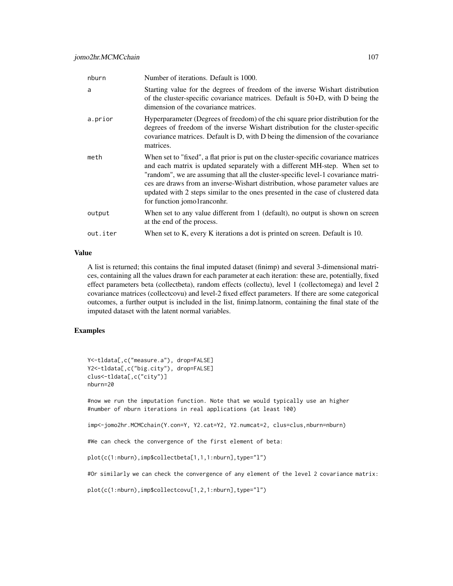| nburn    | Number of iterations. Default is 1000.                                                                                                                                                                                                                                                                                                                                                                                                                        |
|----------|---------------------------------------------------------------------------------------------------------------------------------------------------------------------------------------------------------------------------------------------------------------------------------------------------------------------------------------------------------------------------------------------------------------------------------------------------------------|
| a        | Starting value for the degrees of freedom of the inverse Wishart distribution<br>of the cluster-specific covariance matrices. Default is 50+D, with D being the<br>dimension of the covariance matrices.                                                                                                                                                                                                                                                      |
| a.prior  | Hyperparameter (Degrees of freedom) of the chi square prior distribution for the<br>degrees of freedom of the inverse Wishart distribution for the cluster-specific<br>covariance matrices. Default is D, with D being the dimension of the covariance<br>matrices.                                                                                                                                                                                           |
| meth     | When set to "fixed", a flat prior is put on the cluster-specific covariance matrices<br>and each matrix is updated separately with a different MH-step. When set to<br>"random", we are assuming that all the cluster-specific level-1 covariance matri-<br>ces are draws from an inverse-Wishart distribution, whose parameter values are<br>updated with 2 steps similar to the ones presented in the case of clustered data<br>for function jomo1ranconhr. |
| output   | When set to any value different from 1 (default), no output is shown on screen<br>at the end of the process.                                                                                                                                                                                                                                                                                                                                                  |
| out.iter | When set to K, every K iterations a dot is printed on screen. Default is 10.                                                                                                                                                                                                                                                                                                                                                                                  |

## Value

A list is returned; this contains the final imputed dataset (finimp) and several 3-dimensional matrices, containing all the values drawn for each parameter at each iteration: these are, potentially, fixed effect parameters beta (collectbeta), random effects (collectu), level 1 (collectomega) and level 2 covariance matrices (collectcovu) and level-2 fixed effect parameters. If there are some categorical outcomes, a further output is included in the list, finimp.latnorm, containing the final state of the imputed dataset with the latent normal variables.

# Examples

```
Y<-tldata[,c("measure.a"), drop=FALSE]
Y2<-tldata[,c("big.city"), drop=FALSE]
clus<-tldata[,c("city")]
nburn=20
#now we run the imputation function. Note that we would typically use an higher
#number of nburn iterations in real applications (at least 100)
imp<-jomo2hr.MCMCchain(Y.con=Y, Y2.cat=Y2, Y2.numcat=2, clus=clus,nburn=nburn)
#We can check the convergence of the first element of beta:
plot(c(1:nburn),imp$collectbeta[1,1,1:nburn],type="l")
#Or similarly we can check the convergence of any element of the level 2 covariance matrix:
plot(c(1:nburn),imp$collectcovu[1,2,1:nburn],type="l")
```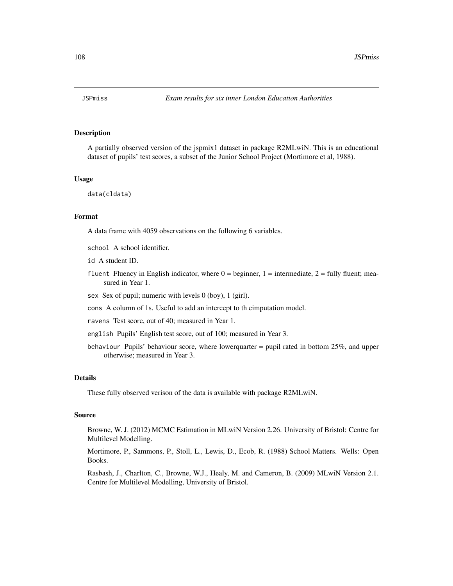## Description

A partially observed version of the jspmix1 dataset in package R2MLwiN. This is an educational dataset of pupils' test scores, a subset of the Junior School Project (Mortimore et al, 1988).

## Usage

data(cldata)

## Format

A data frame with 4059 observations on the following 6 variables.

school A school identifier.

id A student ID.

fluent Fluency in English indicator, where  $0 =$  beginner,  $1 =$  intermediate,  $2 =$  fully fluent; measured in Year 1.

sex Sex of pupil; numeric with levels 0 (boy), 1 (girl).

cons A column of 1s. Useful to add an intercept to th eimputation model.

ravens Test score, out of 40; measured in Year 1.

english Pupils' English test score, out of 100; measured in Year 3.

behaviour Pupils' behaviour score, where lowerquarter = pupil rated in bottom 25%, and upper otherwise; measured in Year 3.

# Details

These fully observed verison of the data is available with package R2MLwiN.

#### Source

Browne, W. J. (2012) MCMC Estimation in MLwiN Version 2.26. University of Bristol: Centre for Multilevel Modelling.

Mortimore, P., Sammons, P., Stoll, L., Lewis, D., Ecob, R. (1988) School Matters. Wells: Open Books.

Rasbash, J., Charlton, C., Browne, W.J., Healy, M. and Cameron, B. (2009) MLwiN Version 2.1. Centre for Multilevel Modelling, University of Bristol.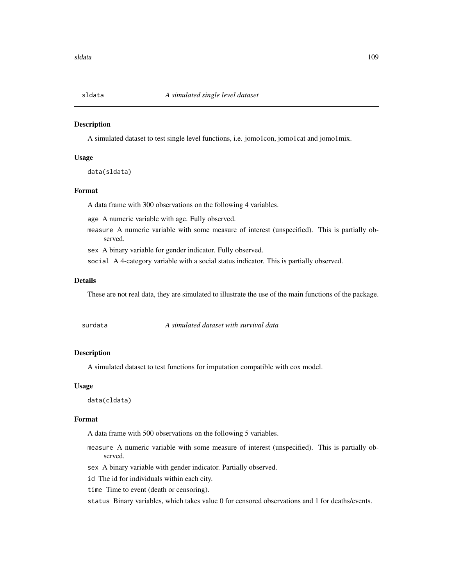<span id="page-108-0"></span>

#### Description

A simulated dataset to test single level functions, i.e. jomo1con, jomo1cat and jomo1mix.

## Usage

data(sldata)

# Format

A data frame with 300 observations on the following 4 variables.

age A numeric variable with age. Fully observed.

measure A numeric variable with some measure of interest (unspecified). This is partially observed.

sex A binary variable for gender indicator. Fully observed.

social A 4-category variable with a social status indicator. This is partially observed.

## Details

These are not real data, they are simulated to illustrate the use of the main functions of the package.

| surdata | A simulated dataset with survival data |
|---------|----------------------------------------|
|         |                                        |

## Description

A simulated dataset to test functions for imputation compatible with cox model.

## Usage

data(cldata)

## Format

A data frame with 500 observations on the following 5 variables.

- measure A numeric variable with some measure of interest (unspecified). This is partially observed.
- sex A binary variable with gender indicator. Partially observed.
- id The id for individuals within each city.
- time Time to event (death or censoring).

status Binary variables, which takes value 0 for censored observations and 1 for deaths/events.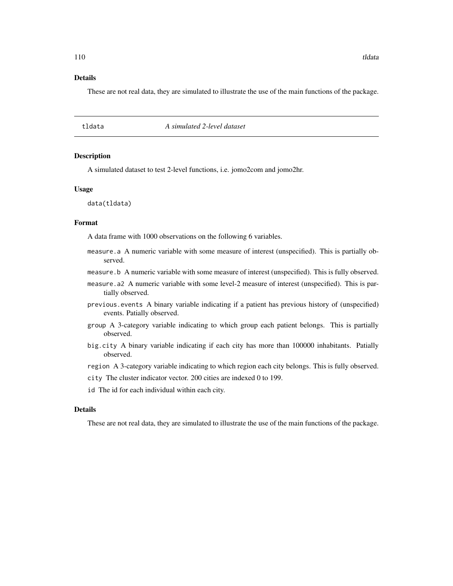# <span id="page-109-0"></span>Details

These are not real data, they are simulated to illustrate the use of the main functions of the package.

| A simulated 2-level dataset<br>tldata |  |
|---------------------------------------|--|
|---------------------------------------|--|

## **Description**

A simulated dataset to test 2-level functions, i.e. jomo2com and jomo2hr.

#### Usage

data(tldata)

## Format

A data frame with 1000 observations on the following 6 variables.

- measure.a A numeric variable with some measure of interest (unspecified). This is partially observed.
- measure.b A numeric variable with some measure of interest (unspecified). This is fully observed.
- measure.a2 A numeric variable with some level-2 measure of interest (unspecified). This is partially observed.
- previous.events A binary variable indicating if a patient has previous history of (unspecified) events. Patially observed.
- group A 3-category variable indicating to which group each patient belongs. This is partially observed.
- big.city A binary variable indicating if each city has more than 100000 inhabitants. Patially observed.
- region A 3-category variable indicating to which region each city belongs. This is fully observed.
- city The cluster indicator vector. 200 cities are indexed 0 to 199.
- id The id for each individual within each city.

## Details

These are not real data, they are simulated to illustrate the use of the main functions of the package.